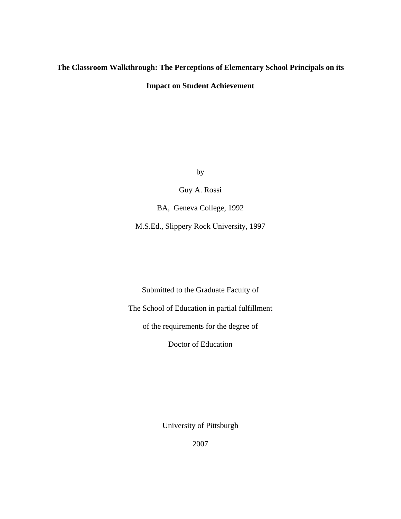# **The Classroom Walkthrough: The Perceptions of Elementary School Principals on its Impact on Student Achievement**

by

Guy A. Rossi

BA, Geneva College, 1992

M.S.Ed., Slippery Rock University, 1997

Submitted to the Graduate Faculty of

The School of Education in partial fulfillment

of the requirements for the degree of

Doctor of Education

University of Pittsburgh

2007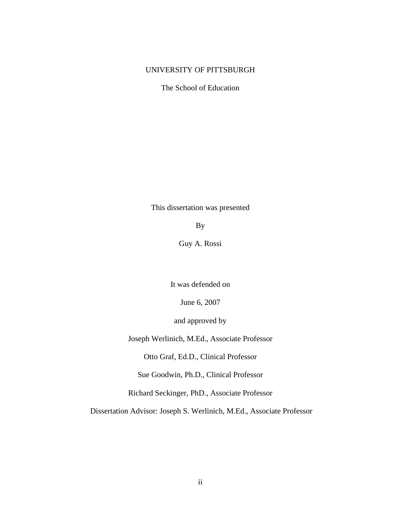### UNIVERSITY OF PITTSBURGH

The School of Education

This dissertation was presented

By

Guy A. Rossi

It was defended on

June 6, 2007

and approved by

Joseph Werlinich, M.Ed., Associate Professor

Otto Graf, Ed.D., Clinical Professor

Sue Goodwin, Ph.D., Clinical Professor

Richard Seckinger, PhD., Associate Professor

Dissertation Advisor: Joseph S. Werlinich, M.Ed., Associate Professor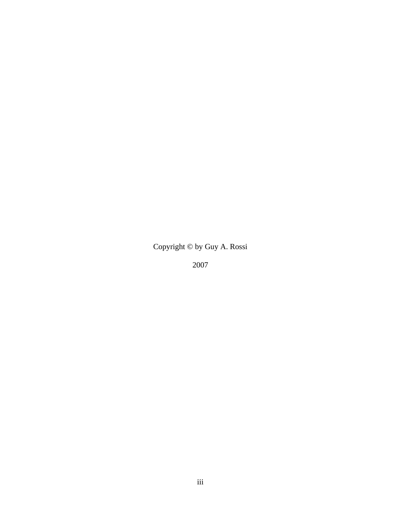# Copyright © by Guy A. Rossi

2007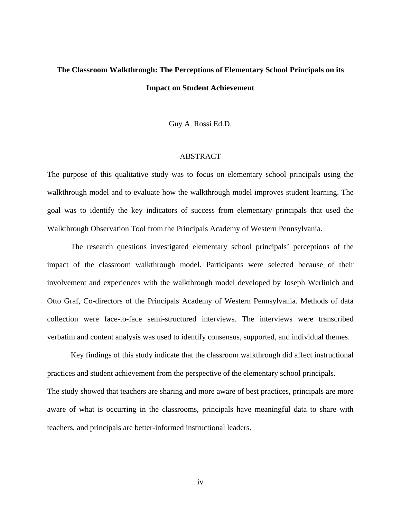# **The Classroom Walkthrough: The Perceptions of Elementary School Principals on its Impact on Student Achievement**

Guy A. Rossi Ed.D.

#### ABSTRACT

The purpose of this qualitative study was to focus on elementary school principals using the walkthrough model and to evaluate how the walkthrough model improves student learning. The goal was to identify the key indicators of success from elementary principals that used the Walkthrough Observation Tool from the Principals Academy of Western Pennsylvania.

The research questions investigated elementary school principals' perceptions of the impact of the classroom walkthrough model. Participants were selected because of their involvement and experiences with the walkthrough model developed by Joseph Werlinich and Otto Graf, Co-directors of the Principals Academy of Western Pennsylvania. Methods of data collection were face-to-face semi-structured interviews. The interviews were transcribed verbatim and content analysis was used to identify consensus, supported, and individual themes.

Key findings of this study indicate that the classroom walkthrough did affect instructional practices and student achievement from the perspective of the elementary school principals. The study showed that teachers are sharing and more aware of best practices, principals are more aware of what is occurring in the classrooms, principals have meaningful data to share with teachers, and principals are better-informed instructional leaders.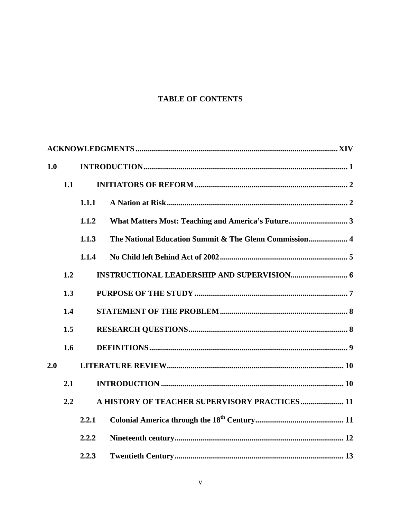## **TABLE OF CONTENTS**

| 1.0 |     |       |                                                        |  |
|-----|-----|-------|--------------------------------------------------------|--|
|     | 1.1 |       |                                                        |  |
|     |     | 1.1.1 |                                                        |  |
|     |     | 1.1.2 |                                                        |  |
|     |     | 1.1.3 | The National Education Summit & The Glenn Commission 4 |  |
|     |     | 1.1.4 |                                                        |  |
|     | 1.2 |       |                                                        |  |
|     | 1.3 |       |                                                        |  |
|     | 1.4 |       |                                                        |  |
|     | 1.5 |       |                                                        |  |
|     | 1.6 |       |                                                        |  |
| 2.0 |     |       |                                                        |  |
|     | 2.1 |       |                                                        |  |
|     | 2.2 |       | A HISTORY OF TEACHER SUPERVISORY PRACTICES 11          |  |
|     |     | 2.2.1 |                                                        |  |
|     |     | 2.2.2 |                                                        |  |
|     |     | 2.2.3 |                                                        |  |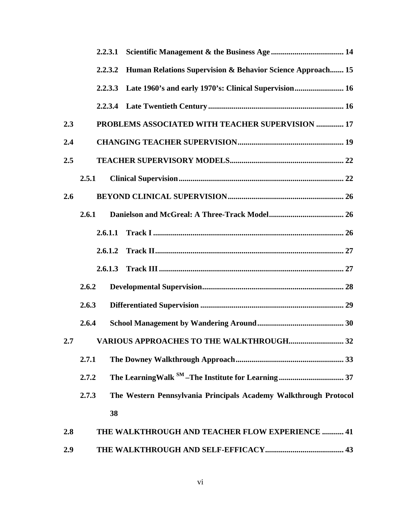|     | 2.2.3.1 |                                                                  |
|-----|---------|------------------------------------------------------------------|
|     | 2.2.3.2 | Human Relations Supervision & Behavior Science Approach 15       |
|     | 2.2.3.3 | Late 1960's and early 1970's: Clinical Supervision 16            |
|     |         |                                                                  |
| 2.3 |         | PROBLEMS ASSOCIATED WITH TEACHER SUPERVISION  17                 |
| 2.4 |         |                                                                  |
| 2.5 |         |                                                                  |
|     | 2.5.1   |                                                                  |
| 2.6 |         |                                                                  |
|     | 2.6.1   |                                                                  |
|     | 2.6.1.1 |                                                                  |
|     | 2.6.1.2 |                                                                  |
|     | 2.6.1.3 |                                                                  |
|     | 2.6.2   |                                                                  |
|     | 2.6.3   |                                                                  |
|     | 2.6.4   |                                                                  |
|     |         |                                                                  |
|     | 2.7.1   |                                                                  |
|     | 2.7.2   |                                                                  |
|     | 2.7.3   | The Western Pennsylvania Principals Academy Walkthrough Protocol |
|     | 38      |                                                                  |
| 2.8 |         | THE WALKTHROUGH AND TEACHER FLOW EXPERIENCE  41                  |
| 2.9 |         |                                                                  |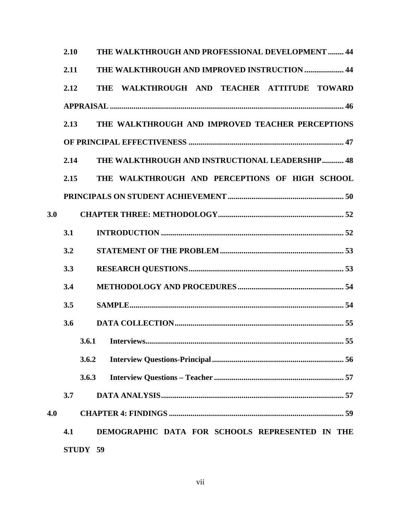|     | 2.10 |          | THE WALKTHROUGH AND PROFESSIONAL DEVELOPMENT  44       |  |
|-----|------|----------|--------------------------------------------------------|--|
|     | 2.11 |          | THE WALKTHROUGH AND IMPROVED INSTRUCTION  44           |  |
|     | 2.12 |          | THE WALKTHROUGH AND TEACHER ATTITUDE TOWARD            |  |
|     |      |          |                                                        |  |
|     | 2.13 |          | THE WALKTHROUGH AND IMPROVED TEACHER PERCEPTIONS       |  |
|     |      |          |                                                        |  |
|     | 2.14 |          | <b>THE WALKTHROUGH AND INSTRUCTIONAL LEADERSHIP 48</b> |  |
|     | 2.15 |          | THE WALKTHROUGH AND PERCEPTIONS OF HIGH SCHOOL         |  |
|     |      |          |                                                        |  |
| 3.0 |      |          |                                                        |  |
|     | 3.1  |          |                                                        |  |
|     | 3.2  |          |                                                        |  |
|     | 3.3  |          |                                                        |  |
|     | 3.4  |          |                                                        |  |
|     | 3.5  |          |                                                        |  |
|     | 3.6  |          |                                                        |  |
|     |      |          |                                                        |  |
|     |      | 3.6.2    |                                                        |  |
|     |      | 3.6.3    |                                                        |  |
|     | 3.7  |          |                                                        |  |
| 4.0 |      |          |                                                        |  |
|     | 4.1  |          | DEMOGRAPHIC DATA FOR SCHOOLS REPRESENTED IN THE        |  |
|     |      | STUDY 59 |                                                        |  |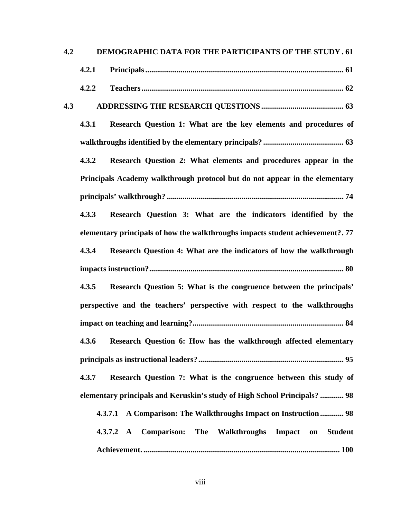| 4.2 |       | DEMOGRAPHIC DATA FOR THE PARTICIPANTS OF THE STUDY . 61                        |
|-----|-------|--------------------------------------------------------------------------------|
|     | 4.2.1 |                                                                                |
|     | 4.2.2 |                                                                                |
| 4.3 |       |                                                                                |
|     | 4.3.1 | Research Question 1: What are the key elements and procedures of               |
|     |       |                                                                                |
|     | 4.3.2 | Research Question 2: What elements and procedures appear in the                |
|     |       | Principals Academy walkthrough protocol but do not appear in the elementary    |
|     |       |                                                                                |
|     | 4.3.3 | Research Question 3: What are the indicators identified by the                 |
|     |       | elementary principals of how the walkthroughs impacts student achievement?. 77 |
|     | 4.3.4 | Research Question 4: What are the indicators of how the walkthrough            |
|     |       |                                                                                |
|     | 4.3.5 | Research Question 5: What is the congruence between the principals'            |
|     |       | perspective and the teachers' perspective with respect to the walkthroughs     |
|     |       |                                                                                |
|     |       | 4.3.6 Research Question 6: How has the walkthrough affected elementary         |
|     |       |                                                                                |
|     | 4.3.7 | Research Question 7: What is the congruence between this study of              |
|     |       | elementary principals and Keruskin's study of High School Principals?  98      |
|     |       | 4.3.7.1 A Comparison: The Walkthroughs Impact on Instruction  98               |
|     |       | 4.3.7.2 A Comparison: The Walkthroughs<br>Impact on<br><b>Student</b>          |
|     |       |                                                                                |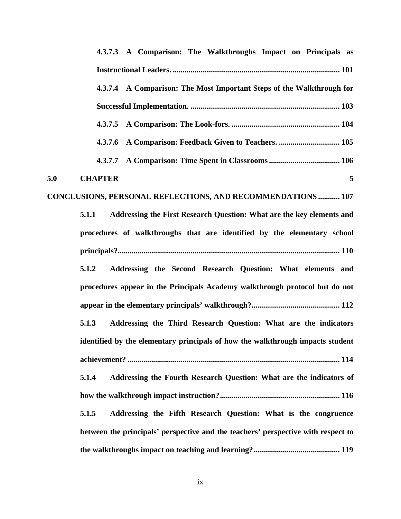| 4.3.7.3 A Comparison: The Walkthroughs Impact on Principals as                    |
|-----------------------------------------------------------------------------------|
|                                                                                   |
| 4.3.7.4 A Comparison: The Most Important Steps of the Walkthrough for             |
|                                                                                   |
| 4.3.7.5                                                                           |
| 4.3.7.6                                                                           |
| 4.3.7.7                                                                           |
| 5.0<br><b>CHAPTER</b><br>5                                                        |
| CONCLUSIONS, PERSONAL REFLECTIONS, AND RECOMMENDATIONS  107                       |
| Addressing the First Research Question: What are the key elements and<br>5.1.1    |
| procedures of walkthroughs that are identified by the elementary school           |
|                                                                                   |
| Addressing the Second Research Question: What elements and<br>5.1.2               |
| procedures appear in the Principals Academy walkthrough protocol but do not       |
|                                                                                   |
| 5.1.3<br>Addressing the Third Research Question: What are the indicators          |
| identified by the elementary principals of how the walkthrough impacts student    |
|                                                                                   |
| Addressing the Fourth Research Question: What are the indicators of<br>5.1.4      |
|                                                                                   |
| 5.1.5<br>Addressing the Fifth Research Question: What is the congruence           |
| between the principals' perspective and the teachers' perspective with respect to |
|                                                                                   |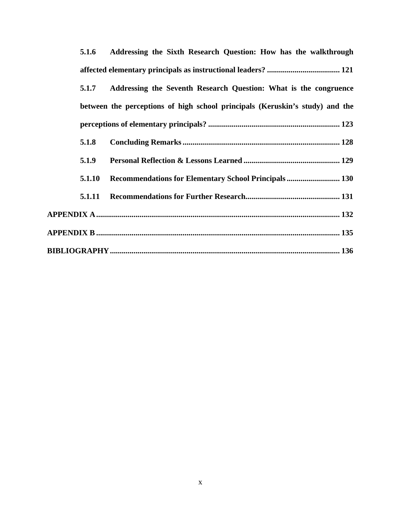| 5.1.6  | Addressing the Sixth Research Question: How has the walkthrough              |
|--------|------------------------------------------------------------------------------|
|        |                                                                              |
| 5.1.7  | Addressing the Seventh Research Question: What is the congruence             |
|        | between the perceptions of high school principals (Keruskin's study) and the |
|        |                                                                              |
| 5.1.8  |                                                                              |
| 5.1.9  |                                                                              |
| 5.1.10 | Recommendations for Elementary School Principals 130                         |
| 5.1.11 |                                                                              |
|        |                                                                              |
|        |                                                                              |
|        |                                                                              |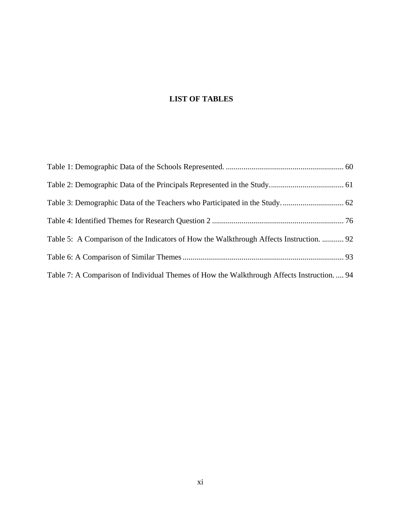# **LIST OF TABLES**

| Table 5: A Comparison of the Indicators of How the Walkthrough Affects Instruction.  92    |  |
|--------------------------------------------------------------------------------------------|--|
|                                                                                            |  |
| Table 7: A Comparison of Individual Themes of How the Walkthrough Affects Instruction.  94 |  |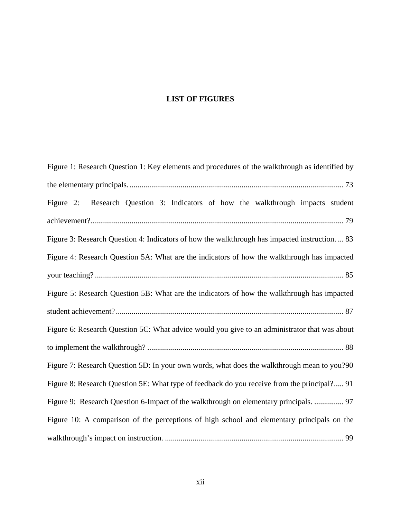## **LIST OF FIGURES**

| Figure 1: Research Question 1: Key elements and procedures of the walkthrough as identified by |
|------------------------------------------------------------------------------------------------|
|                                                                                                |
| Research Question 3: Indicators of how the walkthrough impacts student<br>Figure $2$ :         |
|                                                                                                |
| Figure 3: Research Question 4: Indicators of how the walkthrough has impacted instruction.  83 |
| Figure 4: Research Question 5A: What are the indicators of how the walkthrough has impacted    |
|                                                                                                |
| Figure 5: Research Question 5B: What are the indicators of how the walkthrough has impacted    |
|                                                                                                |
| Figure 6: Research Question 5C: What advice would you give to an administrator that was about  |
|                                                                                                |
| Figure 7: Research Question 5D: In your own words, what does the walkthrough mean to you?90    |
| Figure 8: Research Question 5E: What type of feedback do you receive from the principal? 91    |
| Figure 9: Research Question 6-Impact of the walkthrough on elementary principals.  97          |
| Figure 10: A comparison of the perceptions of high school and elementary principals on the     |
|                                                                                                |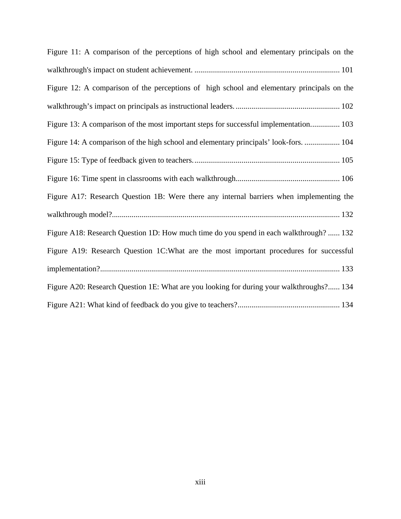| Figure 11: A comparison of the perceptions of high school and elementary principals on the |
|--------------------------------------------------------------------------------------------|
|                                                                                            |
| Figure 12: A comparison of the perceptions of high school and elementary principals on the |
|                                                                                            |
| Figure 13: A comparison of the most important steps for successful implementation 103      |
| Figure 14: A comparison of the high school and elementary principals' look-fors.  104      |
|                                                                                            |
|                                                                                            |
| Figure A17: Research Question 1B: Were there any internal barriers when implementing the   |
|                                                                                            |
| Figure A18: Research Question 1D: How much time do you spend in each walkthrough?  132     |
| Figure A19: Research Question 1C: What are the most important procedures for successful    |
|                                                                                            |
| Figure A20: Research Question 1E: What are you looking for during your walkthroughs? 134   |
|                                                                                            |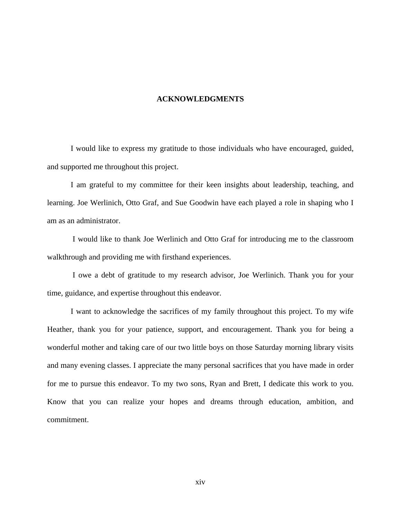#### **ACKNOWLEDGMENTS**

<span id="page-13-0"></span>I would like to express my gratitude to those individuals who have encouraged, guided, and supported me throughout this project.

I am grateful to my committee for their keen insights about leadership, teaching, and learning. Joe Werlinich, Otto Graf, and Sue Goodwin have each played a role in shaping who I am as an administrator.

 I would like to thank Joe Werlinich and Otto Graf for introducing me to the classroom walkthrough and providing me with firsthand experiences.

 I owe a debt of gratitude to my research advisor, Joe Werlinich. Thank you for your time, guidance, and expertise throughout this endeavor.

I want to acknowledge the sacrifices of my family throughout this project. To my wife Heather, thank you for your patience, support, and encouragement. Thank you for being a wonderful mother and taking care of our two little boys on those Saturday morning library visits and many evening classes. I appreciate the many personal sacrifices that you have made in order for me to pursue this endeavor. To my two sons, Ryan and Brett, I dedicate this work to you. Know that you can realize your hopes and dreams through education, ambition, and commitment.

xiv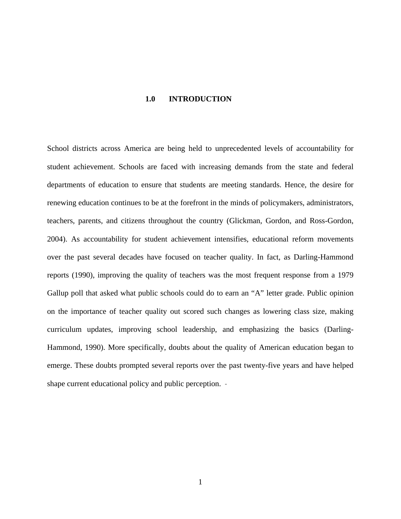#### **1.0 INTRODUCTION**

<span id="page-14-0"></span>School districts across America are being held to unprecedented levels of accountability for student achievement. Schools are faced with increasing demands from the state and federal departments of education to ensure that students are meeting standards. Hence, the desire for renewing education continues to be at the forefront in the minds of policymakers, administrators, teachers, parents, and citizens throughout the country (Glickman, Gordon, and Ross-Gordon, 2004). As accountability for student achievement intensifies, educational reform movements over the past several decades have focused on teacher quality. In fact, as Darling-Hammond reports (1990), improving the quality of teachers was the most frequent response from a 1979 Gallup poll that asked what public schools could do to earn an "A" letter grade. Public opinion on the importance of teacher quality out scored such changes as lowering class size, making curriculum updates, improving school leadership, and emphasizing the basics (Darling-Hammond, 1990). More specifically, doubts about the quality of American education began to emerge. These doubts prompted several reports over the past twenty-five years and have helped shape current educational policy and public perception.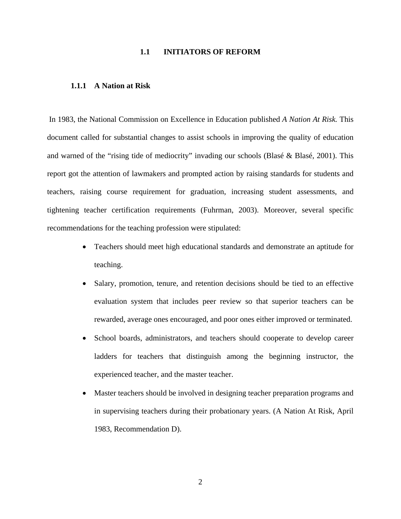#### **1.1 INITIATORS OF REFORM**

#### <span id="page-15-0"></span>**1.1.1 A Nation at Risk**

 In 1983, the National Commission on Excellence in Education published *A Nation At Risk.* This document called for substantial changes to assist schools in improving the quality of education and warned of the "rising tide of mediocrity" invading our schools (Blasé & Blasé, 2001). This report got the attention of lawmakers and prompted action by raising standards for students and teachers, raising course requirement for graduation, increasing student assessments, and tightening teacher certification requirements (Fuhrman, 2003). Moreover, several specific recommendations for the teaching profession were stipulated:

- Teachers should meet high educational standards and demonstrate an aptitude for teaching.
- Salary, promotion, tenure, and retention decisions should be tied to an effective evaluation system that includes peer review so that superior teachers can be rewarded, average ones encouraged, and poor ones either improved or terminated.
- School boards, administrators, and teachers should cooperate to develop career ladders for teachers that distinguish among the beginning instructor, the experienced teacher, and the master teacher.
- Master teachers should be involved in designing teacher preparation programs and in supervising teachers during their probationary years. (A Nation At Risk, April 1983, Recommendation D).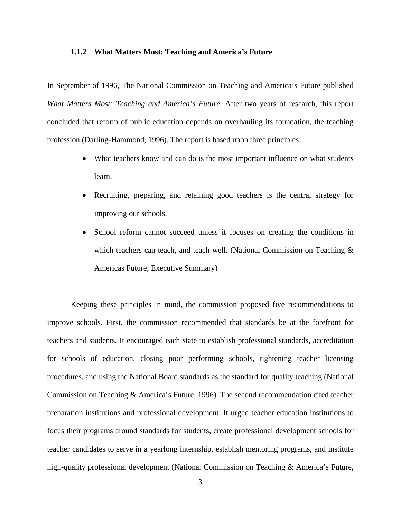#### <span id="page-16-0"></span>**1.1.2 What Matters Most: Teaching and America's Future**

In September of 1996, The National Commission on Teaching and America's Future published *What Matters Most: Teaching and America's Future*. After two years of research, this report concluded that reform of public education depends on overhauling its foundation, the teaching profession (Darling-Hammond, 1996). The report is based upon three principles:

- What teachers know and can do is the most important influence on what students learn.
- Recruiting, preparing, and retaining good teachers is the central strategy for improving our schools.
- School reform cannot succeed unless it focuses on creating the conditions in which teachers can teach, and teach well. (National Commission on Teaching  $\&$ Americas Future; Executive Summary)

Keeping these principles in mind, the commission proposed five recommendations to improve schools. First, the commission recommended that standards be at the forefront for teachers and students. It encouraged each state to establish professional standards, accreditation for schools of education, closing poor performing schools, tightening teacher licensing procedures, and using the National Board standards as the standard for quality teaching (National Commission on Teaching & America's Future, 1996). The second recommendation cited teacher preparation institutions and professional development. It urged teacher education institutions to focus their programs around standards for students, create professional development schools for teacher candidates to serve in a yearlong internship, establish mentoring programs, and institute high-quality professional development (National Commission on Teaching & America's Future,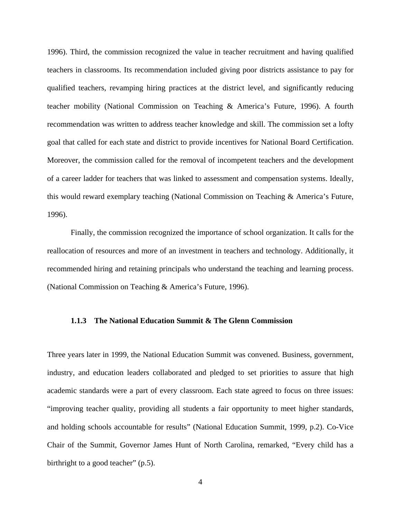<span id="page-17-0"></span>1996). Third, the commission recognized the value in teacher recruitment and having qualified teachers in classrooms. Its recommendation included giving poor districts assistance to pay for qualified teachers, revamping hiring practices at the district level, and significantly reducing teacher mobility (National Commission on Teaching & America's Future, 1996). A fourth recommendation was written to address teacher knowledge and skill. The commission set a lofty goal that called for each state and district to provide incentives for National Board Certification. Moreover, the commission called for the removal of incompetent teachers and the development of a career ladder for teachers that was linked to assessment and compensation systems. Ideally, this would reward exemplary teaching (National Commission on Teaching & America's Future, 1996).

Finally, the commission recognized the importance of school organization. It calls for the reallocation of resources and more of an investment in teachers and technology. Additionally, it recommended hiring and retaining principals who understand the teaching and learning process. (National Commission on Teaching & America's Future, 1996).

#### **1.1.3 The National Education Summit & The Glenn Commission**

Three years later in 1999, the National Education Summit was convened. Business, government, industry, and education leaders collaborated and pledged to set priorities to assure that high academic standards were a part of every classroom. Each state agreed to focus on three issues: "improving teacher quality, providing all students a fair opportunity to meet higher standards, and holding schools accountable for results" (National Education Summit, 1999, p.2). Co-Vice Chair of the Summit, Governor James Hunt of North Carolina, remarked, "Every child has a birthright to a good teacher" (p.5).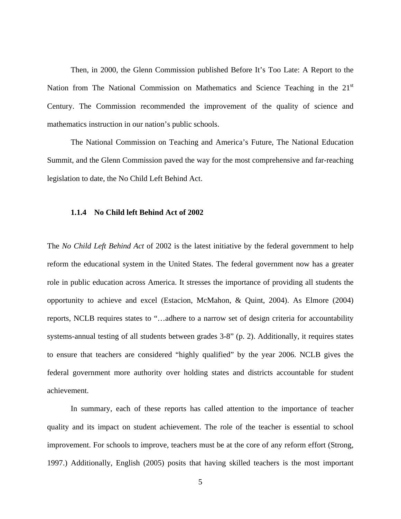<span id="page-18-0"></span>Then, in 2000, the Glenn Commission published Before It's Too Late: A Report to the Nation from The National Commission on Mathematics and Science Teaching in the 21<sup>st</sup> Century. The Commission recommended the improvement of the quality of science and mathematics instruction in our nation's public schools.

The National Commission on Teaching and America's Future, The National Education Summit, and the Glenn Commission paved the way for the most comprehensive and far-reaching legislation to date, the No Child Left Behind Act.

#### **1.1.4 No Child left Behind Act of 2002**

The *No Child Left Behind Act* of 2002 is the latest initiative by the federal government to help reform the educational system in the United States. The federal government now has a greater role in public education across America. It stresses the importance of providing all students the opportunity to achieve and excel (Estacion, McMahon, & Quint, 2004). As Elmore (2004) reports, NCLB requires states to "…adhere to a narrow set of design criteria for accountability systems-annual testing of all students between grades 3-8" (p. 2). Additionally, it requires states to ensure that teachers are considered "highly qualified" by the year 2006. NCLB gives the federal government more authority over holding states and districts accountable for student achievement.

In summary, each of these reports has called attention to the importance of teacher quality and its impact on student achievement. The role of the teacher is essential to school improvement. For schools to improve, teachers must be at the core of any reform effort (Strong, 1997.) Additionally, English (2005) posits that having skilled teachers is the most important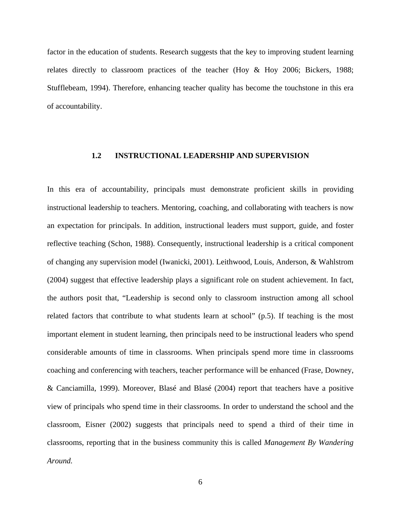<span id="page-19-0"></span>factor in the education of students. Research suggests that the key to improving student learning relates directly to classroom practices of the teacher (Hoy & Hoy 2006; Bickers, 1988; Stufflebeam, 1994). Therefore, enhancing teacher quality has become the touchstone in this era of accountability.

#### **1.2 INSTRUCTIONAL LEADERSHIP AND SUPERVISION**

In this era of accountability, principals must demonstrate proficient skills in providing instructional leadership to teachers. Mentoring, coaching, and collaborating with teachers is now an expectation for principals. In addition, instructional leaders must support, guide, and foster reflective teaching (Schon, 1988). Consequently, instructional leadership is a critical component of changing any supervision model (Iwanicki, 2001). Leithwood, Louis, Anderson, & Wahlstrom (2004) suggest that effective leadership plays a significant role on student achievement. In fact, the authors posit that, "Leadership is second only to classroom instruction among all school related factors that contribute to what students learn at school" (p.5). If teaching is the most important element in student learning, then principals need to be instructional leaders who spend considerable amounts of time in classrooms. When principals spend more time in classrooms coaching and conferencing with teachers, teacher performance will be enhanced (Frase, Downey, & Canciamilla, 1999). Moreover, Blasé and Blasé (2004) report that teachers have a positive view of principals who spend time in their classrooms. In order to understand the school and the classroom, Eisner (2002) suggests that principals need to spend a third of their time in classrooms, reporting that in the business community this is called *Management By Wandering Around.*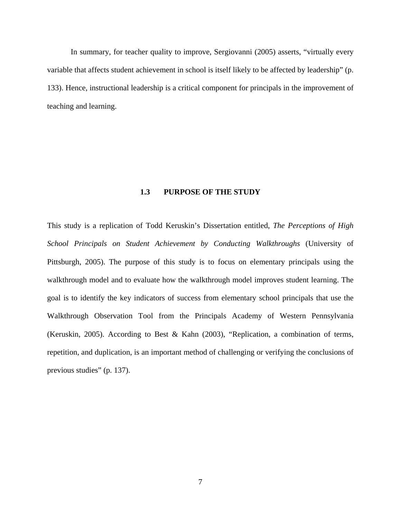<span id="page-20-0"></span>In summary, for teacher quality to improve, Sergiovanni (2005) asserts, "virtually every variable that affects student achievement in school is itself likely to be affected by leadership" (p. 133). Hence, instructional leadership is a critical component for principals in the improvement of teaching and learning.

#### **1.3 PURPOSE OF THE STUDY**

This study is a replication of Todd Keruskin's Dissertation entitled, *The Perceptions of High School Principals on Student Achievement by Conducting Walkthroughs* (University of Pittsburgh, 2005). The purpose of this study is to focus on elementary principals using the walkthrough model and to evaluate how the walkthrough model improves student learning. The goal is to identify the key indicators of success from elementary school principals that use the Walkthrough Observation Tool from the Principals Academy of Western Pennsylvania (Keruskin, 2005). According to Best & Kahn (2003), "Replication, a combination of terms, repetition, and duplication, is an important method of challenging or verifying the conclusions of previous studies" (p. 137).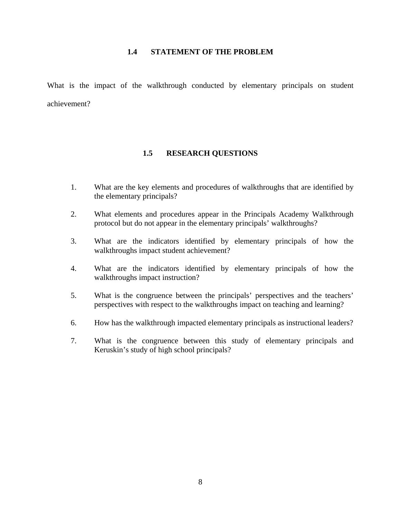#### **1.4 STATEMENT OF THE PROBLEM**

<span id="page-21-0"></span>What is the impact of the walkthrough conducted by elementary principals on student achievement?

#### **1.5 RESEARCH QUESTIONS**

- 1. What are the key elements and procedures of walkthroughs that are identified by the elementary principals?
- 2. What elements and procedures appear in the Principals Academy Walkthrough protocol but do not appear in the elementary principals' walkthroughs?
- 3. What are the indicators identified by elementary principals of how the walkthroughs impact student achievement?
- 4. What are the indicators identified by elementary principals of how the walkthroughs impact instruction?
- 5. What is the congruence between the principals' perspectives and the teachers' perspectives with respect to the walkthroughs impact on teaching and learning?
- 6. How has the walkthrough impacted elementary principals as instructional leaders?
- 7. What is the congruence between this study of elementary principals and Keruskin's study of high school principals?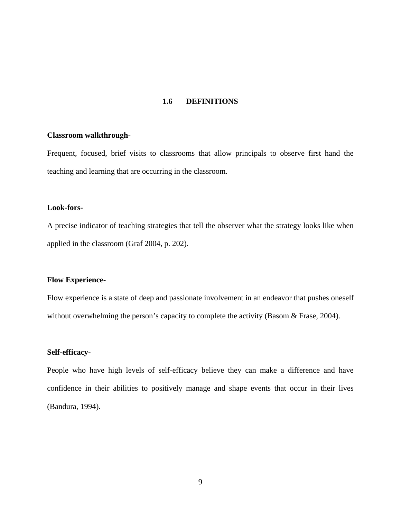### **1.6 DEFINITIONS**

#### <span id="page-22-0"></span>**Classroom walkthrough-**

Frequent, focused, brief visits to classrooms that allow principals to observe first hand the teaching and learning that are occurring in the classroom.

#### **Look-fors-**

A precise indicator of teaching strategies that tell the observer what the strategy looks like when applied in the classroom (Graf 2004, p. 202).

#### **Flow Experience-**

Flow experience is a state of deep and passionate involvement in an endeavor that pushes oneself without overwhelming the person's capacity to complete the activity (Basom & Frase, 2004).

#### **Self-efficacy-**

People who have high levels of self-efficacy believe they can make a difference and have confidence in their abilities to positively manage and shape events that occur in their lives (Bandura, 1994).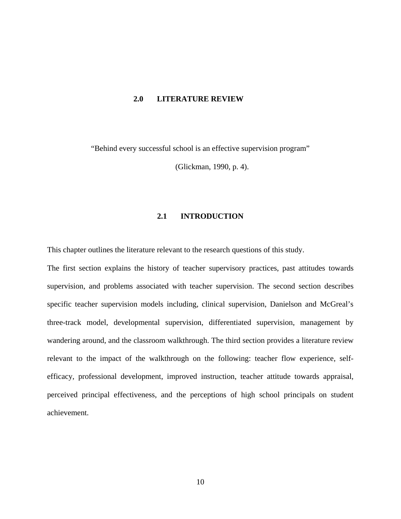#### <span id="page-23-0"></span>**2.0 LITERATURE REVIEW**

"Behind every successful school is an effective supervision program"

(Glickman, 1990, p. 4).

### **2.1 INTRODUCTION**

This chapter outlines the literature relevant to the research questions of this study.

The first section explains the history of teacher supervisory practices, past attitudes towards supervision, and problems associated with teacher supervision. The second section describes specific teacher supervision models including, clinical supervision, Danielson and McGreal's three-track model, developmental supervision, differentiated supervision, management by wandering around, and the classroom walkthrough. The third section provides a literature review relevant to the impact of the walkthrough on the following: teacher flow experience, selfefficacy, professional development, improved instruction, teacher attitude towards appraisal, perceived principal effectiveness, and the perceptions of high school principals on student achievement.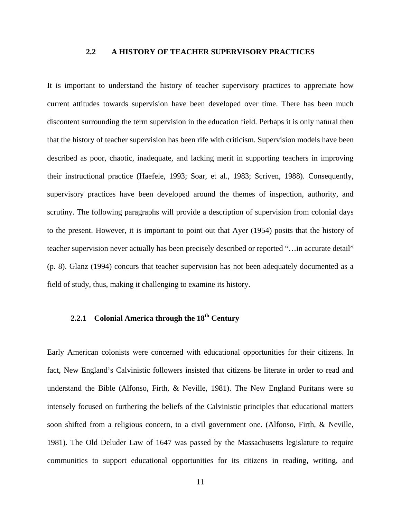#### **2.2 A HISTORY OF TEACHER SUPERVISORY PRACTICES**

<span id="page-24-0"></span>It is important to understand the history of teacher supervisory practices to appreciate how current attitudes towards supervision have been developed over time. There has been much discontent surrounding the term supervision in the education field. Perhaps it is only natural then that the history of teacher supervision has been rife with criticism. Supervision models have been described as poor, chaotic, inadequate, and lacking merit in supporting teachers in improving their instructional practice (Haefele, 1993; Soar, et al., 1983; Scriven, 1988). Consequently, supervisory practices have been developed around the themes of inspection, authority, and scrutiny. The following paragraphs will provide a description of supervision from colonial days to the present. However, it is important to point out that Ayer (1954) posits that the history of teacher supervision never actually has been precisely described or reported "…in accurate detail" (p. 8). Glanz (1994) concurs that teacher supervision has not been adequately documented as a field of study, thus, making it challenging to examine its history.

### **2.2.1** Colonial America through the 18<sup>th</sup> Century

Early American colonists were concerned with educational opportunities for their citizens. In fact, New England's Calvinistic followers insisted that citizens be literate in order to read and understand the Bible (Alfonso, Firth, & Neville, 1981). The New England Puritans were so intensely focused on furthering the beliefs of the Calvinistic principles that educational matters soon shifted from a religious concern, to a civil government one. (Alfonso, Firth, & Neville, 1981). The Old Deluder Law of 1647 was passed by the Massachusetts legislature to require communities to support educational opportunities for its citizens in reading, writing, and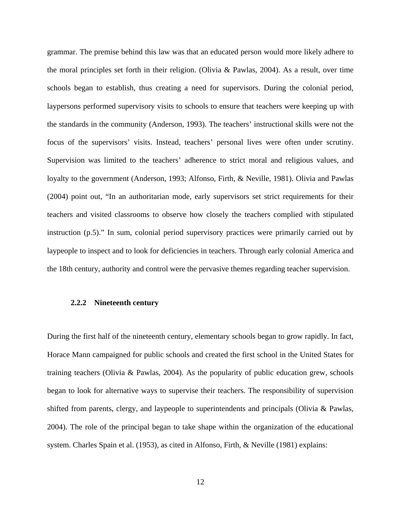<span id="page-25-0"></span>grammar. The premise behind this law was that an educated person would more likely adhere to the moral principles set forth in their religion. (Olivia & Pawlas, 2004). As a result, over time schools began to establish, thus creating a need for supervisors. During the colonial period, laypersons performed supervisory visits to schools to ensure that teachers were keeping up with the standards in the community (Anderson, 1993). The teachers' instructional skills were not the focus of the supervisors' visits. Instead, teachers' personal lives were often under scrutiny. Supervision was limited to the teachers' adherence to strict moral and religious values, and loyalty to the government (Anderson, 1993; Alfonso, Firth, & Neville, 1981). Olivia and Pawlas (2004) point out, "In an authoritarian mode, early supervisors set strict requirements for their teachers and visited classrooms to observe how closely the teachers complied with stipulated instruction (p.5)." In sum, colonial period supervisory practices were primarily carried out by laypeople to inspect and to look for deficiencies in teachers. Through early colonial America and the 18th century, authority and control were the pervasive themes regarding teacher supervision.

#### **2.2.2 Nineteenth century**

During the first half of the nineteenth century, elementary schools began to grow rapidly. In fact, Horace Mann campaigned for public schools and created the first school in the United States for training teachers (Olivia & Pawlas, 2004). As the popularity of public education grew, schools began to look for alternative ways to supervise their teachers. The responsibility of supervision shifted from parents, clergy, and laypeople to superintendents and principals (Olivia & Pawlas, 2004). The role of the principal began to take shape within the organization of the educational system. Charles Spain et al. (1953), as cited in Alfonso, Firth, & Neville (1981) explains: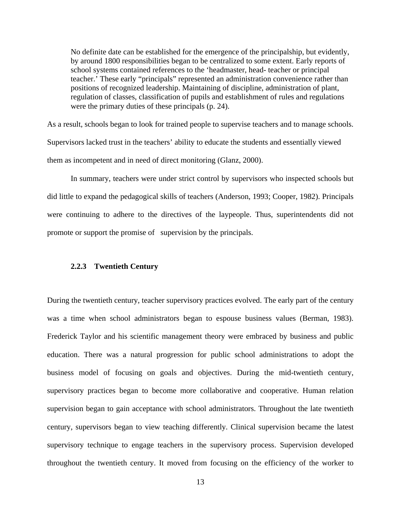<span id="page-26-0"></span>No definite date can be established for the emergence of the principalship, but evidently, by around 1800 responsibilities began to be centralized to some extent. Early reports of school systems contained references to the 'headmaster, head- teacher or principal teacher.' These early "principals" represented an administration convenience rather than positions of recognized leadership. Maintaining of discipline, administration of plant, regulation of classes, classification of pupils and establishment of rules and regulations were the primary duties of these principals (p. 24).

As a result, schools began to look for trained people to supervise teachers and to manage schools. Supervisors lacked trust in the teachers' ability to educate the students and essentially viewed them as incompetent and in need of direct monitoring (Glanz, 2000).

In summary, teachers were under strict control by supervisors who inspected schools but did little to expand the pedagogical skills of teachers (Anderson, 1993; Cooper, 1982). Principals were continuing to adhere to the directives of the laypeople. Thus, superintendents did not promote or support the promise of supervision by the principals.

#### **2.2.3 Twentieth Century**

During the twentieth century, teacher supervisory practices evolved. The early part of the century was a time when school administrators began to espouse business values (Berman, 1983). Frederick Taylor and his scientific management theory were embraced by business and public education. There was a natural progression for public school administrations to adopt the business model of focusing on goals and objectives. During the mid-twentieth century, supervisory practices began to become more collaborative and cooperative. Human relation supervision began to gain acceptance with school administrators. Throughout the late twentieth century, supervisors began to view teaching differently. Clinical supervision became the latest supervisory technique to engage teachers in the supervisory process. Supervision developed throughout the twentieth century. It moved from focusing on the efficiency of the worker to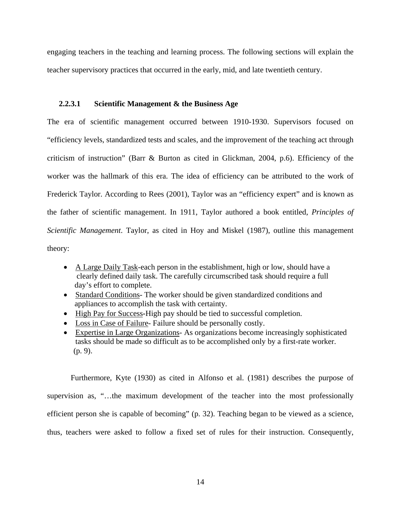<span id="page-27-0"></span>engaging teachers in the teaching and learning process. The following sections will explain the teacher supervisory practices that occurred in the early, mid, and late twentieth century.

#### **2.2.3.1 Scientific Management & the Business Age**

The era of scientific management occurred between 1910-1930. Supervisors focused on "efficiency levels, standardized tests and scales, and the improvement of the teaching act through criticism of instruction" (Barr & Burton as cited in Glickman, 2004, p.6). Efficiency of the worker was the hallmark of this era. The idea of efficiency can be attributed to the work of Frederick Taylor. According to Rees (2001), Taylor was an "efficiency expert" and is known as the father of scientific management. In 1911, Taylor authored a book entitled, *Principles of Scientific Management*. Taylor, as cited in Hoy and Miskel (1987), outline this management theory:

- A Large Daily Task-each person in the establishment, high or low, should have a clearly defined daily task. The carefully circumscribed task should require a full day's effort to complete.
- Standard Conditions- The worker should be given standardized conditions and appliances to accomplish the task with certainty.
- High Pay for Success*-*High pay should be tied to successful completion.
- Loss in Case of Failure- Failure should be personally costly.
- Expertise in Large Organizations*-* As organizations become increasingly sophisticated tasks should be made so difficult as to be accomplished only by a first-rate worker. (p. 9).

Furthermore, Kyte (1930) as cited in Alfonso et al. (1981) describes the purpose of supervision as, "…the maximum development of the teacher into the most professionally efficient person she is capable of becoming" (p. 32). Teaching began to be viewed as a science, thus, teachers were asked to follow a fixed set of rules for their instruction. Consequently,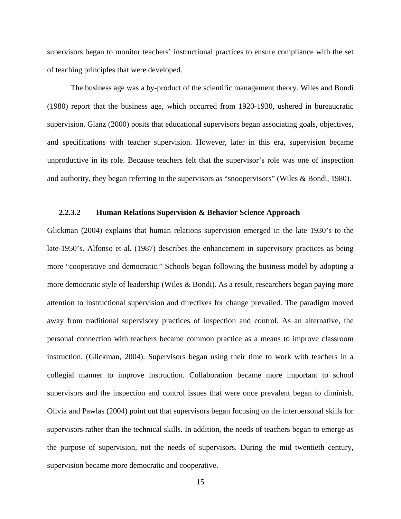<span id="page-28-0"></span>supervisors began to monitor teachers' instructional practices to ensure compliance with the set of teaching principles that were developed.

The business age was a by-product of the scientific management theory. Wiles and Bondi (1980) report that the business age, which occurred from 1920-1930, ushered in bureaucratic supervision. Glanz (2000) posits that educational supervisors began associating goals, objectives, and specifications with teacher supervision. However, later in this era, supervision became unproductive in its role. Because teachers felt that the supervisor's role was one of inspection and authority, they began referring to the supervisors as "snoopervisors" (Wiles & Bondi, 1980).

#### **2.2.3.2 Human Relations Supervision & Behavior Science Approach**

Glickman (2004) explains that human relations supervision emerged in the late 1930's to the late-1950's. Alfonso et al. (1987) describes the enhancement in supervisory practices as being more "cooperative and democratic." Schools began following the business model by adopting a more democratic style of leadership (Wiles & Bondi). As a result, researchers began paying more attention to instructional supervision and directives for change prevailed. The paradigm moved away from traditional supervisory practices of inspection and control. As an alternative, the personal connection with teachers became common practice as a means to improve classroom instruction. (Glickman, 2004). Supervisors began using their time to work with teachers in a collegial manner to improve instruction. Collaboration became more important to school supervisors and the inspection and control issues that were once prevalent began to diminish. Olivia and Pawlas (2004) point out that supervisors began focusing on the interpersonal skills for supervisors rather than the technical skills. In addition, the needs of teachers began to emerge as the purpose of supervision, not the needs of supervisors. During the mid twentieth century, supervision became more democratic and cooperative.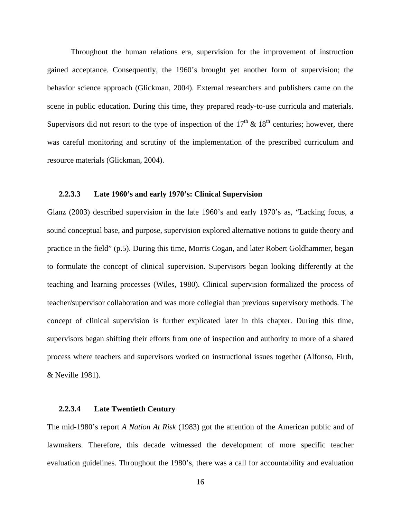<span id="page-29-0"></span>Throughout the human relations era, supervision for the improvement of instruction gained acceptance. Consequently, the 1960's brought yet another form of supervision; the behavior science approach (Glickman, 2004). External researchers and publishers came on the scene in public education. During this time, they prepared ready-to-use curricula and materials. Supervisors did not resort to the type of inspection of the  $17<sup>th</sup>$  &  $18<sup>th</sup>$  centuries; however, there was careful monitoring and scrutiny of the implementation of the prescribed curriculum and resource materials (Glickman, 2004).

#### **2.2.3.3 Late 1960's and early 1970's: Clinical Supervision**

Glanz (2003) described supervision in the late 1960's and early 1970's as, "Lacking focus, a sound conceptual base, and purpose, supervision explored alternative notions to guide theory and practice in the field" (p.5). During this time, Morris Cogan, and later Robert Goldhammer, began to formulate the concept of clinical supervision. Supervisors began looking differently at the teaching and learning processes (Wiles, 1980). Clinical supervision formalized the process of teacher/supervisor collaboration and was more collegial than previous supervisory methods. The concept of clinical supervision is further explicated later in this chapter. During this time, supervisors began shifting their efforts from one of inspection and authority to more of a shared process where teachers and supervisors worked on instructional issues together (Alfonso, Firth, & Neville 1981).

#### **2.2.3.4 Late Twentieth Century**

The mid-1980's report *A Nation At Risk* (1983) got the attention of the American public and of lawmakers. Therefore, this decade witnessed the development of more specific teacher evaluation guidelines. Throughout the 1980's, there was a call for accountability and evaluation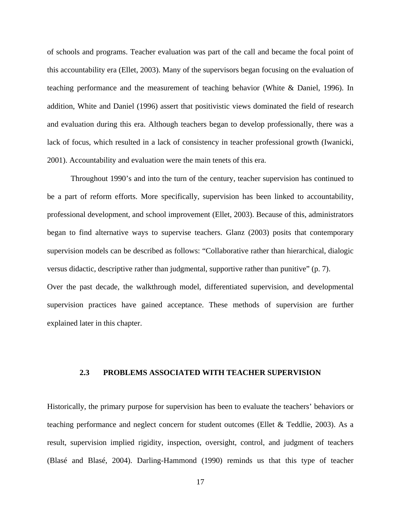<span id="page-30-0"></span>of schools and programs. Teacher evaluation was part of the call and became the focal point of this accountability era (Ellet, 2003). Many of the supervisors began focusing on the evaluation of teaching performance and the measurement of teaching behavior (White & Daniel, 1996). In addition, White and Daniel (1996) assert that positivistic views dominated the field of research and evaluation during this era. Although teachers began to develop professionally, there was a lack of focus, which resulted in a lack of consistency in teacher professional growth (Iwanicki, 2001). Accountability and evaluation were the main tenets of this era.

Throughout 1990's and into the turn of the century, teacher supervision has continued to be a part of reform efforts. More specifically, supervision has been linked to accountability, professional development, and school improvement (Ellet, 2003). Because of this, administrators began to find alternative ways to supervise teachers. Glanz (2003) posits that contemporary supervision models can be described as follows: "Collaborative rather than hierarchical, dialogic versus didactic, descriptive rather than judgmental, supportive rather than punitive" (p. 7). Over the past decade, the walkthrough model, differentiated supervision, and developmental supervision practices have gained acceptance. These methods of supervision are further explained later in this chapter.

### **2.3 PROBLEMS ASSOCIATED WITH TEACHER SUPERVISION**

Historically, the primary purpose for supervision has been to evaluate the teachers' behaviors or teaching performance and neglect concern for student outcomes (Ellet & Teddlie, 2003). As a result, supervision implied rigidity, inspection, oversight, control, and judgment of teachers (Blasé and Blasé, 2004). Darling-Hammond (1990) reminds us that this type of teacher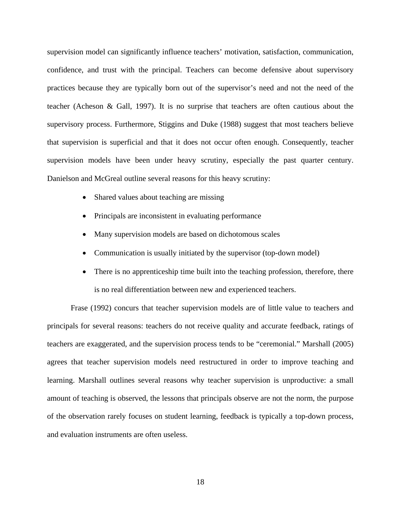supervision model can significantly influence teachers' motivation, satisfaction, communication, confidence, and trust with the principal. Teachers can become defensive about supervisory practices because they are typically born out of the supervisor's need and not the need of the teacher (Acheson & Gall, 1997). It is no surprise that teachers are often cautious about the supervisory process. Furthermore, Stiggins and Duke (1988) suggest that most teachers believe that supervision is superficial and that it does not occur often enough. Consequently, teacher supervision models have been under heavy scrutiny, especially the past quarter century. Danielson and McGreal outline several reasons for this heavy scrutiny:

- Shared values about teaching are missing
- Principals are inconsistent in evaluating performance
- Many supervision models are based on dichotomous scales
- Communication is usually initiated by the supervisor (top-down model)
- There is no apprenticeship time built into the teaching profession, therefore, there is no real differentiation between new and experienced teachers.

Frase (1992) concurs that teacher supervision models are of little value to teachers and principals for several reasons: teachers do not receive quality and accurate feedback, ratings of teachers are exaggerated, and the supervision process tends to be "ceremonial." Marshall (2005) agrees that teacher supervision models need restructured in order to improve teaching and learning. Marshall outlines several reasons why teacher supervision is unproductive: a small amount of teaching is observed, the lessons that principals observe are not the norm, the purpose of the observation rarely focuses on student learning, feedback is typically a top-down process, and evaluation instruments are often useless.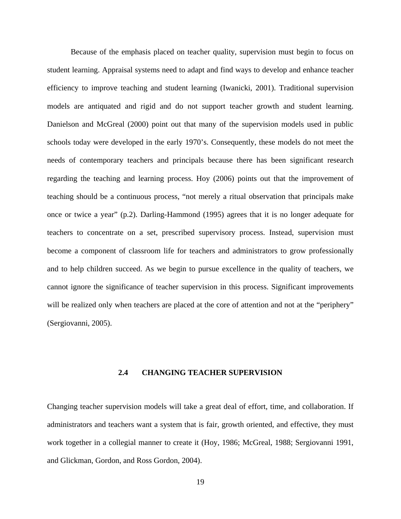<span id="page-32-0"></span>Because of the emphasis placed on teacher quality, supervision must begin to focus on student learning. Appraisal systems need to adapt and find ways to develop and enhance teacher efficiency to improve teaching and student learning (Iwanicki, 2001). Traditional supervision models are antiquated and rigid and do not support teacher growth and student learning. Danielson and McGreal (2000) point out that many of the supervision models used in public schools today were developed in the early 1970's. Consequently, these models do not meet the needs of contemporary teachers and principals because there has been significant research regarding the teaching and learning process. Hoy (2006) points out that the improvement of teaching should be a continuous process, "not merely a ritual observation that principals make once or twice a year" (p.2). Darling-Hammond (1995) agrees that it is no longer adequate for teachers to concentrate on a set, prescribed supervisory process. Instead, supervision must become a component of classroom life for teachers and administrators to grow professionally and to help children succeed. As we begin to pursue excellence in the quality of teachers, we cannot ignore the significance of teacher supervision in this process. Significant improvements will be realized only when teachers are placed at the core of attention and not at the "periphery" (Sergiovanni, 2005).

#### **2.4 CHANGING TEACHER SUPERVISION**

Changing teacher supervision models will take a great deal of effort, time, and collaboration. If administrators and teachers want a system that is fair, growth oriented, and effective, they must work together in a collegial manner to create it (Hoy, 1986; McGreal, 1988; Sergiovanni 1991, and Glickman, Gordon, and Ross Gordon, 2004).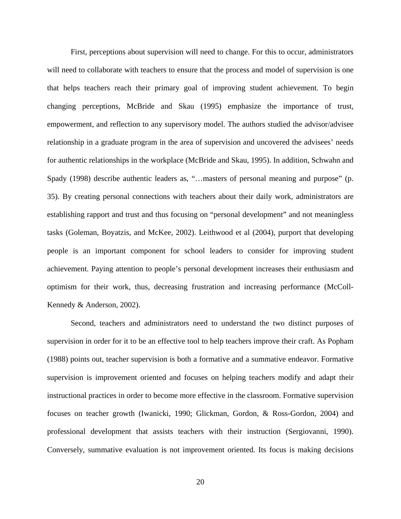First, perceptions about supervision will need to change. For this to occur, administrators will need to collaborate with teachers to ensure that the process and model of supervision is one that helps teachers reach their primary goal of improving student achievement. To begin changing perceptions, McBride and Skau (1995) emphasize the importance of trust, empowerment, and reflection to any supervisory model. The authors studied the advisor/advisee relationship in a graduate program in the area of supervision and uncovered the advisees' needs for authentic relationships in the workplace (McBride and Skau, 1995). In addition, Schwahn and Spady (1998) describe authentic leaders as, "…masters of personal meaning and purpose" (p. 35). By creating personal connections with teachers about their daily work, administrators are establishing rapport and trust and thus focusing on "personal development" and not meaningless tasks (Goleman, Boyatzis, and McKee, 2002). Leithwood et al (2004), purport that developing people is an important component for school leaders to consider for improving student achievement. Paying attention to people's personal development increases their enthusiasm and optimism for their work, thus, decreasing frustration and increasing performance (McColl-Kennedy & Anderson, 2002).

Second, teachers and administrators need to understand the two distinct purposes of supervision in order for it to be an effective tool to help teachers improve their craft. As Popham (1988) points out, teacher supervision is both a formative and a summative endeavor. Formative supervision is improvement oriented and focuses on helping teachers modify and adapt their instructional practices in order to become more effective in the classroom. Formative supervision focuses on teacher growth (Iwanicki, 1990; Glickman, Gordon, & Ross-Gordon, 2004) and professional development that assists teachers with their instruction (Sergiovanni, 1990). Conversely, summative evaluation is not improvement oriented. Its focus is making decisions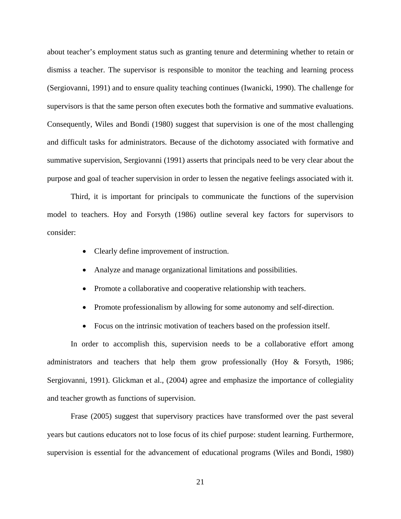about teacher's employment status such as granting tenure and determining whether to retain or dismiss a teacher. The supervisor is responsible to monitor the teaching and learning process (Sergiovanni, 1991) and to ensure quality teaching continues (Iwanicki, 1990). The challenge for supervisors is that the same person often executes both the formative and summative evaluations. Consequently, Wiles and Bondi (1980) suggest that supervision is one of the most challenging and difficult tasks for administrators. Because of the dichotomy associated with formative and summative supervision, Sergiovanni (1991) asserts that principals need to be very clear about the purpose and goal of teacher supervision in order to lessen the negative feelings associated with it.

Third, it is important for principals to communicate the functions of the supervision model to teachers. Hoy and Forsyth (1986) outline several key factors for supervisors to consider:

- Clearly define improvement of instruction.
- Analyze and manage organizational limitations and possibilities.
- Promote a collaborative and cooperative relationship with teachers.
- Promote professionalism by allowing for some autonomy and self-direction.
- Focus on the intrinsic motivation of teachers based on the profession itself.

In order to accomplish this, supervision needs to be a collaborative effort among administrators and teachers that help them grow professionally (Hoy & Forsyth, 1986; Sergiovanni, 1991). Glickman et al., (2004) agree and emphasize the importance of collegiality and teacher growth as functions of supervision.

Frase (2005) suggest that supervisory practices have transformed over the past several years but cautions educators not to lose focus of its chief purpose: student learning. Furthermore, supervision is essential for the advancement of educational programs (Wiles and Bondi, 1980)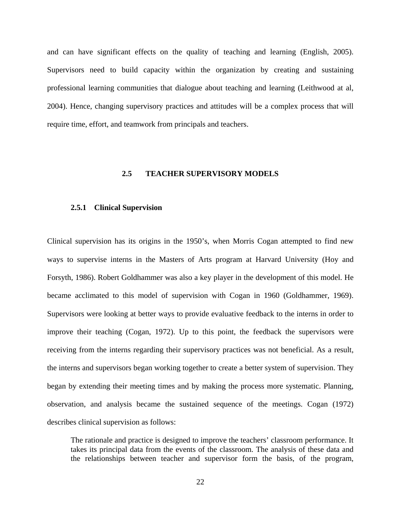<span id="page-35-0"></span>and can have significant effects on the quality of teaching and learning (English, 2005). Supervisors need to build capacity within the organization by creating and sustaining professional learning communities that dialogue about teaching and learning (Leithwood at al, 2004). Hence, changing supervisory practices and attitudes will be a complex process that will require time, effort, and teamwork from principals and teachers.

#### **2.5 TEACHER SUPERVISORY MODELS**

#### **2.5.1 Clinical Supervision**

Clinical supervision has its origins in the 1950's, when Morris Cogan attempted to find new ways to supervise interns in the Masters of Arts program at Harvard University (Hoy and Forsyth, 1986). Robert Goldhammer was also a key player in the development of this model. He became acclimated to this model of supervision with Cogan in 1960 (Goldhammer, 1969). Supervisors were looking at better ways to provide evaluative feedback to the interns in order to improve their teaching (Cogan, 1972). Up to this point, the feedback the supervisors were receiving from the interns regarding their supervisory practices was not beneficial. As a result, the interns and supervisors began working together to create a better system of supervision. They began by extending their meeting times and by making the process more systematic. Planning, observation, and analysis became the sustained sequence of the meetings. Cogan (1972) describes clinical supervision as follows:

The rationale and practice is designed to improve the teachers' classroom performance. It takes its principal data from the events of the classroom. The analysis of these data and the relationships between teacher and supervisor form the basis, of the program,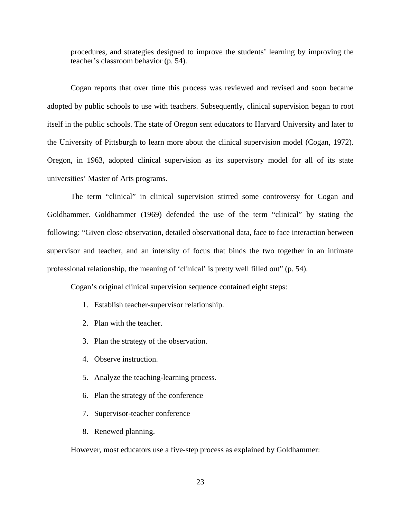procedures, and strategies designed to improve the students' learning by improving the teacher's classroom behavior (p. 54).

Cogan reports that over time this process was reviewed and revised and soon became adopted by public schools to use with teachers. Subsequently, clinical supervision began to root itself in the public schools. The state of Oregon sent educators to Harvard University and later to the University of Pittsburgh to learn more about the clinical supervision model (Cogan, 1972). Oregon, in 1963, adopted clinical supervision as its supervisory model for all of its state universities' Master of Arts programs.

The term "clinical" in clinical supervision stirred some controversy for Cogan and Goldhammer. Goldhammer (1969) defended the use of the term "clinical" by stating the following: "Given close observation, detailed observational data, face to face interaction between supervisor and teacher, and an intensity of focus that binds the two together in an intimate professional relationship, the meaning of 'clinical' is pretty well filled out" (p. 54).

Cogan's original clinical supervision sequence contained eight steps:

- 1. Establish teacher-supervisor relationship.
- 2. Plan with the teacher.
- 3. Plan the strategy of the observation.
- 4. Observe instruction.
- 5. Analyze the teaching-learning process.
- 6. Plan the strategy of the conference
- 7. Supervisor-teacher conference
- 8. Renewed planning.

However, most educators use a five-step process as explained by Goldhammer: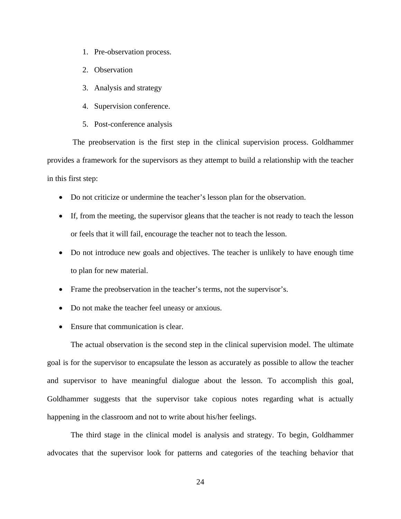- 1. Pre-observation process.
- 2. Observation
- 3. Analysis and strategy
- 4. Supervision conference.
- 5. Post-conference analysis

 The preobservation is the first step in the clinical supervision process. Goldhammer provides a framework for the supervisors as they attempt to build a relationship with the teacher in this first step:

- Do not criticize or undermine the teacher's lesson plan for the observation.
- If, from the meeting, the supervisor gleans that the teacher is not ready to teach the lesson or feels that it will fail, encourage the teacher not to teach the lesson.
- Do not introduce new goals and objectives. The teacher is unlikely to have enough time to plan for new material.
- Frame the preobservation in the teacher's terms, not the supervisor's.
- Do not make the teacher feel uneasy or anxious.
- Ensure that communication is clear.

The actual observation is the second step in the clinical supervision model. The ultimate goal is for the supervisor to encapsulate the lesson as accurately as possible to allow the teacher and supervisor to have meaningful dialogue about the lesson. To accomplish this goal, Goldhammer suggests that the supervisor take copious notes regarding what is actually happening in the classroom and not to write about his/her feelings.

The third stage in the clinical model is analysis and strategy. To begin, Goldhammer advocates that the supervisor look for patterns and categories of the teaching behavior that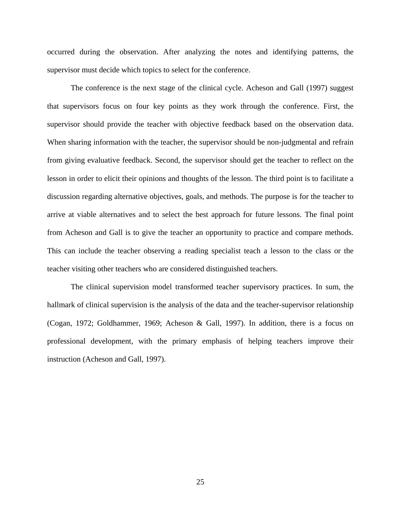occurred during the observation. After analyzing the notes and identifying patterns, the supervisor must decide which topics to select for the conference.

The conference is the next stage of the clinical cycle. Acheson and Gall (1997) suggest that supervisors focus on four key points as they work through the conference. First, the supervisor should provide the teacher with objective feedback based on the observation data. When sharing information with the teacher, the supervisor should be non-judgmental and refrain from giving evaluative feedback. Second, the supervisor should get the teacher to reflect on the lesson in order to elicit their opinions and thoughts of the lesson. The third point is to facilitate a discussion regarding alternative objectives, goals, and methods. The purpose is for the teacher to arrive at viable alternatives and to select the best approach for future lessons. The final point from Acheson and Gall is to give the teacher an opportunity to practice and compare methods. This can include the teacher observing a reading specialist teach a lesson to the class or the teacher visiting other teachers who are considered distinguished teachers.

The clinical supervision model transformed teacher supervisory practices. In sum, the hallmark of clinical supervision is the analysis of the data and the teacher-supervisor relationship (Cogan, 1972; Goldhammer, 1969; Acheson & Gall, 1997). In addition, there is a focus on professional development, with the primary emphasis of helping teachers improve their instruction (Acheson and Gall, 1997).

25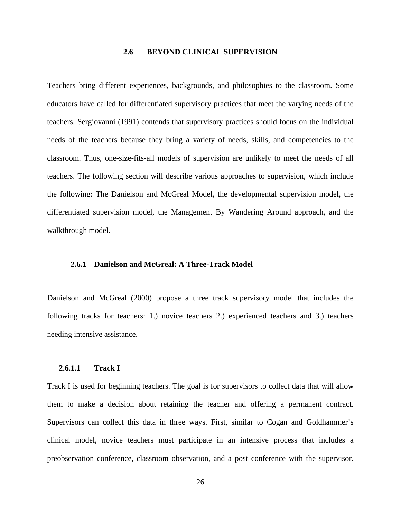#### **2.6 BEYOND CLINICAL SUPERVISION**

Teachers bring different experiences, backgrounds, and philosophies to the classroom. Some educators have called for differentiated supervisory practices that meet the varying needs of the teachers. Sergiovanni (1991) contends that supervisory practices should focus on the individual needs of the teachers because they bring a variety of needs, skills, and competencies to the classroom. Thus, one-size-fits-all models of supervision are unlikely to meet the needs of all teachers. The following section will describe various approaches to supervision, which include the following: The Danielson and McGreal Model, the developmental supervision model, the differentiated supervision model, the Management By Wandering Around approach, and the walkthrough model.

# **2.6.1 Danielson and McGreal: A Three-Track Model**

Danielson and McGreal (2000) propose a three track supervisory model that includes the following tracks for teachers: 1.) novice teachers 2.) experienced teachers and 3.) teachers needing intensive assistance.

# **2.6.1.1 Track I**

Track I is used for beginning teachers. The goal is for supervisors to collect data that will allow them to make a decision about retaining the teacher and offering a permanent contract. Supervisors can collect this data in three ways. First, similar to Cogan and Goldhammer's clinical model, novice teachers must participate in an intensive process that includes a preobservation conference, classroom observation, and a post conference with the supervisor.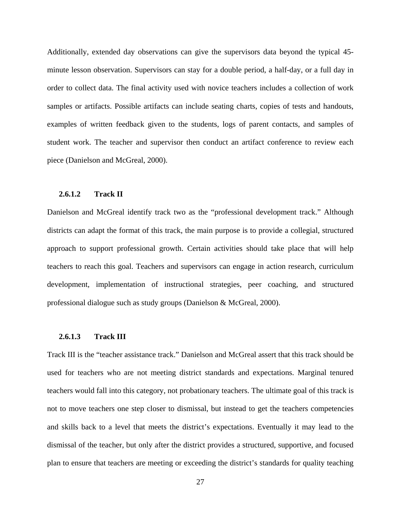Additionally, extended day observations can give the supervisors data beyond the typical 45 minute lesson observation. Supervisors can stay for a double period, a half-day, or a full day in order to collect data. The final activity used with novice teachers includes a collection of work samples or artifacts. Possible artifacts can include seating charts, copies of tests and handouts, examples of written feedback given to the students, logs of parent contacts, and samples of student work. The teacher and supervisor then conduct an artifact conference to review each piece (Danielson and McGreal, 2000).

#### **2.6.1.2 Track II**

Danielson and McGreal identify track two as the "professional development track." Although districts can adapt the format of this track, the main purpose is to provide a collegial, structured approach to support professional growth. Certain activities should take place that will help teachers to reach this goal. Teachers and supervisors can engage in action research, curriculum development, implementation of instructional strategies, peer coaching, and structured professional dialogue such as study groups (Danielson & McGreal, 2000).

# **2.6.1.3 Track III**

Track III is the "teacher assistance track." Danielson and McGreal assert that this track should be used for teachers who are not meeting district standards and expectations. Marginal tenured teachers would fall into this category, not probationary teachers. The ultimate goal of this track is not to move teachers one step closer to dismissal, but instead to get the teachers competencies and skills back to a level that meets the district's expectations. Eventually it may lead to the dismissal of the teacher, but only after the district provides a structured, supportive, and focused plan to ensure that teachers are meeting or exceeding the district's standards for quality teaching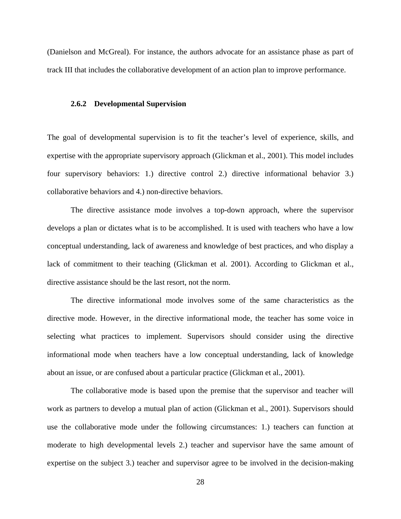(Danielson and McGreal). For instance, the authors advocate for an assistance phase as part of track III that includes the collaborative development of an action plan to improve performance.

#### **2.6.2 Developmental Supervision**

The goal of developmental supervision is to fit the teacher's level of experience, skills, and expertise with the appropriate supervisory approach (Glickman et al., 2001). This model includes four supervisory behaviors: 1.) directive control 2.) directive informational behavior 3.) collaborative behaviors and 4.) non-directive behaviors.

The directive assistance mode involves a top-down approach, where the supervisor develops a plan or dictates what is to be accomplished. It is used with teachers who have a low conceptual understanding, lack of awareness and knowledge of best practices, and who display a lack of commitment to their teaching (Glickman et al. 2001). According to Glickman et al., directive assistance should be the last resort, not the norm.

The directive informational mode involves some of the same characteristics as the directive mode. However, in the directive informational mode, the teacher has some voice in selecting what practices to implement. Supervisors should consider using the directive informational mode when teachers have a low conceptual understanding, lack of knowledge about an issue, or are confused about a particular practice (Glickman et al., 2001).

The collaborative mode is based upon the premise that the supervisor and teacher will work as partners to develop a mutual plan of action (Glickman et al., 2001). Supervisors should use the collaborative mode under the following circumstances: 1.) teachers can function at moderate to high developmental levels 2.) teacher and supervisor have the same amount of expertise on the subject 3.) teacher and supervisor agree to be involved in the decision-making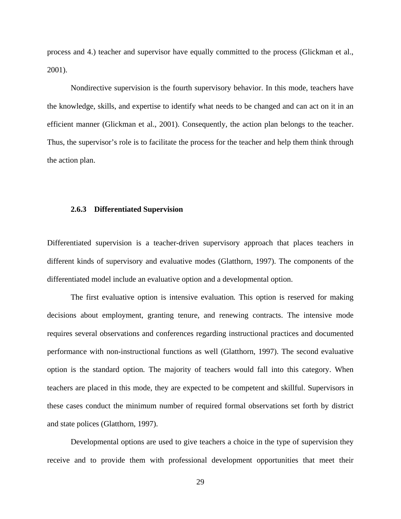process and 4.) teacher and supervisor have equally committed to the process (Glickman et al., 2001).

Nondirective supervision is the fourth supervisory behavior. In this mode, teachers have the knowledge, skills, and expertise to identify what needs to be changed and can act on it in an efficient manner (Glickman et al., 2001). Consequently, the action plan belongs to the teacher. Thus, the supervisor's role is to facilitate the process for the teacher and help them think through the action plan.

### **2.6.3 Differentiated Supervision**

Differentiated supervision is a teacher-driven supervisory approach that places teachers in different kinds of supervisory and evaluative modes (Glatthorn, 1997). The components of the differentiated model include an evaluative option and a developmental option.

The first evaluative option is intensive evaluation*.* This option is reserved for making decisions about employment, granting tenure, and renewing contracts. The intensive mode requires several observations and conferences regarding instructional practices and documented performance with non-instructional functions as well (Glatthorn, 1997). The second evaluative option is the standard option*.* The majority of teachers would fall into this category. When teachers are placed in this mode, they are expected to be competent and skillful. Supervisors in these cases conduct the minimum number of required formal observations set forth by district and state polices (Glatthorn, 1997).

Developmental options are used to give teachers a choice in the type of supervision they receive and to provide them with professional development opportunities that meet their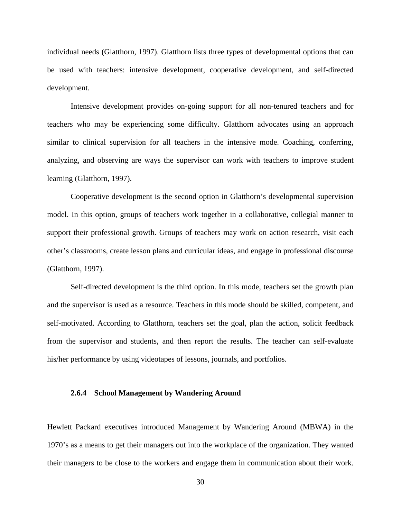individual needs (Glatthorn, 1997). Glatthorn lists three types of developmental options that can be used with teachers: intensive development, cooperative development, and self-directed development.

Intensive development provides on-going support for all non-tenured teachers and for teachers who may be experiencing some difficulty. Glatthorn advocates using an approach similar to clinical supervision for all teachers in the intensive mode. Coaching, conferring, analyzing, and observing are ways the supervisor can work with teachers to improve student learning (Glatthorn, 1997).

Cooperative development is the second option in Glatthorn's developmental supervision model. In this option, groups of teachers work together in a collaborative, collegial manner to support their professional growth. Groups of teachers may work on action research, visit each other's classrooms, create lesson plans and curricular ideas, and engage in professional discourse (Glatthorn, 1997).

Self-directed development is the third option. In this mode, teachers set the growth plan and the supervisor is used as a resource. Teachers in this mode should be skilled, competent, and self-motivated. According to Glatthorn, teachers set the goal, plan the action, solicit feedback from the supervisor and students, and then report the results. The teacher can self-evaluate his/her performance by using videotapes of lessons, journals, and portfolios.

### **2.6.4 School Management by Wandering Around**

Hewlett Packard executives introduced Management by Wandering Around (MBWA) in the 1970's as a means to get their managers out into the workplace of the organization. They wanted their managers to be close to the workers and engage them in communication about their work.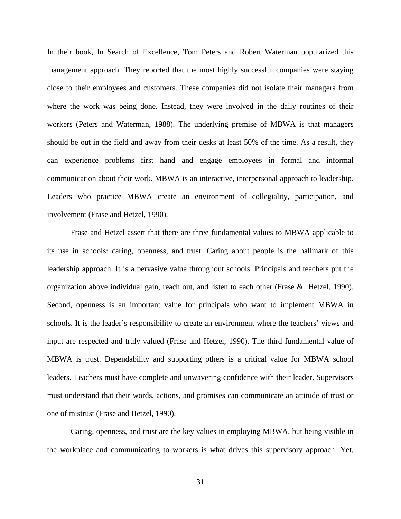In their book, In Search of Excellence, Tom Peters and Robert Waterman popularized this management approach. They reported that the most highly successful companies were staying close to their employees and customers. These companies did not isolate their managers from where the work was being done. Instead, they were involved in the daily routines of their workers (Peters and Waterman, 1988). The underlying premise of MBWA is that managers should be out in the field and away from their desks at least 50% of the time. As a result, they can experience problems first hand and engage employees in formal and informal communication about their work. MBWA is an interactive, interpersonal approach to leadership. Leaders who practice MBWA create an environment of collegiality, participation, and involvement (Frase and Hetzel, 1990).

Frase and Hetzel assert that there are three fundamental values to MBWA applicable to its use in schools: caring, openness, and trust. Caring about people is the hallmark of this leadership approach. It is a pervasive value throughout schools. Principals and teachers put the organization above individual gain, reach out, and listen to each other (Frase & Hetzel, 1990). Second, openness is an important value for principals who want to implement MBWA in schools. It is the leader's responsibility to create an environment where the teachers' views and input are respected and truly valued (Frase and Hetzel, 1990). The third fundamental value of MBWA is trust. Dependability and supporting others is a critical value for MBWA school leaders. Teachers must have complete and unwavering confidence with their leader. Supervisors must understand that their words, actions, and promises can communicate an attitude of trust or one of mistrust (Frase and Hetzel, 1990).

Caring, openness, and trust are the key values in employing MBWA, but being visible in the workplace and communicating to workers is what drives this supervisory approach. Yet,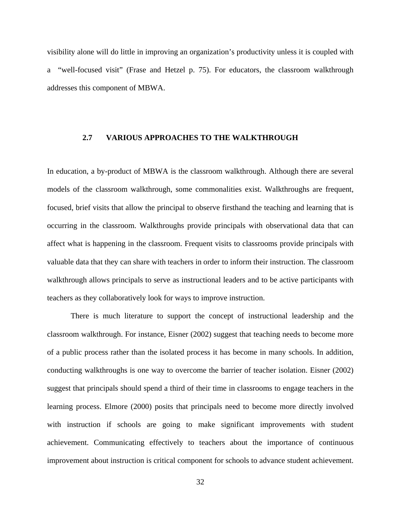visibility alone will do little in improving an organization's productivity unless it is coupled with a "well-focused visit" (Frase and Hetzel p. 75). For educators, the classroom walkthrough addresses this component of MBWA.

## **2.7 VARIOUS APPROACHES TO THE WALKTHROUGH**

In education, a by-product of MBWA is the classroom walkthrough. Although there are several models of the classroom walkthrough, some commonalities exist. Walkthroughs are frequent, focused, brief visits that allow the principal to observe firsthand the teaching and learning that is occurring in the classroom. Walkthroughs provide principals with observational data that can affect what is happening in the classroom. Frequent visits to classrooms provide principals with valuable data that they can share with teachers in order to inform their instruction. The classroom walkthrough allows principals to serve as instructional leaders and to be active participants with teachers as they collaboratively look for ways to improve instruction.

There is much literature to support the concept of instructional leadership and the classroom walkthrough. For instance, Eisner (2002) suggest that teaching needs to become more of a public process rather than the isolated process it has become in many schools. In addition, conducting walkthroughs is one way to overcome the barrier of teacher isolation. Eisner (2002) suggest that principals should spend a third of their time in classrooms to engage teachers in the learning process. Elmore (2000) posits that principals need to become more directly involved with instruction if schools are going to make significant improvements with student achievement. Communicating effectively to teachers about the importance of continuous improvement about instruction is critical component for schools to advance student achievement.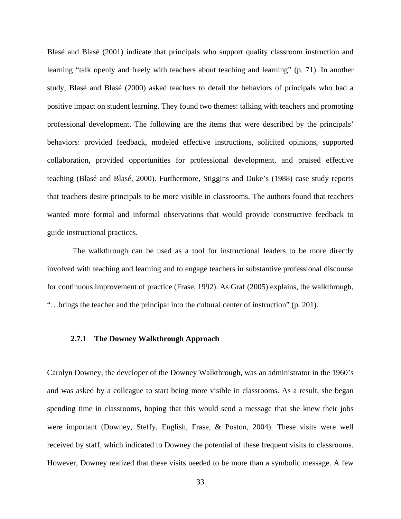Blasé and Blasé (2001) indicate that principals who support quality classroom instruction and learning "talk openly and freely with teachers about teaching and learning" (p. 71). In another study, Blasé and Blasé (2000) asked teachers to detail the behaviors of principals who had a positive impact on student learning. They found two themes: talking with teachers and promoting professional development. The following are the items that were described by the principals' behaviors: provided feedback, modeled effective instructions, solicited opinions, supported collaboration, provided opportunities for professional development, and praised effective teaching (Blasé and Blasé, 2000). Furthermore, Stiggins and Duke's (1988) case study reports that teachers desire principals to be more visible in classrooms. The authors found that teachers wanted more formal and informal observations that would provide constructive feedback to guide instructional practices.

 The walkthrough can be used as a tool for instructional leaders to be more directly involved with teaching and learning and to engage teachers in substantive professional discourse for continuous improvement of practice (Frase, 1992). As Graf (2005) explains, the walkthrough, "…brings the teacher and the principal into the cultural center of instruction" (p. 201).

# **2.7.1 The Downey Walkthrough Approach**

Carolyn Downey, the developer of the Downey Walkthrough, was an administrator in the 1960's and was asked by a colleague to start being more visible in classrooms. As a result, she began spending time in classrooms, hoping that this would send a message that she knew their jobs were important (Downey, Steffy, English, Frase, & Poston, 2004). These visits were well received by staff, which indicated to Downey the potential of these frequent visits to classrooms. However, Downey realized that these visits needed to be more than a symbolic message. A few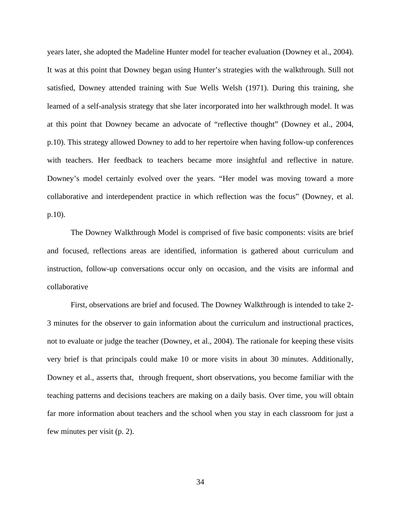years later, she adopted the Madeline Hunter model for teacher evaluation (Downey et al., 2004). It was at this point that Downey began using Hunter's strategies with the walkthrough. Still not satisfied, Downey attended training with Sue Wells Welsh (1971). During this training, she learned of a self-analysis strategy that she later incorporated into her walkthrough model. It was at this point that Downey became an advocate of "reflective thought" (Downey et al., 2004, p.10). This strategy allowed Downey to add to her repertoire when having follow-up conferences with teachers. Her feedback to teachers became more insightful and reflective in nature. Downey's model certainly evolved over the years. "Her model was moving toward a more collaborative and interdependent practice in which reflection was the focus" (Downey, et al. p.10).

The Downey Walkthrough Model is comprised of five basic components: visits are brief and focused, reflections areas are identified, information is gathered about curriculum and instruction, follow-up conversations occur only on occasion, and the visits are informal and collaborative

First, observations are brief and focused. The Downey Walkthrough is intended to take 2- 3 minutes for the observer to gain information about the curriculum and instructional practices, not to evaluate or judge the teacher (Downey, et al., 2004). The rationale for keeping these visits very brief is that principals could make 10 or more visits in about 30 minutes. Additionally, Downey et al., asserts that, through frequent, short observations, you become familiar with the teaching patterns and decisions teachers are making on a daily basis. Over time, you will obtain far more information about teachers and the school when you stay in each classroom for just a few minutes per visit (p. 2).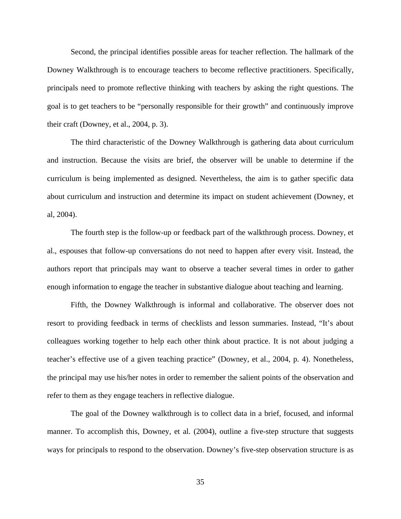Second, the principal identifies possible areas for teacher reflection. The hallmark of the Downey Walkthrough is to encourage teachers to become reflective practitioners. Specifically, principals need to promote reflective thinking with teachers by asking the right questions. The goal is to get teachers to be "personally responsible for their growth" and continuously improve their craft (Downey, et al., 2004, p. 3).

The third characteristic of the Downey Walkthrough is gathering data about curriculum and instruction. Because the visits are brief, the observer will be unable to determine if the curriculum is being implemented as designed. Nevertheless, the aim is to gather specific data about curriculum and instruction and determine its impact on student achievement (Downey, et al, 2004).

The fourth step is the follow-up or feedback part of the walkthrough process. Downey, et al., espouses that follow-up conversations do not need to happen after every visit. Instead, the authors report that principals may want to observe a teacher several times in order to gather enough information to engage the teacher in substantive dialogue about teaching and learning.

Fifth, the Downey Walkthrough is informal and collaborative. The observer does not resort to providing feedback in terms of checklists and lesson summaries. Instead, "It's about colleagues working together to help each other think about practice. It is not about judging a teacher's effective use of a given teaching practice" (Downey, et al., 2004, p. 4). Nonetheless, the principal may use his/her notes in order to remember the salient points of the observation and refer to them as they engage teachers in reflective dialogue.

The goal of the Downey walkthrough is to collect data in a brief, focused, and informal manner. To accomplish this, Downey, et al. (2004), outline a five-step structure that suggests ways for principals to respond to the observation. Downey's five-step observation structure is as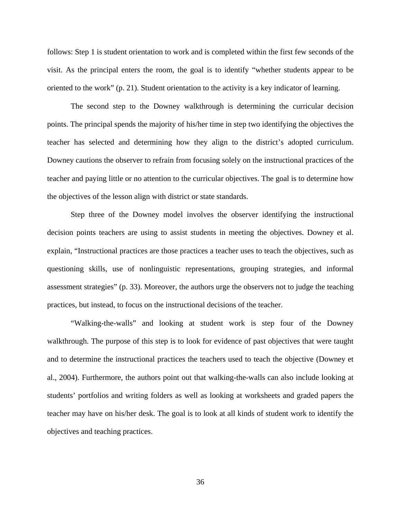follows: Step 1 is student orientation to work and is completed within the first few seconds of the visit. As the principal enters the room, the goal is to identify "whether students appear to be oriented to the work" (p. 21). Student orientation to the activity is a key indicator of learning.

The second step to the Downey walkthrough is determining the curricular decision points. The principal spends the majority of his/her time in step two identifying the objectives the teacher has selected and determining how they align to the district's adopted curriculum. Downey cautions the observer to refrain from focusing solely on the instructional practices of the teacher and paying little or no attention to the curricular objectives. The goal is to determine how the objectives of the lesson align with district or state standards.

Step three of the Downey model involves the observer identifying the instructional decision points teachers are using to assist students in meeting the objectives. Downey et al. explain, "Instructional practices are those practices a teacher uses to teach the objectives, such as questioning skills, use of nonlinguistic representations, grouping strategies, and informal assessment strategies" (p. 33). Moreover, the authors urge the observers not to judge the teaching practices, but instead, to focus on the instructional decisions of the teacher.

"Walking-the-walls" and looking at student work is step four of the Downey walkthrough. The purpose of this step is to look for evidence of past objectives that were taught and to determine the instructional practices the teachers used to teach the objective (Downey et al., 2004). Furthermore, the authors point out that walking-the-walls can also include looking at students' portfolios and writing folders as well as looking at worksheets and graded papers the teacher may have on his/her desk. The goal is to look at all kinds of student work to identify the objectives and teaching practices.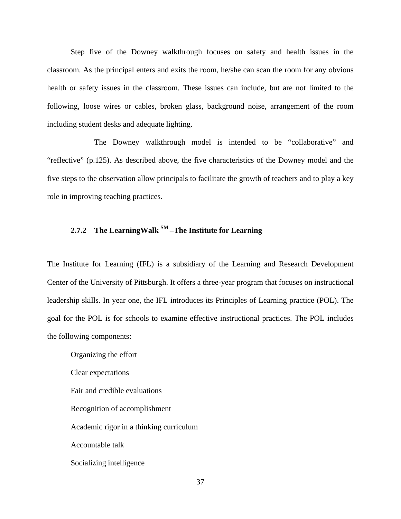Step five of the Downey walkthrough focuses on safety and health issues in the classroom. As the principal enters and exits the room, he/she can scan the room for any obvious health or safety issues in the classroom. These issues can include, but are not limited to the following, loose wires or cables, broken glass, background noise, arrangement of the room including student desks and adequate lighting.

 The Downey walkthrough model is intended to be "collaborative" and "reflective" (p.125). As described above, the five characteristics of the Downey model and the five steps to the observation allow principals to facilitate the growth of teachers and to play a key role in improving teaching practices.

# **2.7.2 The LearningWalk SM –The Institute for Learning**

The Institute for Learning (IFL) is a subsidiary of the Learning and Research Development Center of the University of Pittsburgh. It offers a three-year program that focuses on instructional leadership skills. In year one, the IFL introduces its Principles of Learning practice (POL). The goal for the POL is for schools to examine effective instructional practices. The POL includes the following components:

Organizing the effort Clear expectations Fair and credible evaluations Recognition of accomplishment Academic rigor in a thinking curriculum Accountable talk Socializing intelligence

37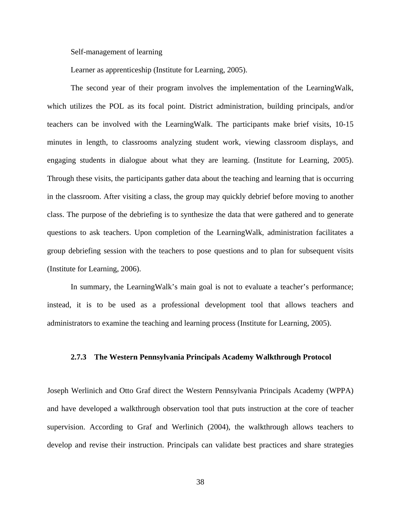### Self-management of learning

Learner as apprenticeship (Institute for Learning, 2005).

The second year of their program involves the implementation of the LearningWalk, which utilizes the POL as its focal point. District administration, building principals, and/or teachers can be involved with the LearningWalk. The participants make brief visits, 10-15 minutes in length, to classrooms analyzing student work, viewing classroom displays, and engaging students in dialogue about what they are learning. (Institute for Learning, 2005). Through these visits, the participants gather data about the teaching and learning that is occurring in the classroom. After visiting a class, the group may quickly debrief before moving to another class. The purpose of the debriefing is to synthesize the data that were gathered and to generate questions to ask teachers. Upon completion of the LearningWalk, administration facilitates a group debriefing session with the teachers to pose questions and to plan for subsequent visits (Institute for Learning, 2006).

In summary, the LearningWalk's main goal is not to evaluate a teacher's performance; instead, it is to be used as a professional development tool that allows teachers and administrators to examine the teaching and learning process (Institute for Learning, 2005).

# **2.7.3 The Western Pennsylvania Principals Academy Walkthrough Protocol**

Joseph Werlinich and Otto Graf direct the Western Pennsylvania Principals Academy (WPPA) and have developed a walkthrough observation tool that puts instruction at the core of teacher supervision. According to Graf and Werlinich (2004), the walkthrough allows teachers to develop and revise their instruction. Principals can validate best practices and share strategies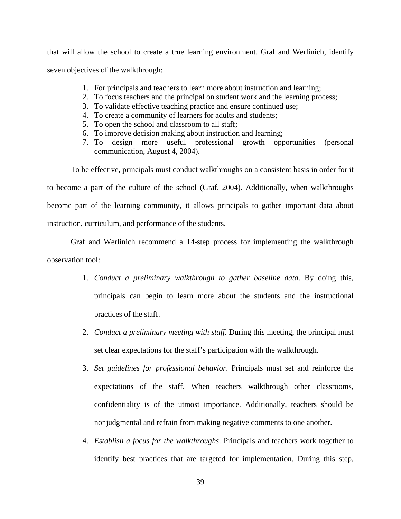that will allow the school to create a true learning environment. Graf and Werlinich, identify seven objectives of the walkthrough:

- 1. For principals and teachers to learn more about instruction and learning;
- 2. To focus teachers and the principal on student work and the learning process;
- 3. To validate effective teaching practice and ensure continued use;
- 4. To create a community of learners for adults and students;
- 5. To open the school and classroom to all staff;
- 6. To improve decision making about instruction and learning;
- 7. To design more useful professional growth opportunities (personal communication, August 4, 2004).

To be effective, principals must conduct walkthroughs on a consistent basis in order for it to become a part of the culture of the school (Graf, 2004). Additionally, when walkthroughs become part of the learning community, it allows principals to gather important data about instruction, curriculum, and performance of the students.

Graf and Werlinich recommend a 14-step process for implementing the walkthrough observation tool:

- 1. *Conduct a preliminary walkthrough to gather baseline data*. By doing this, principals can begin to learn more about the students and the instructional practices of the staff.
- 2. *Conduct a preliminary meeting with staff*. During this meeting, the principal must set clear expectations for the staff's participation with the walkthrough.
- 3. *Set guidelines for professional behavior*. Principals must set and reinforce the expectations of the staff. When teachers walkthrough other classrooms, confidentiality is of the utmost importance. Additionally, teachers should be nonjudgmental and refrain from making negative comments to one another.
- 4. *Establish a focus for the walkthroughs*. Principals and teachers work together to identify best practices that are targeted for implementation. During this step,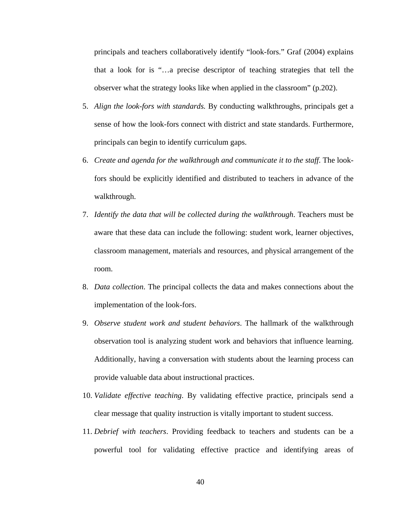principals and teachers collaboratively identify "look-fors." Graf (2004) explains that a look for is "…a precise descriptor of teaching strategies that tell the observer what the strategy looks like when applied in the classroom" (p.202).

- 5. *Align the look*-*fors with standards.* By conducting walkthroughs, principals get a sense of how the look-fors connect with district and state standards. Furthermore, principals can begin to identify curriculum gaps.
- 6. *Create and agenda for the walkthrough and communicate it to the staff*. The lookfors should be explicitly identified and distributed to teachers in advance of the walkthrough.
- 7. *Identify the data that will be collected during the walkthrough*. Teachers must be aware that these data can include the following: student work, learner objectives, classroom management, materials and resources, and physical arrangement of the room.
- 8. *Data collection*. The principal collects the data and makes connections about the implementation of the look-fors.
- 9. *Observe student work and student behaviors*. The hallmark of the walkthrough observation tool is analyzing student work and behaviors that influence learning. Additionally, having a conversation with students about the learning process can provide valuable data about instructional practices.
- 10. *Validate effective teaching*. By validating effective practice, principals send a clear message that quality instruction is vitally important to student success.
- 11. *Debrief with teachers*. Providing feedback to teachers and students can be a powerful tool for validating effective practice and identifying areas of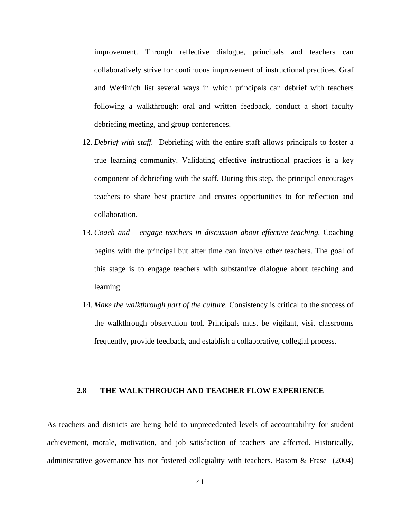improvement. Through reflective dialogue, principals and teachers can collaboratively strive for continuous improvement of instructional practices. Graf and Werlinich list several ways in which principals can debrief with teachers following a walkthrough: oral and written feedback, conduct a short faculty debriefing meeting, and group conferences.

- 12. *Debrief with staff.* Debriefing with the entire staff allows principals to foster a true learning community. Validating effective instructional practices is a key component of debriefing with the staff. During this step, the principal encourages teachers to share best practice and creates opportunities to for reflection and collaboration.
- 13. *Coach and engage teachers in discussion about effective teaching.* Coaching begins with the principal but after time can involve other teachers. The goal of this stage is to engage teachers with substantive dialogue about teaching and learning.
- 14. *Make the walkthrough part of the culture.* Consistency is critical to the success of the walkthrough observation tool. Principals must be vigilant, visit classrooms frequently, provide feedback, and establish a collaborative, collegial process.

# **2.8 THE WALKTHROUGH AND TEACHER FLOW EXPERIENCE**

As teachers and districts are being held to unprecedented levels of accountability for student achievement, morale, motivation, and job satisfaction of teachers are affected. Historically, administrative governance has not fostered collegiality with teachers. Basom & Frase (2004)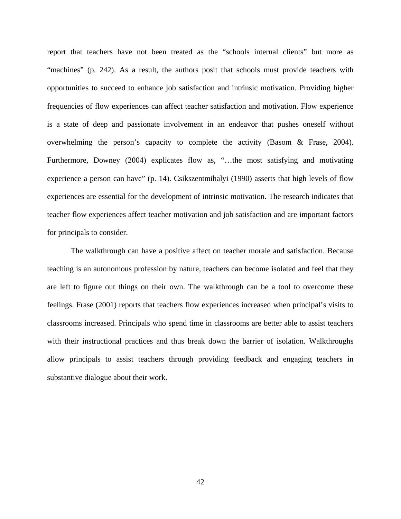report that teachers have not been treated as the "schools internal clients" but more as "machines" (p. 242). As a result, the authors posit that schools must provide teachers with opportunities to succeed to enhance job satisfaction and intrinsic motivation. Providing higher frequencies of flow experiences can affect teacher satisfaction and motivation. Flow experience is a state of deep and passionate involvement in an endeavor that pushes oneself without overwhelming the person's capacity to complete the activity (Basom & Frase, 2004). Furthermore, Downey (2004) explicates flow as, "…the most satisfying and motivating experience a person can have" (p. 14). Csikszentmihalyi (1990) asserts that high levels of flow experiences are essential for the development of intrinsic motivation. The research indicates that teacher flow experiences affect teacher motivation and job satisfaction and are important factors for principals to consider.

The walkthrough can have a positive affect on teacher morale and satisfaction. Because teaching is an autonomous profession by nature, teachers can become isolated and feel that they are left to figure out things on their own. The walkthrough can be a tool to overcome these feelings. Frase (2001) reports that teachers flow experiences increased when principal's visits to classrooms increased. Principals who spend time in classrooms are better able to assist teachers with their instructional practices and thus break down the barrier of isolation. Walkthroughs allow principals to assist teachers through providing feedback and engaging teachers in substantive dialogue about their work.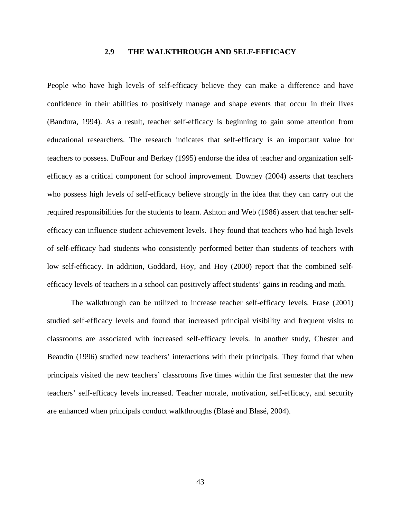# **2.9 THE WALKTHROUGH AND SELF-EFFICACY**

People who have high levels of self-efficacy believe they can make a difference and have confidence in their abilities to positively manage and shape events that occur in their lives (Bandura, 1994). As a result, teacher self-efficacy is beginning to gain some attention from educational researchers. The research indicates that self-efficacy is an important value for teachers to possess. DuFour and Berkey (1995) endorse the idea of teacher and organization selfefficacy as a critical component for school improvement. Downey (2004) asserts that teachers who possess high levels of self-efficacy believe strongly in the idea that they can carry out the required responsibilities for the students to learn. Ashton and Web (1986) assert that teacher selfefficacy can influence student achievement levels. They found that teachers who had high levels of self-efficacy had students who consistently performed better than students of teachers with low self-efficacy. In addition, Goddard, Hoy, and Hoy (2000) report that the combined selfefficacy levels of teachers in a school can positively affect students' gains in reading and math.

The walkthrough can be utilized to increase teacher self-efficacy levels. Frase (2001) studied self-efficacy levels and found that increased principal visibility and frequent visits to classrooms are associated with increased self-efficacy levels. In another study, Chester and Beaudin (1996) studied new teachers' interactions with their principals. They found that when principals visited the new teachers' classrooms five times within the first semester that the new teachers' self-efficacy levels increased. Teacher morale, motivation, self-efficacy, and security are enhanced when principals conduct walkthroughs (Blasé and Blasé, 2004).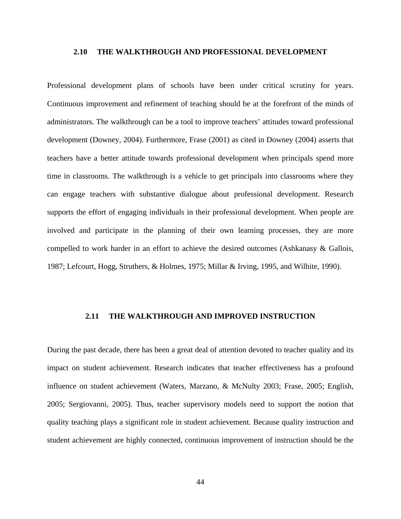#### **2.10 THE WALKTHROUGH AND PROFESSIONAL DEVELOPMENT**

Professional development plans of schools have been under critical scrutiny for years. Continuous improvement and refinement of teaching should be at the forefront of the minds of administrators. The walkthrough can be a tool to improve teachers' attitudes toward professional development (Downey, 2004). Furthermore, Frase (2001) as cited in Downey (2004) asserts that teachers have a better attitude towards professional development when principals spend more time in classrooms. The walkthrough is a vehicle to get principals into classrooms where they can engage teachers with substantive dialogue about professional development. Research supports the effort of engaging individuals in their professional development. When people are involved and participate in the planning of their own learning processes, they are more compelled to work harder in an effort to achieve the desired outcomes (Ashkanasy & Gallois, 1987; Lefcourt, Hogg, Struthers, & Holmes, 1975; Millar & Irving, 1995, and Wilhite, 1990).

#### **2.11 THE WALKTHROUGH AND IMPROVED INSTRUCTION**

During the past decade, there has been a great deal of attention devoted to teacher quality and its impact on student achievement. Research indicates that teacher effectiveness has a profound influence on student achievement (Waters, Marzano, & McNulty 2003; Frase, 2005; English, 2005; Sergiovanni, 2005). Thus, teacher supervisory models need to support the notion that quality teaching plays a significant role in student achievement. Because quality instruction and student achievement are highly connected, continuous improvement of instruction should be the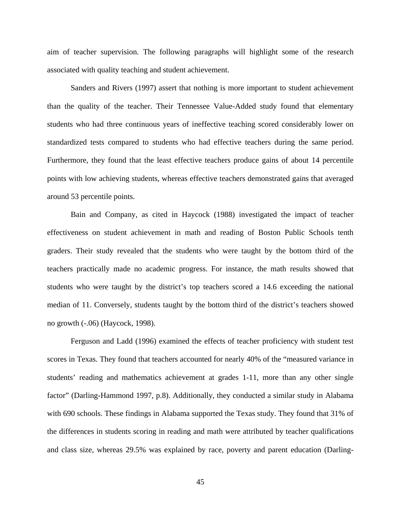aim of teacher supervision. The following paragraphs will highlight some of the research associated with quality teaching and student achievement.

Sanders and Rivers (1997) assert that nothing is more important to student achievement than the quality of the teacher. Their Tennessee Value-Added study found that elementary students who had three continuous years of ineffective teaching scored considerably lower on standardized tests compared to students who had effective teachers during the same period. Furthermore, they found that the least effective teachers produce gains of about 14 percentile points with low achieving students, whereas effective teachers demonstrated gains that averaged around 53 percentile points.

Bain and Company, as cited in Haycock (1988) investigated the impact of teacher effectiveness on student achievement in math and reading of Boston Public Schools tenth graders. Their study revealed that the students who were taught by the bottom third of the teachers practically made no academic progress. For instance, the math results showed that students who were taught by the district's top teachers scored a 14.6 exceeding the national median of 11. Conversely, students taught by the bottom third of the district's teachers showed no growth (-.06) (Haycock, 1998).

Ferguson and Ladd (1996) examined the effects of teacher proficiency with student test scores in Texas. They found that teachers accounted for nearly 40% of the "measured variance in students' reading and mathematics achievement at grades 1-11, more than any other single factor" (Darling-Hammond 1997, p.8). Additionally, they conducted a similar study in Alabama with 690 schools. These findings in Alabama supported the Texas study. They found that 31% of the differences in students scoring in reading and math were attributed by teacher qualifications and class size, whereas 29.5% was explained by race, poverty and parent education (Darling-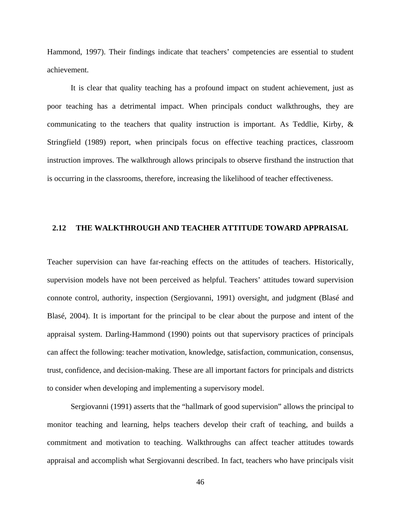Hammond, 1997). Their findings indicate that teachers' competencies are essential to student achievement.

It is clear that quality teaching has a profound impact on student achievement, just as poor teaching has a detrimental impact. When principals conduct walkthroughs, they are communicating to the teachers that quality instruction is important. As Teddlie, Kirby,  $\&$ Stringfield (1989) report, when principals focus on effective teaching practices, classroom instruction improves. The walkthrough allows principals to observe firsthand the instruction that is occurring in the classrooms, therefore, increasing the likelihood of teacher effectiveness.

# **2.12 THE WALKTHROUGH AND TEACHER ATTITUDE TOWARD APPRAISAL**

Teacher supervision can have far-reaching effects on the attitudes of teachers. Historically, supervision models have not been perceived as helpful. Teachers' attitudes toward supervision connote control, authority, inspection (Sergiovanni, 1991) oversight, and judgment (Blasé and Blasé, 2004). It is important for the principal to be clear about the purpose and intent of the appraisal system. Darling-Hammond (1990) points out that supervisory practices of principals can affect the following: teacher motivation, knowledge, satisfaction, communication, consensus, trust, confidence, and decision-making. These are all important factors for principals and districts to consider when developing and implementing a supervisory model.

Sergiovanni (1991) asserts that the "hallmark of good supervision" allows the principal to monitor teaching and learning, helps teachers develop their craft of teaching, and builds a commitment and motivation to teaching. Walkthroughs can affect teacher attitudes towards appraisal and accomplish what Sergiovanni described. In fact, teachers who have principals visit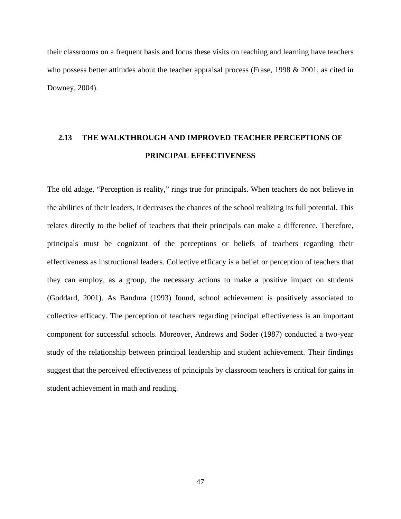their classrooms on a frequent basis and focus these visits on teaching and learning have teachers who possess better attitudes about the teacher appraisal process (Frase, 1998  $& 2001$ , as cited in Downey, 2004).

# **2.13 THE WALKTHROUGH AND IMPROVED TEACHER PERCEPTIONS OF PRINCIPAL EFFECTIVENESS**

The old adage, "Perception is reality," rings true for principals. When teachers do not believe in the abilities of their leaders, it decreases the chances of the school realizing its full potential. This relates directly to the belief of teachers that their principals can make a difference. Therefore, principals must be cognizant of the perceptions or beliefs of teachers regarding their effectiveness as instructional leaders. Collective efficacy is a belief or perception of teachers that they can employ, as a group, the necessary actions to make a positive impact on students (Goddard, 2001). As Bandura (1993) found, school achievement is positively associated to collective efficacy. The perception of teachers regarding principal effectiveness is an important component for successful schools. Moreover, Andrews and Soder (1987) conducted a two-year study of the relationship between principal leadership and student achievement. Their findings suggest that the perceived effectiveness of principals by classroom teachers is critical for gains in student achievement in math and reading.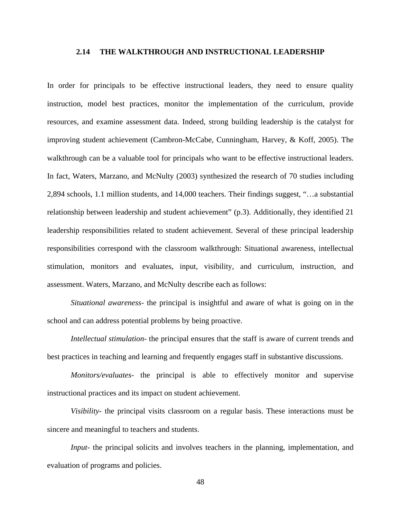#### **2.14 THE WALKTHROUGH AND INSTRUCTIONAL LEADERSHIP**

In order for principals to be effective instructional leaders, they need to ensure quality instruction, model best practices, monitor the implementation of the curriculum, provide resources, and examine assessment data. Indeed, strong building leadership is the catalyst for improving student achievement (Cambron-McCabe, Cunningham, Harvey, & Koff, 2005). The walkthrough can be a valuable tool for principals who want to be effective instructional leaders. In fact, Waters, Marzano, and McNulty (2003) synthesized the research of 70 studies including 2,894 schools, 1.1 million students, and 14,000 teachers. Their findings suggest, "…a substantial relationship between leadership and student achievement" (p.3). Additionally, they identified 21 leadership responsibilities related to student achievement. Several of these principal leadership responsibilities correspond with the classroom walkthrough: Situational awareness, intellectual stimulation, monitors and evaluates, input, visibility, and curriculum, instruction, and assessment. Waters, Marzano, and McNulty describe each as follows:

*Situational awareness*- the principal is insightful and aware of what is going on in the school and can address potential problems by being proactive.

*Intellectual stimulation*- the principal ensures that the staff is aware of current trends and best practices in teaching and learning and frequently engages staff in substantive discussions.

*Monitors/evaluates*- the principal is able to effectively monitor and supervise instructional practices and its impact on student achievement.

*Visibility*- the principal visits classroom on a regular basis. These interactions must be sincere and meaningful to teachers and students.

*Input*- the principal solicits and involves teachers in the planning, implementation, and evaluation of programs and policies.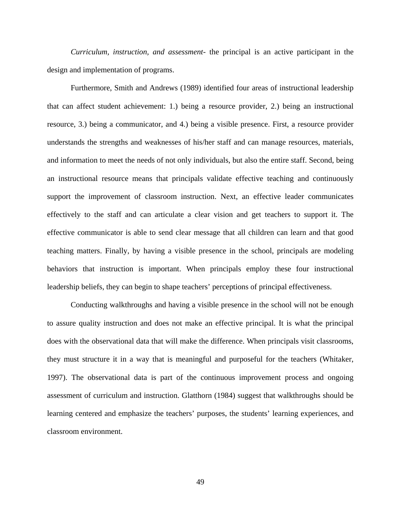*Curriculum, instruction, and assessment*- the principal is an active participant in the design and implementation of programs.

Furthermore, Smith and Andrews (1989) identified four areas of instructional leadership that can affect student achievement: 1.) being a resource provider, 2.) being an instructional resource, 3.) being a communicator, and 4.) being a visible presence. First, a resource provider understands the strengths and weaknesses of his/her staff and can manage resources, materials, and information to meet the needs of not only individuals, but also the entire staff. Second, being an instructional resource means that principals validate effective teaching and continuously support the improvement of classroom instruction. Next, an effective leader communicates effectively to the staff and can articulate a clear vision and get teachers to support it. The effective communicator is able to send clear message that all children can learn and that good teaching matters. Finally, by having a visible presence in the school, principals are modeling behaviors that instruction is important. When principals employ these four instructional leadership beliefs, they can begin to shape teachers' perceptions of principal effectiveness.

Conducting walkthroughs and having a visible presence in the school will not be enough to assure quality instruction and does not make an effective principal. It is what the principal does with the observational data that will make the difference. When principals visit classrooms, they must structure it in a way that is meaningful and purposeful for the teachers (Whitaker, 1997). The observational data is part of the continuous improvement process and ongoing assessment of curriculum and instruction. Glatthorn (1984) suggest that walkthroughs should be learning centered and emphasize the teachers' purposes, the students' learning experiences, and classroom environment.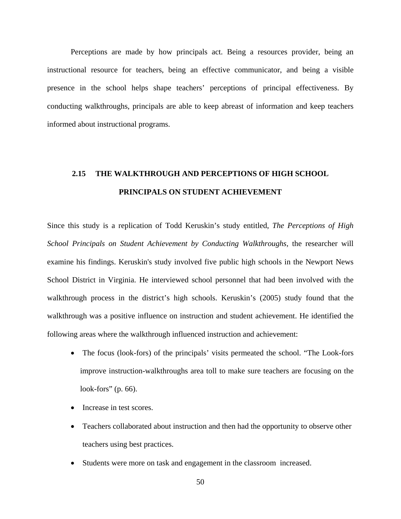Perceptions are made by how principals act. Being a resources provider, being an instructional resource for teachers, being an effective communicator, and being a visible presence in the school helps shape teachers' perceptions of principal effectiveness. By conducting walkthroughs, principals are able to keep abreast of information and keep teachers informed about instructional programs.

# **THE WALKTHROUGH AND PERCEPTIONS OF HIGH SCHOOL PRINCIPALS ON STUDENT ACHIEVEMENT 2.15**

Since this study is a replication of Todd Keruskin's study entitled, *The Perceptions of High School Principals on Student Achievement by Conducting Walkthroughs,* the researcher will examine his findings. Keruskin's study involved five public high schools in the Newport News School District in Virginia. He interviewed school personnel that had been involved with the walkthrough process in the district's high schools. Keruskin's (2005) study found that the walkthrough was a positive influence on instruction and student achievement. He identified the following areas where the walkthrough influenced instruction and achievement:

- The focus (look-fors) of the principals' visits permeated the school. "The Look-fors" improve instruction-walkthroughs area toll to make sure teachers are focusing on the look-fors" (p. 66).
- Increase in test scores.
- Teachers collaborated about instruction and then had the opportunity to observe other teachers using best practices.
- Students were more on task and engagement in the classroom increased.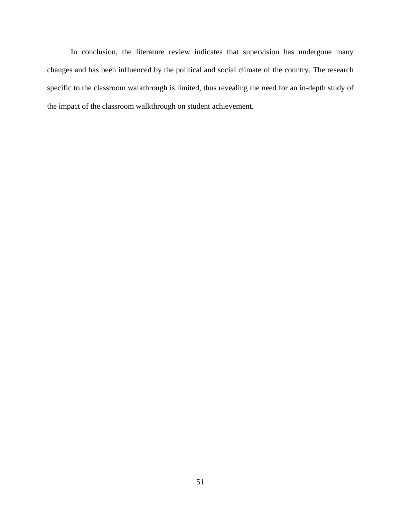In conclusion, the literature review indicates that supervision has undergone many changes and has been influenced by the political and social climate of the country. The research specific to the classroom walkthrough is limited, thus revealing the need for an in-depth study of the impact of the classroom walkthrough on student achievement.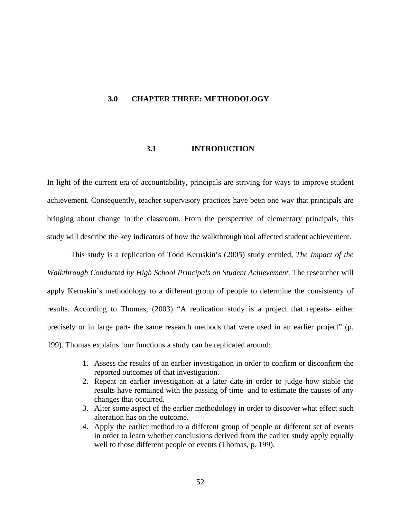### **3.0 CHAPTER THREE: METHODOLOGY**

# **3.1 INTRODUCTION**

In light of the current era of accountability, principals are striving for ways to improve student achievement. Consequently, teacher supervisory practices have been one way that principals are bringing about change in the classroom. From the perspective of elementary principals, this study will describe the key indicators of how the walkthrough tool affected student achievement.

This study is a replication of Todd Keruskin's (2005) study entitled, *The Impact of the Walkthrough Conducted by High School Principals on Student Achievement.* The researcher will apply Keruskin's methodology to a different group of people to determine the consistency of results. According to Thomas, (2003) "A replication study is a project that repeats- either precisely or in large part- the same research methods that were used in an earlier project" (p. 199). Thomas explains four functions a study can be replicated around:

- 1. Assess the results of an earlier investigation in order to confirm or disconfirm the reported outcomes of that investigation.
- 2. Repeat an earlier investigation at a later date in order to judge how stable the results have remained with the passing of time and to estimate the causes of any changes that occurred.
- 3. Alter some aspect of the earlier methodology in order to discover what effect such alteration has on the outcome.
- 4. Apply the earlier method to a different group of people or different set of events in order to learn whether conclusions derived from the earlier study apply equally well to those different people or events (Thomas, p. 199).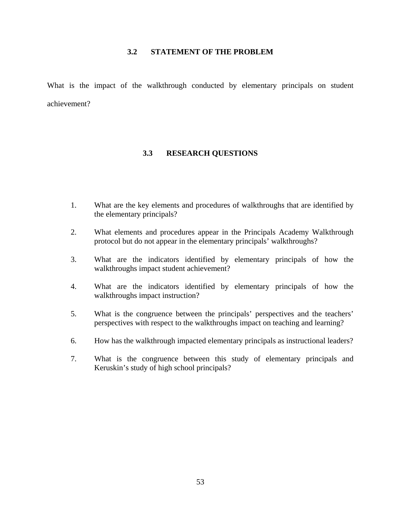#### **3.2 STATEMENT OF THE PROBLEM**

What is the impact of the walkthrough conducted by elementary principals on student achievement?

#### **3.3 RESEARCH QUESTIONS**

- 1. What are the key elements and procedures of walkthroughs that are identified by the elementary principals?
- 2. What elements and procedures appear in the Principals Academy Walkthrough protocol but do not appear in the elementary principals' walkthroughs?
- 3. What are the indicators identified by elementary principals of how the walkthroughs impact student achievement?
- 4. What are the indicators identified by elementary principals of how the walkthroughs impact instruction?
- 5. What is the congruence between the principals' perspectives and the teachers' perspectives with respect to the walkthroughs impact on teaching and learning?
- 6. How has the walkthrough impacted elementary principals as instructional leaders?
- 7. What is the congruence between this study of elementary principals and Keruskin's study of high school principals?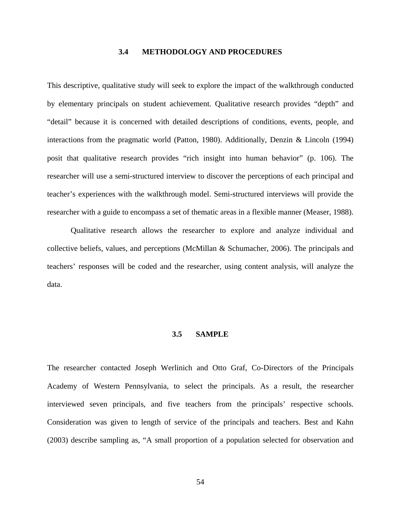#### **3.4 METHODOLOGY AND PROCEDURES**

This descriptive, qualitative study will seek to explore the impact of the walkthrough conducted by elementary principals on student achievement. Qualitative research provides "depth" and "detail" because it is concerned with detailed descriptions of conditions, events, people, and interactions from the pragmatic world (Patton, 1980). Additionally, Denzin & Lincoln (1994) posit that qualitative research provides "rich insight into human behavior" (p. 106). The researcher will use a semi-structured interview to discover the perceptions of each principal and teacher's experiences with the walkthrough model. Semi-structured interviews will provide the researcher with a guide to encompass a set of thematic areas in a flexible manner (Measer, 1988).

Qualitative research allows the researcher to explore and analyze individual and collective beliefs, values, and perceptions (McMillan & Schumacher, 2006). The principals and teachers' responses will be coded and the researcher, using content analysis, will analyze the data.

#### **3.5 SAMPLE**

The researcher contacted Joseph Werlinich and Otto Graf, Co-Directors of the Principals Academy of Western Pennsylvania, to select the principals. As a result, the researcher interviewed seven principals, and five teachers from the principals' respective schools. Consideration was given to length of service of the principals and teachers. Best and Kahn (2003) describe sampling as, "A small proportion of a population selected for observation and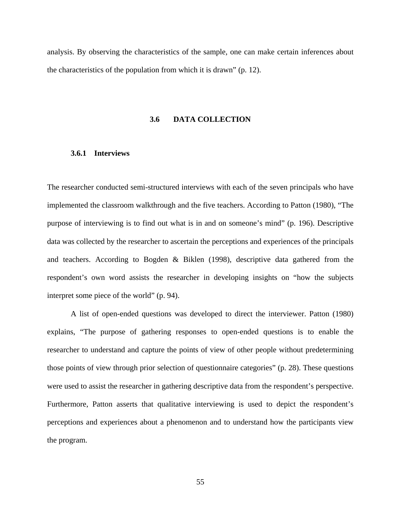analysis. By observing the characteristics of the sample, one can make certain inferences about the characteristics of the population from which it is drawn" (p. 12).

#### **3.6 DATA COLLECTION**

# **3.6.1 Interviews**

The researcher conducted semi-structured interviews with each of the seven principals who have implemented the classroom walkthrough and the five teachers. According to Patton (1980), "The purpose of interviewing is to find out what is in and on someone's mind" (p. 196). Descriptive data was collected by the researcher to ascertain the perceptions and experiences of the principals and teachers. According to Bogden & Biklen (1998), descriptive data gathered from the respondent's own word assists the researcher in developing insights on "how the subjects interpret some piece of the world" (p. 94).

A list of open-ended questions was developed to direct the interviewer. Patton (1980) explains, "The purpose of gathering responses to open-ended questions is to enable the researcher to understand and capture the points of view of other people without predetermining those points of view through prior selection of questionnaire categories" (p. 28). These questions were used to assist the researcher in gathering descriptive data from the respondent's perspective. Furthermore, Patton asserts that qualitative interviewing is used to depict the respondent's perceptions and experiences about a phenomenon and to understand how the participants view the program.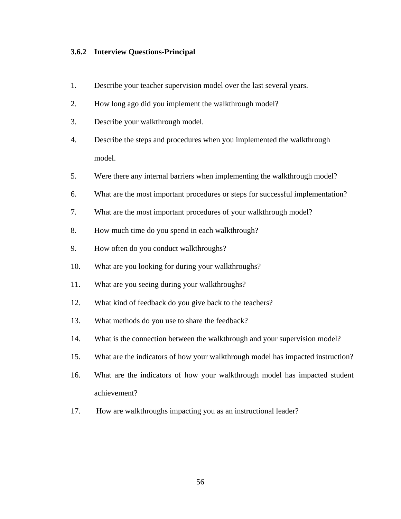# **3.6.2 Interview Questions-Principal**

- 1. Describe your teacher supervision model over the last several years.
- 2. How long ago did you implement the walkthrough model?
- 3. Describe your walkthrough model.
- 4. Describe the steps and procedures when you implemented the walkthrough model.
- 5. Were there any internal barriers when implementing the walkthrough model?
- 6. What are the most important procedures or steps for successful implementation?
- 7. What are the most important procedures of your walkthrough model?
- 8. How much time do you spend in each walkthrough?
- 9. How often do you conduct walkthroughs?
- 10. What are you looking for during your walkthroughs?
- 11. What are you seeing during your walkthroughs?
- 12. What kind of feedback do you give back to the teachers?
- 13. What methods do you use to share the feedback?
- 14. What is the connection between the walkthrough and your supervision model?
- 15. What are the indicators of how your walkthrough model has impacted instruction?
- 16. What are the indicators of how your walkthrough model has impacted student achievement?
- 17. How are walkthroughs impacting you as an instructional leader?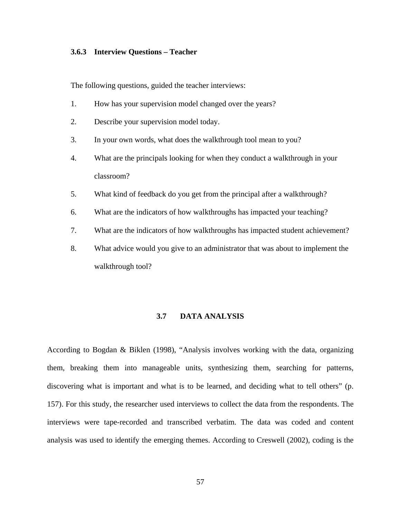### **3.6.3 Interview Questions – Teacher**

The following questions, guided the teacher interviews:

- 1. How has your supervision model changed over the years?
- 2. Describe your supervision model today.
- 3. In your own words, what does the walkthrough tool mean to you?
- 4. What are the principals looking for when they conduct a walkthrough in your classroom?
- 5. What kind of feedback do you get from the principal after a walkthrough?
- 6. What are the indicators of how walkthroughs has impacted your teaching?
- 7. What are the indicators of how walkthroughs has impacted student achievement?
- 8. What advice would you give to an administrator that was about to implement the walkthrough tool?

### **3.7 DATA ANALYSIS**

According to Bogdan & Biklen (1998), "Analysis involves working with the data, organizing them, breaking them into manageable units, synthesizing them, searching for patterns, discovering what is important and what is to be learned, and deciding what to tell others" (p. 157). For this study, the researcher used interviews to collect the data from the respondents. The interviews were tape-recorded and transcribed verbatim. The data was coded and content analysis was used to identify the emerging themes. According to Creswell (2002), coding is the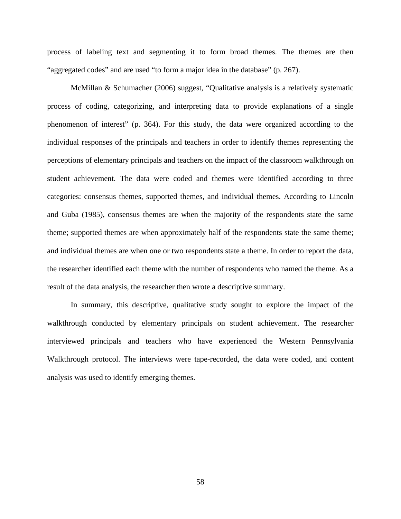process of labeling text and segmenting it to form broad themes. The themes are then "aggregated codes" and are used "to form a major idea in the database" (p. 267).

McMillan & Schumacher (2006) suggest, "Qualitative analysis is a relatively systematic process of coding, categorizing, and interpreting data to provide explanations of a single phenomenon of interest" (p. 364). For this study, the data were organized according to the individual responses of the principals and teachers in order to identify themes representing the perceptions of elementary principals and teachers on the impact of the classroom walkthrough on student achievement. The data were coded and themes were identified according to three categories: consensus themes, supported themes, and individual themes. According to Lincoln and Guba (1985), consensus themes are when the majority of the respondents state the same theme; supported themes are when approximately half of the respondents state the same theme; and individual themes are when one or two respondents state a theme. In order to report the data, the researcher identified each theme with the number of respondents who named the theme. As a result of the data analysis, the researcher then wrote a descriptive summary.

In summary, this descriptive, qualitative study sought to explore the impact of the walkthrough conducted by elementary principals on student achievement. The researcher interviewed principals and teachers who have experienced the Western Pennsylvania Walkthrough protocol. The interviews were tape-recorded, the data were coded, and content analysis was used to identify emerging themes.

58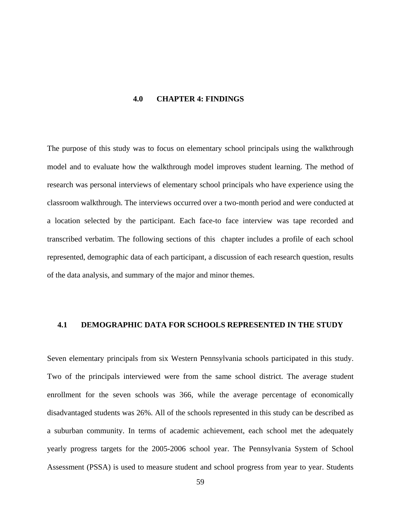#### **4.0 CHAPTER 4: FINDINGS**

The purpose of this study was to focus on elementary school principals using the walkthrough model and to evaluate how the walkthrough model improves student learning. The method of research was personal interviews of elementary school principals who have experience using the classroom walkthrough. The interviews occurred over a two-month period and were conducted at a location selected by the participant. Each face-to face interview was tape recorded and transcribed verbatim. The following sections of this chapter includes a profile of each school represented, demographic data of each participant, a discussion of each research question, results of the data analysis, and summary of the major and minor themes.

#### **4.1 DEMOGRAPHIC DATA FOR SCHOOLS REPRESENTED IN THE STUDY**

Seven elementary principals from six Western Pennsylvania schools participated in this study. Two of the principals interviewed were from the same school district. The average student enrollment for the seven schools was 366, while the average percentage of economically disadvantaged students was 26%. All of the schools represented in this study can be described as a suburban community. In terms of academic achievement, each school met the adequately yearly progress targets for the 2005-2006 school year. The Pennsylvania System of School Assessment (PSSA) is used to measure student and school progress from year to year. Students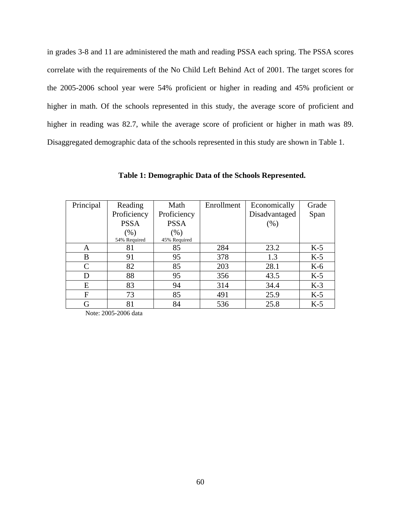in grades 3-8 and 11 are administered the math and reading PSSA each spring. The PSSA scores correlate with the requirements of the No Child Left Behind Act of 2001. The target scores for the 2005-2006 school year were 54% proficient or higher in reading and 45% proficient or higher in math. Of the schools represented in this study, the average score of proficient and higher in reading was 82.7, while the average score of proficient or higher in math was 89. Disaggregated demographic data of the schools represented in this study are shown in Table 1.

| Principal     | Reading      | Math         | Enrollment | Economically  | Grade |
|---------------|--------------|--------------|------------|---------------|-------|
|               | Proficiency  | Proficiency  |            | Disadvantaged | Span  |
|               | <b>PSSA</b>  | <b>PSSA</b>  |            | (% )          |       |
|               | $(\%)$       | $(\%)$       |            |               |       |
|               | 54% Required | 45% Required |            |               |       |
| A             | 81           | 85           | 284        | 23.2          | $K-5$ |
| B             | 91           | 95           | 378        | 1.3           | $K-5$ |
| $\mathcal{C}$ | 82           | 85           | 203        | 28.1          | $K-6$ |
| D             | 88           | 95           | 356        | 43.5          | $K-5$ |
| E             | 83           | 94           | 314        | 34.4          | $K-3$ |
| F             | 73           | 85           | 491        | 25.9          | $K-5$ |
| G             | 81           | 84           | 536        | 25.8          | $K-5$ |

**Table 1: Demographic Data of the Schools Represented.** 

Note: 2005-2006 data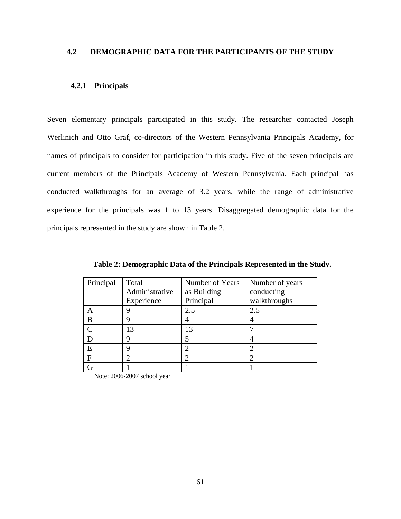#### **4.2 DEMOGRAPHIC DATA FOR THE PARTICIPANTS OF THE STUDY**

#### **4.2.1 Principals**

Seven elementary principals participated in this study. The researcher contacted Joseph Werlinich and Otto Graf, co-directors of the Western Pennsylvania Principals Academy, for names of principals to consider for participation in this study. Five of the seven principals are current members of the Principals Academy of Western Pennsylvania. Each principal has conducted walkthroughs for an average of 3.2 years, while the range of administrative experience for the principals was 1 to 13 years. Disaggregated demographic data for the principals represented in the study are shown in Table 2.

| Principal     | Total<br>Administrative<br>Experience | Number of Years<br>as Building<br>Principal | Number of years<br>conducting<br>walkthroughs |
|---------------|---------------------------------------|---------------------------------------------|-----------------------------------------------|
|               |                                       | 2.5                                         | 2.5                                           |
| B             |                                       |                                             |                                               |
| $\mathcal{C}$ | 13                                    | 13                                          |                                               |
|               |                                       |                                             |                                               |
| E             |                                       |                                             |                                               |
| $\mathbf{F}$  | 2                                     | 2                                           | っ                                             |
| G             |                                       |                                             |                                               |

**Table 2: Demographic Data of the Principals Represented in the Study.** 

Note: 2006-2007 school year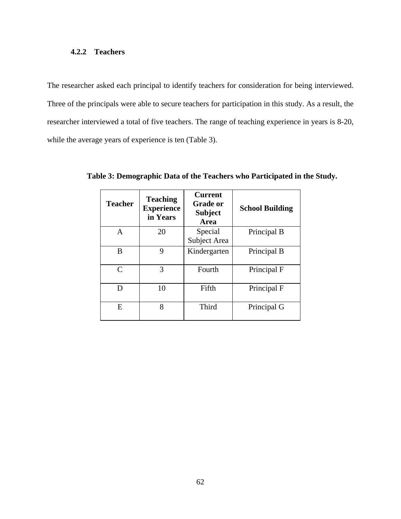#### **4.2.2 Teachers**

The researcher asked each principal to identify teachers for consideration for being interviewed. Three of the principals were able to secure teachers for participation in this study. As a result, the researcher interviewed a total of five teachers. The range of teaching experience in years is 8-20, while the average years of experience is ten (Table 3).

| <b>Teacher</b> | <b>Teaching</b><br><b>Experience</b><br>in Years | <b>Current</b><br><b>Grade or</b><br><b>Subject</b><br>Area | <b>School Building</b> |
|----------------|--------------------------------------------------|-------------------------------------------------------------|------------------------|
| $\mathbf{A}$   | 20                                               | Special                                                     | Principal B            |
|                |                                                  | Subject Area                                                |                        |
| B              | 9                                                | Kindergarten                                                | Principal B            |
| $\mathcal{C}$  | 3                                                | Fourth                                                      | Principal F            |
| D              | 10                                               | Fifth                                                       | Principal F            |
| E              | 8                                                | Third                                                       | Principal G            |

**Table 3: Demographic Data of the Teachers who Participated in the Study.**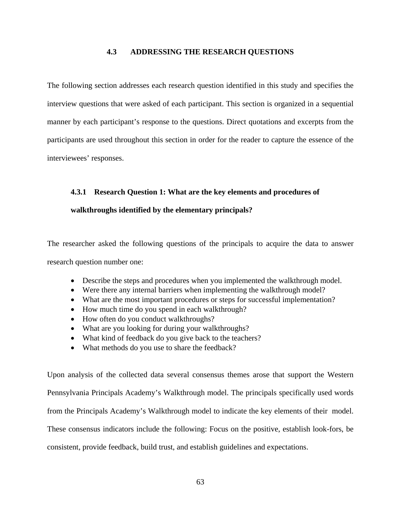#### **4.3 ADDRESSING THE RESEARCH QUESTIONS**

The following section addresses each research question identified in this study and specifies the interview questions that were asked of each participant. This section is organized in a sequential manner by each participant's response to the questions. Direct quotations and excerpts from the participants are used throughout this section in order for the reader to capture the essence of the interviewees' responses.

#### **4.3.1 Research Question 1: What are the key elements and procedures of**

#### **walkthroughs identified by the elementary principals?**

The researcher asked the following questions of the principals to acquire the data to answer research question number one:

- Describe the steps and procedures when you implemented the walkthrough model.
- Were there any internal barriers when implementing the walkthrough model?
- What are the most important procedures or steps for successful implementation?
- How much time do you spend in each walkthrough?
- How often do you conduct walkthroughs?
- What are you looking for during your walkthroughs?
- What kind of feedback do you give back to the teachers?
- What methods do you use to share the feedback?

Upon analysis of the collected data several consensus themes arose that support the Western Pennsylvania Principals Academy's Walkthrough model. The principals specifically used words from the Principals Academy's Walkthrough model to indicate the key elements of their model. These consensus indicators include the following: Focus on the positive, establish look-fors, be consistent, provide feedback, build trust, and establish guidelines and expectations.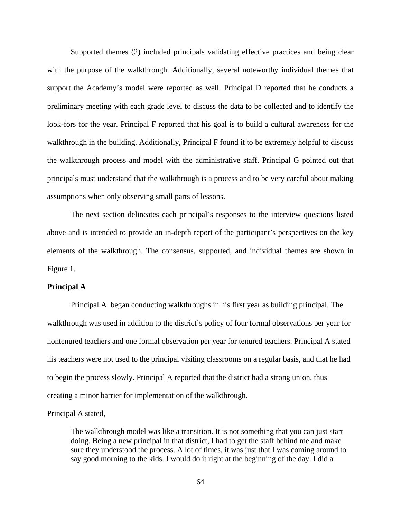Supported themes (2) included principals validating effective practices and being clear with the purpose of the walkthrough. Additionally, several noteworthy individual themes that support the Academy's model were reported as well. Principal D reported that he conducts a preliminary meeting with each grade level to discuss the data to be collected and to identify the look-fors for the year. Principal F reported that his goal is to build a cultural awareness for the walkthrough in the building. Additionally, Principal F found it to be extremely helpful to discuss the walkthrough process and model with the administrative staff. Principal G pointed out that principals must understand that the walkthrough is a process and to be very careful about making assumptions when only observing small parts of lessons.

The next section delineates each principal's responses to the interview questions listed above and is intended to provide an in-depth report of the participant's perspectives on the key elements of the walkthrough. The consensus, supported, and individual themes are shown in Figure 1.

#### **Principal A**

Principal A began conducting walkthroughs in his first year as building principal. The walkthrough was used in addition to the district's policy of four formal observations per year for nontenured teachers and one formal observation per year for tenured teachers. Principal A stated his teachers were not used to the principal visiting classrooms on a regular basis, and that he had to begin the process slowly. Principal A reported that the district had a strong union, thus creating a minor barrier for implementation of the walkthrough.

Principal A stated,

The walkthrough model was like a transition. It is not something that you can just start doing. Being a new principal in that district, I had to get the staff behind me and make sure they understood the process. A lot of times, it was just that I was coming around to say good morning to the kids. I would do it right at the beginning of the day. I did a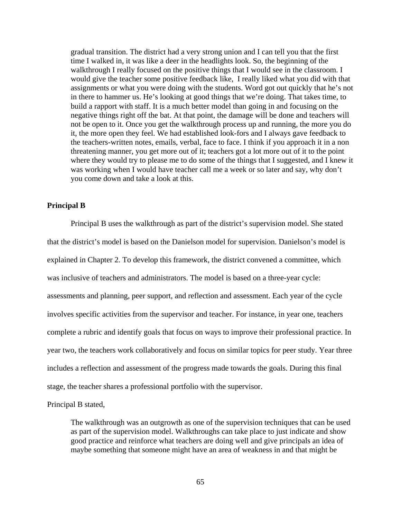gradual transition. The district had a very strong union and I can tell you that the first time I walked in, it was like a deer in the headlights look. So, the beginning of the walkthrough I really focused on the positive things that I would see in the classroom. I would give the teacher some positive feedback like, I really liked what you did with that assignments or what you were doing with the students. Word got out quickly that he's not in there to hammer us. He's looking at good things that we're doing. That takes time, to build a rapport with staff. It is a much better model than going in and focusing on the negative things right off the bat. At that point, the damage will be done and teachers will not be open to it. Once you get the walkthrough process up and running, the more you do it, the more open they feel. We had established look-fors and I always gave feedback to the teachers-written notes, emails, verbal, face to face. I think if you approach it in a non threatening manner, you get more out of it; teachers got a lot more out of it to the point where they would try to please me to do some of the things that I suggested, and I knew it was working when I would have teacher call me a week or so later and say, why don't you come down and take a look at this.

#### **Principal B**

Principal B uses the walkthrough as part of the district's supervision model. She stated that the district's model is based on the Danielson model for supervision. Danielson's model is explained in Chapter 2. To develop this framework, the district convened a committee, which was inclusive of teachers and administrators. The model is based on a three-year cycle: assessments and planning, peer support, and reflection and assessment. Each year of the cycle involves specific activities from the supervisor and teacher. For instance, in year one, teachers complete a rubric and identify goals that focus on ways to improve their professional practice. In year two, the teachers work collaboratively and focus on similar topics for peer study. Year three includes a reflection and assessment of the progress made towards the goals. During this final stage, the teacher shares a professional portfolio with the supervisor.

Principal B stated,

The walkthrough was an outgrowth as one of the supervision techniques that can be used as part of the supervision model. Walkthroughs can take place to just indicate and show good practice and reinforce what teachers are doing well and give principals an idea of maybe something that someone might have an area of weakness in and that might be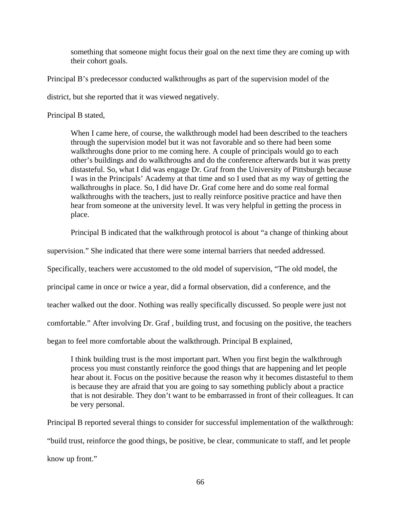something that someone might focus their goal on the next time they are coming up with their cohort goals.

Principal B's predecessor conducted walkthroughs as part of the supervision model of the

district, but she reported that it was viewed negatively.

Principal B stated,

When I came here, of course, the walkthrough model had been described to the teachers through the supervision model but it was not favorable and so there had been some walkthroughs done prior to me coming here. A couple of principals would go to each other's buildings and do walkthroughs and do the conference afterwards but it was pretty distasteful. So, what I did was engage Dr. Graf from the University of Pittsburgh because I was in the Principals' Academy at that time and so I used that as my way of getting the walkthroughs in place. So, I did have Dr. Graf come here and do some real formal walkthroughs with the teachers, just to really reinforce positive practice and have then hear from someone at the university level. It was very helpful in getting the process in place.

Principal B indicated that the walkthrough protocol is about "a change of thinking about

supervision." She indicated that there were some internal barriers that needed addressed.

Specifically, teachers were accustomed to the old model of supervision, "The old model, the

principal came in once or twice a year, did a formal observation, did a conference, and the

teacher walked out the door. Nothing was really specifically discussed. So people were just not

comfortable." After involving Dr. Graf , building trust, and focusing on the positive, the teachers

began to feel more comfortable about the walkthrough. Principal B explained,

I think building trust is the most important part. When you first begin the walkthrough process you must constantly reinforce the good things that are happening and let people hear about it. Focus on the positive because the reason why it becomes distasteful to them is because they are afraid that you are going to say something publicly about a practice that is not desirable. They don't want to be embarrassed in front of their colleagues. It can be very personal.

Principal B reported several things to consider for successful implementation of the walkthrough: "build trust, reinforce the good things, be positive, be clear, communicate to staff, and let people know up front."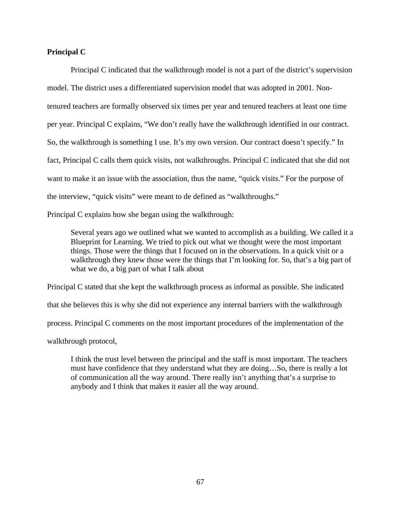#### **Principal C**

Principal C indicated that the walkthrough model is not a part of the district's supervision model. The district uses a differentiated supervision model that was adopted in 2001. Nontenured teachers are formally observed six times per year and tenured teachers at least one time per year. Principal C explains, "We don't really have the walkthrough identified in our contract. So, the walkthrough is something I use. It's my own version. Our contract doesn't specify." In fact, Principal C calls them quick visits, not walkthroughs. Principal C indicated that she did not want to make it an issue with the association, thus the name, "quick visits." For the purpose of the interview, "quick visits" were meant to de defined as "walkthroughs."

Principal C explains how she began using the walkthrough:

Several years ago we outlined what we wanted to accomplish as a building. We called it a Blueprint for Learning. We tried to pick out what we thought were the most important things. Those were the things that I focused on in the observations. In a quick visit or a walkthrough they knew those were the things that I'm looking for. So, that's a big part of what we do, a big part of what I talk about

Principal C stated that she kept the walkthrough process as informal as possible. She indicated that she believes this is why she did not experience any internal barriers with the walkthrough process. Principal C comments on the most important procedures of the implementation of the walkthrough protocol,

I think the trust level between the principal and the staff is most important. The teachers must have confidence that they understand what they are doing…So, there is really a lot of communication all the way around. There really isn't anything that's a surprise to anybody and I think that makes it easier all the way around.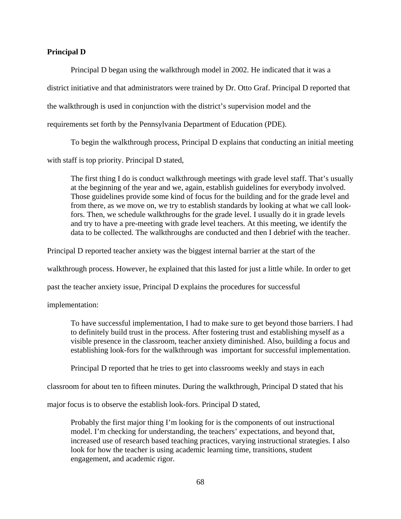#### **Principal D**

Principal D began using the walkthrough model in 2002. He indicated that it was a

district initiative and that administrators were trained by Dr. Otto Graf. Principal D reported that

the walkthrough is used in conjunction with the district's supervision model and the

requirements set forth by the Pennsylvania Department of Education (PDE).

To begin the walkthrough process, Principal D explains that conducting an initial meeting

with staff is top priority. Principal D stated,

The first thing I do is conduct walkthrough meetings with grade level staff. That's usually at the beginning of the year and we, again, establish guidelines for everybody involved. Those guidelines provide some kind of focus for the building and for the grade level and from there, as we move on, we try to establish standards by looking at what we call lookfors. Then, we schedule walkthroughs for the grade level. I usually do it in grade levels and try to have a pre-meeting with grade level teachers. At this meeting, we identify the data to be collected. The walkthroughs are conducted and then I debrief with the teacher.

Principal D reported teacher anxiety was the biggest internal barrier at the start of the

walkthrough process. However, he explained that this lasted for just a little while. In order to get

past the teacher anxiety issue, Principal D explains the procedures for successful

implementation:

To have successful implementation, I had to make sure to get beyond those barriers. I had to definitely build trust in the process. After fostering trust and establishing myself as a visible presence in the classroom, teacher anxiety diminished. Also, building a focus and establishing look-fors for the walkthrough was important for successful implementation.

Principal D reported that he tries to get into classrooms weekly and stays in each

classroom for about ten to fifteen minutes. During the walkthrough, Principal D stated that his

major focus is to observe the establish look-fors. Principal D stated,

Probably the first major thing I'm looking for is the components of out instructional model. I'm checking for understanding, the teachers' expectations, and beyond that, increased use of research based teaching practices, varying instructional strategies. I also look for how the teacher is using academic learning time, transitions, student engagement, and academic rigor.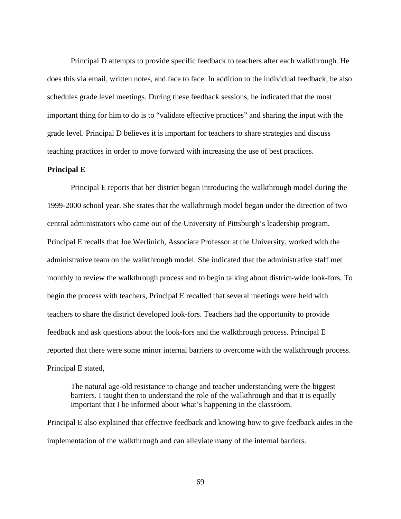Principal D attempts to provide specific feedback to teachers after each walkthrough. He does this via email, written notes, and face to face. In addition to the individual feedback, he also schedules grade level meetings. During these feedback sessions, he indicated that the most important thing for him to do is to "validate effective practices" and sharing the input with the grade level. Principal D believes it is important for teachers to share strategies and discuss teaching practices in order to move forward with increasing the use of best practices.

#### **Principal E**

Principal E reports that her district began introducing the walkthrough model during the 1999-2000 school year. She states that the walkthrough model began under the direction of two central administrators who came out of the University of Pittsburgh's leadership program. Principal E recalls that Joe Werlinich, Associate Professor at the University, worked with the administrative team on the walkthrough model. She indicated that the administrative staff met monthly to review the walkthrough process and to begin talking about district-wide look-fors. To begin the process with teachers, Principal E recalled that several meetings were held with teachers to share the district developed look-fors. Teachers had the opportunity to provide feedback and ask questions about the look-fors and the walkthrough process. Principal E reported that there were some minor internal barriers to overcome with the walkthrough process. Principal E stated,

The natural age-old resistance to change and teacher understanding were the biggest barriers. I taught then to understand the role of the walkthrough and that it is equally important that I be informed about what's happening in the classroom.

Principal E also explained that effective feedback and knowing how to give feedback aides in the implementation of the walkthrough and can alleviate many of the internal barriers.

69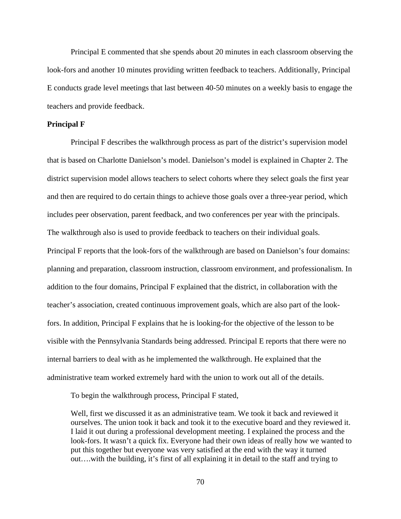Principal E commented that she spends about 20 minutes in each classroom observing the look-fors and another 10 minutes providing written feedback to teachers. Additionally, Principal E conducts grade level meetings that last between 40-50 minutes on a weekly basis to engage the teachers and provide feedback.

#### **Principal F**

Principal F describes the walkthrough process as part of the district's supervision model that is based on Charlotte Danielson's model. Danielson's model is explained in Chapter 2. The district supervision model allows teachers to select cohorts where they select goals the first year and then are required to do certain things to achieve those goals over a three-year period, which includes peer observation, parent feedback, and two conferences per year with the principals. The walkthrough also is used to provide feedback to teachers on their individual goals. Principal F reports that the look-fors of the walkthrough are based on Danielson's four domains: planning and preparation, classroom instruction, classroom environment, and professionalism. In addition to the four domains, Principal F explained that the district, in collaboration with the teacher's association, created continuous improvement goals, which are also part of the lookfors. In addition, Principal F explains that he is looking-for the objective of the lesson to be visible with the Pennsylvania Standards being addressed. Principal E reports that there were no internal barriers to deal with as he implemented the walkthrough. He explained that the administrative team worked extremely hard with the union to work out all of the details.

To begin the walkthrough process, Principal F stated,

Well, first we discussed it as an administrative team. We took it back and reviewed it ourselves. The union took it back and took it to the executive board and they reviewed it. I laid it out during a professional development meeting. I explained the process and the look-fors. It wasn't a quick fix. Everyone had their own ideas of really how we wanted to put this together but everyone was very satisfied at the end with the way it turned out….with the building, it's first of all explaining it in detail to the staff and trying to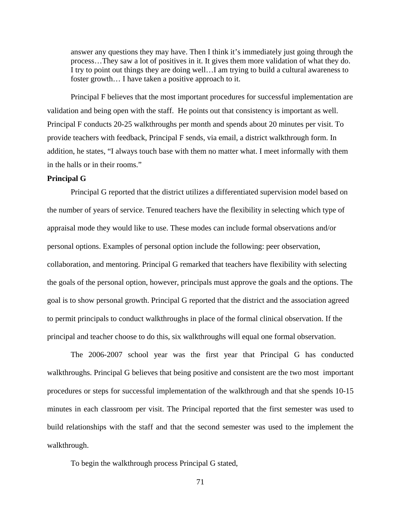answer any questions they may have. Then I think it's immediately just going through the process…They saw a lot of positives in it. It gives them more validation of what they do. I try to point out things they are doing well…I am trying to build a cultural awareness to foster growth… I have taken a positive approach to it.

Principal F believes that the most important procedures for successful implementation are validation and being open with the staff. He points out that consistency is important as well. Principal F conducts 20-25 walkthroughs per month and spends about 20 minutes per visit. To provide teachers with feedback, Principal F sends, via email, a district walkthrough form. In addition, he states, "I always touch base with them no matter what. I meet informally with them in the halls or in their rooms."

#### **Principal G**

Principal G reported that the district utilizes a differentiated supervision model based on the number of years of service. Tenured teachers have the flexibility in selecting which type of appraisal mode they would like to use. These modes can include formal observations and/or personal options. Examples of personal option include the following: peer observation, collaboration, and mentoring. Principal G remarked that teachers have flexibility with selecting the goals of the personal option, however, principals must approve the goals and the options. The goal is to show personal growth. Principal G reported that the district and the association agreed to permit principals to conduct walkthroughs in place of the formal clinical observation. If the principal and teacher choose to do this, six walkthroughs will equal one formal observation.

The 2006-2007 school year was the first year that Principal G has conducted walkthroughs. Principal G believes that being positive and consistent are the two most important procedures or steps for successful implementation of the walkthrough and that she spends 10-15 minutes in each classroom per visit. The Principal reported that the first semester was used to build relationships with the staff and that the second semester was used to the implement the walkthrough.

To begin the walkthrough process Principal G stated,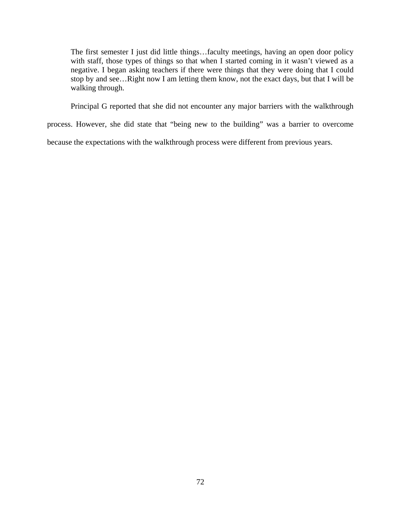The first semester I just did little things…faculty meetings, having an open door policy with staff, those types of things so that when I started coming in it wasn't viewed as a negative. I began asking teachers if there were things that they were doing that I could stop by and see…Right now I am letting them know, not the exact days, but that I will be walking through.

Principal G reported that she did not encounter any major barriers with the walkthrough

process. However, she did state that "being new to the building" was a barrier to overcome

because the expectations with the walkthrough process were different from previous years.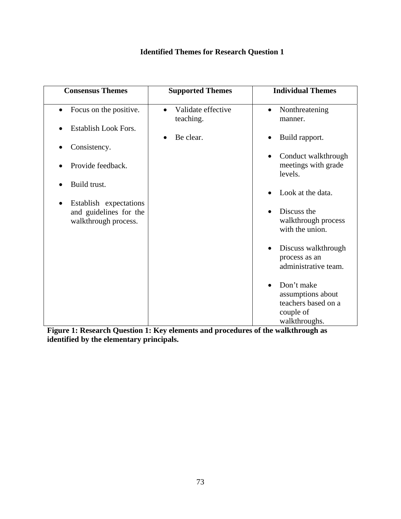## **Identified Themes for Research Question 1**

| <b>Consensus Themes</b>                                                               | <b>Supported Themes</b>                      | <b>Individual Themes</b>                                                                          |
|---------------------------------------------------------------------------------------|----------------------------------------------|---------------------------------------------------------------------------------------------------|
| Focus on the positive.<br>$\bullet$                                                   | Validate effective<br>$\bullet$<br>teaching. | Nonthreatening<br>$\bullet$<br>manner.                                                            |
| Establish Look Fors.                                                                  | Be clear.<br>$\bullet$                       | Build rapport.<br>$\bullet$                                                                       |
| Consistency.                                                                          |                                              |                                                                                                   |
| Provide feedback.                                                                     |                                              | Conduct walkthrough<br>$\bullet$<br>meetings with grade<br>levels.                                |
| Build trust.                                                                          |                                              | Look at the data.                                                                                 |
| Establish expectations<br>$\bullet$<br>and guidelines for the<br>walkthrough process. |                                              | Discuss the<br>walkthrough process<br>with the union.                                             |
|                                                                                       |                                              | Discuss walkthrough<br>process as an<br>administrative team.                                      |
|                                                                                       |                                              | Don't make<br>$\bullet$<br>assumptions about<br>teachers based on a<br>couple of<br>walkthroughs. |

**Figure 1: Research Question 1: Key elements and procedures of the walkthrough as identified by the elementary principals.**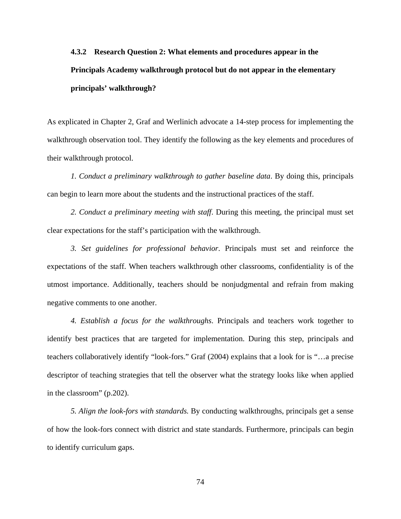# **4.3.2 Research Question 2: What elements and procedures appear in the Principals Academy walkthrough protocol but do not appear in the elementary principals' walkthrough?**

As explicated in Chapter 2, Graf and Werlinich advocate a 14-step process for implementing the walkthrough observation tool. They identify the following as the key elements and procedures of their walkthrough protocol.

*1. Conduct a preliminary walkthrough to gather baseline data*. By doing this, principals can begin to learn more about the students and the instructional practices of the staff.

*2. Conduct a preliminary meeting with staff*. During this meeting, the principal must set clear expectations for the staff's participation with the walkthrough.

*3. Set guidelines for professional behavior*. Principals must set and reinforce the expectations of the staff. When teachers walkthrough other classrooms, confidentiality is of the utmost importance. Additionally, teachers should be nonjudgmental and refrain from making negative comments to one another.

*4. Establish a focus for the walkthroughs*. Principals and teachers work together to identify best practices that are targeted for implementation. During this step, principals and teachers collaboratively identify "look-fors." Graf (2004) explains that a look for is "…a precise descriptor of teaching strategies that tell the observer what the strategy looks like when applied in the classroom" (p.202).

*5. Align the look*-*fors with standards.* By conducting walkthroughs, principals get a sense of how the look-fors connect with district and state standards. Furthermore, principals can begin to identify curriculum gaps.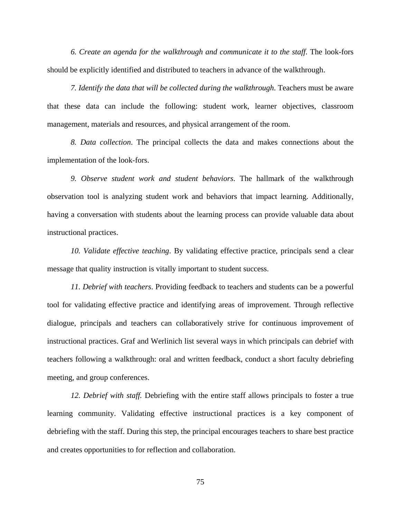*6. Create an agenda for the walkthrough and communicate it to the staff*. The look-fors should be explicitly identified and distributed to teachers in advance of the walkthrough.

*7. Identify the data that will be collected during the walkthrough*. Teachers must be aware that these data can include the following: student work, learner objectives, classroom management, materials and resources, and physical arrangement of the room.

*8. Data collection*. The principal collects the data and makes connections about the implementation of the look-fors.

*9. Observe student work and student behaviors*. The hallmark of the walkthrough observation tool is analyzing student work and behaviors that impact learning. Additionally, having a conversation with students about the learning process can provide valuable data about instructional practices.

*10. Validate effective teaching*. By validating effective practice, principals send a clear message that quality instruction is vitally important to student success.

*11. Debrief with teachers*. Providing feedback to teachers and students can be a powerful tool for validating effective practice and identifying areas of improvement. Through reflective dialogue, principals and teachers can collaboratively strive for continuous improvement of instructional practices. Graf and Werlinich list several ways in which principals can debrief with teachers following a walkthrough: oral and written feedback, conduct a short faculty debriefing meeting, and group conferences.

*12. Debrief with staff.* Debriefing with the entire staff allows principals to foster a true learning community. Validating effective instructional practices is a key component of debriefing with the staff. During this step, the principal encourages teachers to share best practice and creates opportunities to for reflection and collaboration.

75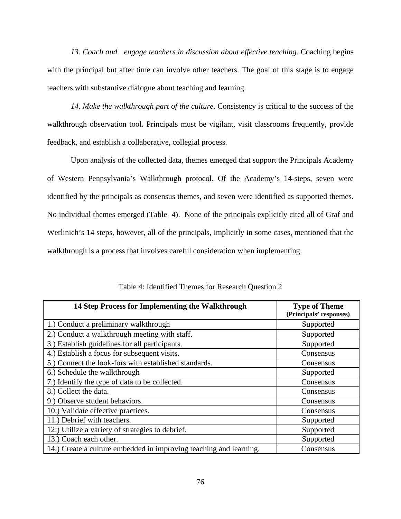13. Coach and engage teachers in discussion about effective teaching. Coaching begins with the principal but after time can involve other teachers. The goal of this stage is to engage teachers with substantive dialogue about teaching and learning.

*14. Make the walkthrough part of the culture.* Consistency is critical to the success of the walkthrough observation tool. Principals must be vigilant, visit classrooms frequently, provide feedback, and establish a collaborative, collegial process.

 Upon analysis of the collected data, themes emerged that support the Principals Academy of Western Pennsylvania's Walkthrough protocol. Of the Academy's 14-steps, seven were identified by the principals as consensus themes, and seven were identified as supported themes. No individual themes emerged (Table 4). None of the principals explicitly cited all of Graf and Werlinich's 14 steps, however, all of the principals, implicitly in some cases, mentioned that the walkthrough is a process that involves careful consideration when implementing.

| 14 Step Process for Implementing the Walkthrough                   | <b>Type of Theme</b><br>(Principals' responses) |
|--------------------------------------------------------------------|-------------------------------------------------|
| 1.) Conduct a preliminary walkthrough                              | Supported                                       |
| 2.) Conduct a walkthrough meeting with staff.                      | Supported                                       |
| 3.) Establish guidelines for all participants.                     | Supported                                       |
| 4.) Establish a focus for subsequent visits.                       | Consensus                                       |
| 5.) Connect the look-fors with established standards.              | Consensus                                       |
| 6.) Schedule the walkthrough                                       | Supported                                       |
| 7.) Identify the type of data to be collected.                     | Consensus                                       |
| 8.) Collect the data.                                              | Consensus                                       |
| 9.) Observe student behaviors.                                     | Consensus                                       |
| 10.) Validate effective practices.                                 | Consensus                                       |
| 11.) Debrief with teachers.                                        | Supported                                       |
| 12.) Utilize a variety of strategies to debrief.                   | Supported                                       |
| 13.) Coach each other.                                             | Supported                                       |
| 14.) Create a culture embedded in improving teaching and learning. | Consensus                                       |

Table 4: Identified Themes for Research Question 2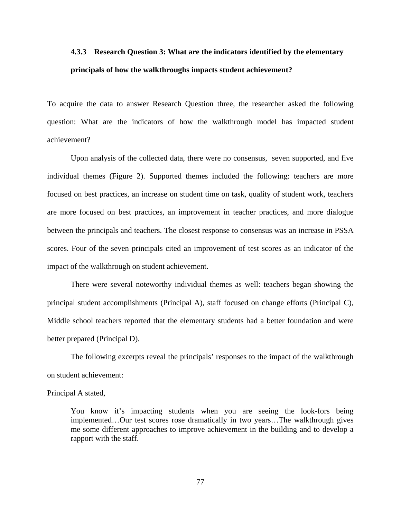# **4.3.3 Research Question 3: What are the indicators identified by the elementary principals of how the walkthroughs impacts student achievement?**

To acquire the data to answer Research Question three, the researcher asked the following question: What are the indicators of how the walkthrough model has impacted student achievement?

Upon analysis of the collected data, there were no consensus, seven supported, and five individual themes (Figure 2). Supported themes included the following: teachers are more focused on best practices, an increase on student time on task, quality of student work, teachers are more focused on best practices, an improvement in teacher practices, and more dialogue between the principals and teachers. The closest response to consensus was an increase in PSSA scores. Four of the seven principals cited an improvement of test scores as an indicator of the impact of the walkthrough on student achievement.

There were several noteworthy individual themes as well: teachers began showing the principal student accomplishments (Principal A), staff focused on change efforts (Principal C), Middle school teachers reported that the elementary students had a better foundation and were better prepared (Principal D).

The following excerpts reveal the principals' responses to the impact of the walkthrough on student achievement:

#### Principal A stated,

You know it's impacting students when you are seeing the look-fors being implemented…Our test scores rose dramatically in two years…The walkthrough gives me some different approaches to improve achievement in the building and to develop a rapport with the staff.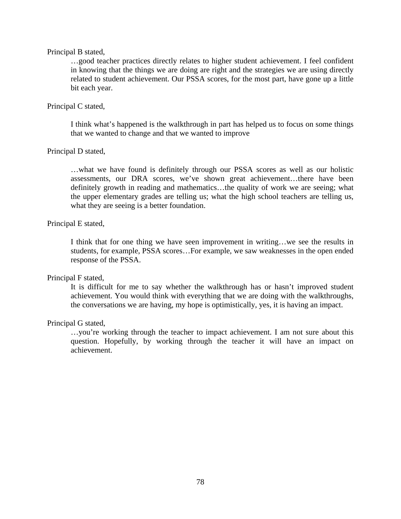#### Principal B stated,

…good teacher practices directly relates to higher student achievement. I feel confident in knowing that the things we are doing are right and the strategies we are using directly related to student achievement. Our PSSA scores, for the most part, have gone up a little bit each year.

#### Principal C stated,

I think what's happened is the walkthrough in part has helped us to focus on some things that we wanted to change and that we wanted to improve

#### Principal D stated,

…what we have found is definitely through our PSSA scores as well as our holistic assessments, our DRA scores, we've shown great achievement…there have been definitely growth in reading and mathematics…the quality of work we are seeing; what the upper elementary grades are telling us; what the high school teachers are telling us, what they are seeing is a better foundation.

#### Principal E stated,

I think that for one thing we have seen improvement in writing…we see the results in students, for example, PSSA scores…For example, we saw weaknesses in the open ended response of the PSSA.

#### Principal F stated,

It is difficult for me to say whether the walkthrough has or hasn't improved student achievement. You would think with everything that we are doing with the walkthroughs, the conversations we are having, my hope is optimistically, yes, it is having an impact.

#### Principal G stated,

…you're working through the teacher to impact achievement. I am not sure about this question. Hopefully, by working through the teacher it will have an impact on achievement.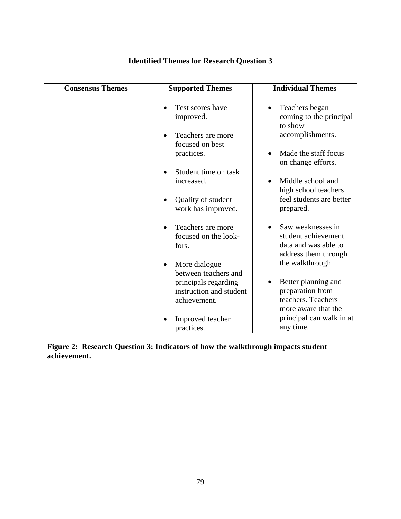| <b>Consensus Themes</b> | <b>Supported Themes</b>                         | <b>Individual Themes</b>                    |
|-------------------------|-------------------------------------------------|---------------------------------------------|
|                         | Test scores have<br>$\bullet$                   | Teachers began<br>$\bullet$                 |
|                         | improved.                                       | coming to the principal<br>to show          |
|                         | Teachers are more<br>focused on best            | accomplishments.                            |
|                         | practices.                                      | Made the staff focus<br>on change efforts.  |
|                         | Student time on task                            |                                             |
|                         | increased.                                      | Middle school and<br>high school teachers   |
|                         | Quality of student<br>work has improved.        | feel students are better<br>prepared.       |
|                         |                                                 |                                             |
|                         | Teachers are more                               | Saw weaknesses in                           |
|                         | focused on the look-<br>fors.                   | student achievement<br>data and was able to |
|                         |                                                 | address them through                        |
|                         | More dialogue                                   | the walkthrough.                            |
|                         | between teachers and                            | Better planning and                         |
|                         | principals regarding<br>instruction and student | preparation from                            |
|                         | achievement.                                    | teachers. Teachers                          |
|                         |                                                 | more aware that the                         |
|                         | Improved teacher                                | principal can walk in at                    |
|                         | practices.                                      | any time.                                   |

## **Identified Themes for Research Question 3**

**Figure 2: Research Question 3: Indicators of how the walkthrough impacts student achievement.**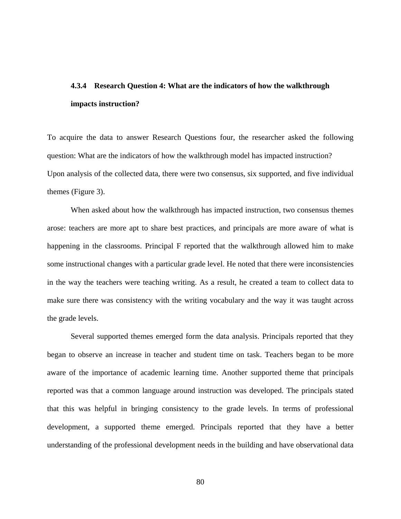# **4.3.4 Research Question 4: What are the indicators of how the walkthrough impacts instruction?**

To acquire the data to answer Research Questions four, the researcher asked the following question: What are the indicators of how the walkthrough model has impacted instruction? Upon analysis of the collected data, there were two consensus, six supported, and five individual themes (Figure 3).

When asked about how the walkthrough has impacted instruction, two consensus themes arose: teachers are more apt to share best practices, and principals are more aware of what is happening in the classrooms. Principal F reported that the walkthrough allowed him to make some instructional changes with a particular grade level. He noted that there were inconsistencies in the way the teachers were teaching writing. As a result, he created a team to collect data to make sure there was consistency with the writing vocabulary and the way it was taught across the grade levels.

Several supported themes emerged form the data analysis. Principals reported that they began to observe an increase in teacher and student time on task. Teachers began to be more aware of the importance of academic learning time. Another supported theme that principals reported was that a common language around instruction was developed. The principals stated that this was helpful in bringing consistency to the grade levels. In terms of professional development, a supported theme emerged. Principals reported that they have a better understanding of the professional development needs in the building and have observational data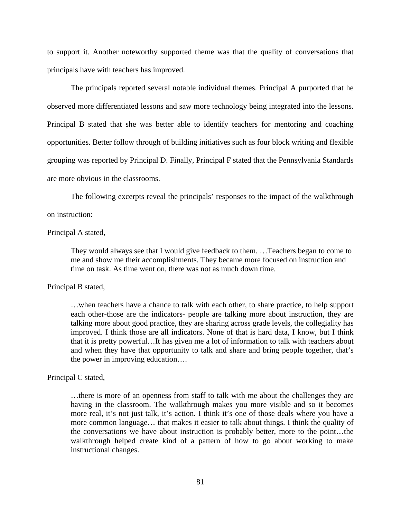to support it. Another noteworthy supported theme was that the quality of conversations that principals have with teachers has improved.

The principals reported several notable individual themes. Principal A purported that he observed more differentiated lessons and saw more technology being integrated into the lessons. Principal B stated that she was better able to identify teachers for mentoring and coaching opportunities. Better follow through of building initiatives such as four block writing and flexible grouping was reported by Principal D. Finally, Principal F stated that the Pennsylvania Standards are more obvious in the classrooms.

The following excerpts reveal the principals' responses to the impact of the walkthrough

#### on instruction:

#### Principal A stated,

They would always see that I would give feedback to them. …Teachers began to come to me and show me their accomplishments. They became more focused on instruction and time on task. As time went on, there was not as much down time.

#### Principal B stated,

…when teachers have a chance to talk with each other, to share practice, to help support each other-those are the indicators- people are talking more about instruction, they are talking more about good practice, they are sharing across grade levels, the collegiality has improved. I think those are all indicators. None of that is hard data, I know, but I think that it is pretty powerful…It has given me a lot of information to talk with teachers about and when they have that opportunity to talk and share and bring people together, that's the power in improving education….

#### Principal C stated,

…there is more of an openness from staff to talk with me about the challenges they are having in the classroom. The walkthrough makes you more visible and so it becomes more real, it's not just talk, it's action. I think it's one of those deals where you have a more common language… that makes it easier to talk about things. I think the quality of the conversations we have about instruction is probably better, more to the point…the walkthrough helped create kind of a pattern of how to go about working to make instructional changes.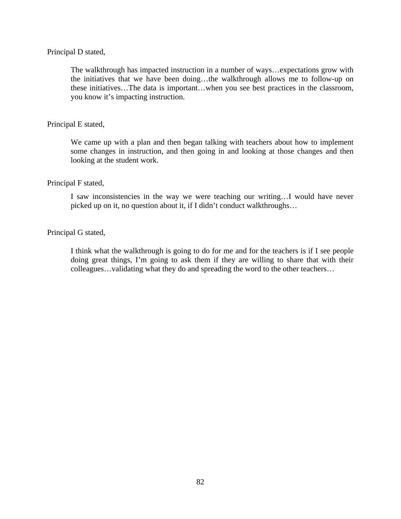#### Principal D stated,

The walkthrough has impacted instruction in a number of ways…expectations grow with the initiatives that we have been doing…the walkthrough allows me to follow-up on these initiatives…The data is important…when you see best practices in the classroom, you know it's impacting instruction.

#### Principal E stated,

We came up with a plan and then began talking with teachers about how to implement some changes in instruction, and then going in and looking at those changes and then looking at the student work.

#### Principal F stated,

I saw inconsistencies in the way we were teaching our writing…I would have never picked up on it, no question about it, if I didn't conduct walkthroughs…

#### Principal G stated,

I think what the walkthrough is going to do for me and for the teachers is if I see people doing great things, I'm going to ask them if they are willing to share that with their colleagues…validating what they do and spreading the word to the other teachers…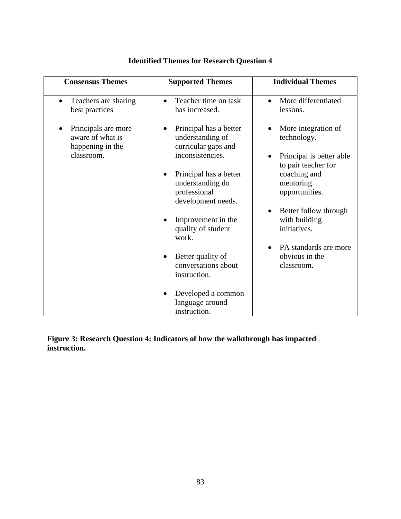| <b>Consensus Themes</b>                                                   | <b>Supported Themes</b>                                                                                                                             | <b>Individual Themes</b>                                                                                                             |
|---------------------------------------------------------------------------|-----------------------------------------------------------------------------------------------------------------------------------------------------|--------------------------------------------------------------------------------------------------------------------------------------|
| Teachers are sharing<br>best practices                                    | Teacher time on task<br>has increased.                                                                                                              | More differentiated<br>lessons.                                                                                                      |
| Principals are more<br>aware of what is<br>happening in the<br>classroom. | Principal has a better<br>understanding of<br>curricular gaps and<br>inconsistencies.<br>Principal has a better<br>understanding do<br>professional | More integration of<br>technology.<br>Principal is better able<br>to pair teacher for<br>coaching and<br>mentoring<br>opportunities. |
|                                                                           | development needs.<br>Improvement in the                                                                                                            | Better follow through<br>with building                                                                                               |
|                                                                           | quality of student<br>work.                                                                                                                         | initiatives.<br>PA standards are more                                                                                                |
|                                                                           | Better quality of<br>conversations about<br>instruction.                                                                                            | obvious in the<br>classroom.                                                                                                         |
|                                                                           | Developed a common<br>language around<br>instruction.                                                                                               |                                                                                                                                      |

## **Identified Themes for Research Question 4**

**Figure 3: Research Question 4: Indicators of how the walkthrough has impacted instruction.**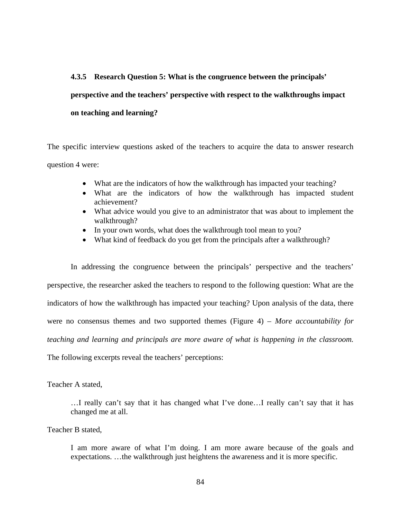# **4.3.5 Research Question 5: What is the congruence between the principals' perspective and the teachers' perspective with respect to the walkthroughs impact on teaching and learning?**

The specific interview questions asked of the teachers to acquire the data to answer research question 4 were:

- What are the indicators of how the walkthrough has impacted your teaching?
- What are the indicators of how the walkthrough has impacted student achievement?
- What advice would you give to an administrator that was about to implement the walkthrough?
- In your own words, what does the walkthrough tool mean to you?
- What kind of feedback do you get from the principals after a walkthrough?

In addressing the congruence between the principals' perspective and the teachers' perspective, the researcher asked the teachers to respond to the following question: What are the indicators of how the walkthrough has impacted your teaching? Upon analysis of the data, there were no consensus themes and two supported themes (Figure 4) – *More accountability for teaching and learning and principals are more aware of what is happening in the classroom.*  The following excerpts reveal the teachers' perceptions:

#### Teacher A stated,

…I really can't say that it has changed what I've done…I really can't say that it has changed me at all.

Teacher B stated,

I am more aware of what I'm doing. I am more aware because of the goals and expectations. …the walkthrough just heightens the awareness and it is more specific.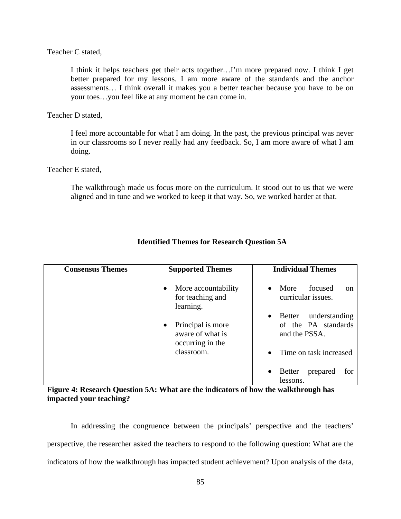Teacher C stated,

I think it helps teachers get their acts together…I'm more prepared now. I think I get better prepared for my lessons. I am more aware of the standards and the anchor assessments… I think overall it makes you a better teacher because you have to be on your toes…you feel like at any moment he can come in.

Teacher D stated,

I feel more accountable for what I am doing. In the past, the previous principal was never in our classrooms so I never really had any feedback. So, I am more aware of what I am doing.

Teacher E stated,

The walkthrough made us focus more on the curriculum. It stood out to us that we were aligned and in tune and we worked to keep it that way. So, we worked harder at that.

| <b>Consensus Themes</b> | <b>Supported Themes</b>                                                | <b>Individual Themes</b>                                                     |
|-------------------------|------------------------------------------------------------------------|------------------------------------------------------------------------------|
|                         | • More accountability<br>for teaching and<br>learning.                 | More<br>focused<br>$\bullet$<br><sub>on</sub><br>curricular issues.          |
|                         | Principal is more<br>$\bullet$<br>aware of what is<br>occurring in the | understanding<br>Better<br>$\bullet$<br>of the PA standards<br>and the PSSA. |
|                         | classroom.                                                             | Time on task increased                                                       |
|                         |                                                                        | <b>Better</b><br>prepared<br>for<br>lessons.                                 |

#### **Identified Themes for Research Question 5A**

**Figure 4: Research Question 5A: What are the indicators of how the walkthrough has impacted your teaching?** 

In addressing the congruence between the principals' perspective and the teachers' perspective, the researcher asked the teachers to respond to the following question: What are the indicators of how the walkthrough has impacted student achievement? Upon analysis of the data,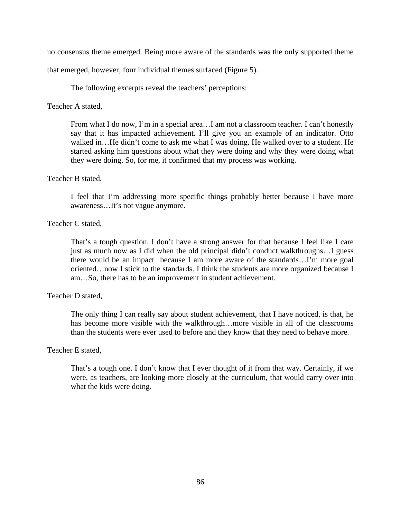no consensus theme emerged. Being more aware of the standards was the only supported theme

that emerged, however, four individual themes surfaced (Figure 5).

The following excerpts reveal the teachers' perceptions:

Teacher A stated,

From what I do now, I'm in a special area...I am not a classroom teacher. I can't honestly say that it has impacted achievement. I'll give you an example of an indicator. Otto walked in...He didn't come to ask me what I was doing. He walked over to a student. He started asking him questions about what they were doing and why they were doing what they were doing. So, for me, it confirmed that my process was working.

#### Teacher B stated,

I feel that I'm addressing more specific things probably better because I have more awareness…It's not vague anymore.

#### Teacher C stated,

That's a tough question. I don't have a strong answer for that because I feel like I care just as much now as I did when the old principal didn't conduct walkthroughs…I guess there would be an impact because I am more aware of the standards…I'm more goal oriented…now I stick to the standards. I think the students are more organized because I am…So, there has to be an improvement in student achievement.

#### Teacher D stated,

The only thing I can really say about student achievement, that I have noticed, is that, he has become more visible with the walkthrough…more visible in all of the classrooms than the students were ever used to before and they know that they need to behave more.

#### Teacher E stated,

That's a tough one. I don't know that I ever thought of it from that way. Certainly, if we were, as teachers, are looking more closely at the curriculum, that would carry over into what the kids were doing.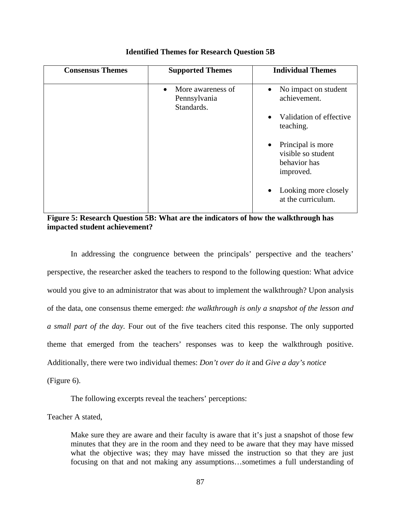| <b>Consensus Themes</b> | <b>Supported Themes</b>                                      | <b>Individual Themes</b>                                               |
|-------------------------|--------------------------------------------------------------|------------------------------------------------------------------------|
|                         | More awareness of<br>$\bullet$<br>Pennsylvania<br>Standards. | • No impact on student<br>achievement.                                 |
|                         |                                                              | Validation of effective<br>$\bullet$<br>teaching.                      |
|                         |                                                              | • Principal is more<br>visible so student<br>behavior has<br>improved. |
|                         |                                                              | Looking more closely<br>at the curriculum.                             |

**Identified Themes for Research Question 5B** 

**Figure 5: Research Question 5B: What are the indicators of how the walkthrough has impacted student achievement?** 

In addressing the congruence between the principals' perspective and the teachers' perspective, the researcher asked the teachers to respond to the following question: What advice would you give to an administrator that was about to implement the walkthrough? Upon analysis of the data, one consensus theme emerged: *the walkthrough is only a snapshot of the lesson and a small part of the day.* Four out of the five teachers cited this response. The only supported theme that emerged from the teachers' responses was to keep the walkthrough positive. Additionally, there were two individual themes: *Don't over do it* and *Give a day's notice* 

(Figure 6).

The following excerpts reveal the teachers' perceptions:

Teacher A stated,

Make sure they are aware and their faculty is aware that it's just a snapshot of those few minutes that they are in the room and they need to be aware that they may have missed what the objective was; they may have missed the instruction so that they are just focusing on that and not making any assumptions…sometimes a full understanding of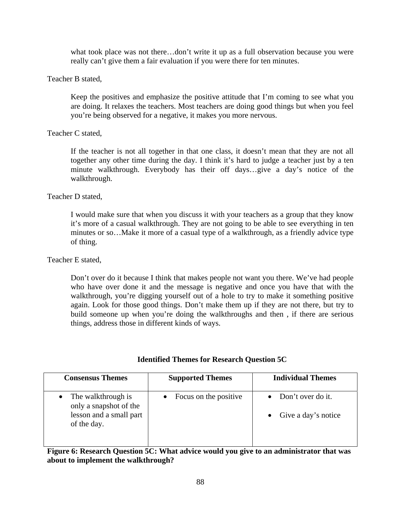what took place was not there…don't write it up as a full observation because you were really can't give them a fair evaluation if you were there for ten minutes.

#### Teacher B stated,

Keep the positives and emphasize the positive attitude that I'm coming to see what you are doing. It relaxes the teachers. Most teachers are doing good things but when you feel you're being observed for a negative, it makes you more nervous.

#### Teacher C stated,

If the teacher is not all together in that one class, it doesn't mean that they are not all together any other time during the day. I think it's hard to judge a teacher just by a ten minute walkthrough. Everybody has their off days…give a day's notice of the walkthrough.

#### Teacher D stated,

I would make sure that when you discuss it with your teachers as a group that they know it's more of a casual walkthrough. They are not going to be able to see everything in ten minutes or so…Make it more of a casual type of a walkthrough, as a friendly advice type of thing.

#### Teacher E stated,

Don't over do it because I think that makes people not want you there. We've had people who have over done it and the message is negative and once you have that with the walkthrough, you're digging yourself out of a hole to try to make it something positive again. Look for those good things. Don't make them up if they are not there, but try to build someone up when you're doing the walkthroughs and then , if there are serious things, address those in different kinds of ways.

| <b>Consensus Themes</b>                                                                | <b>Supported Themes</b> | <b>Individual Themes</b>                             |
|----------------------------------------------------------------------------------------|-------------------------|------------------------------------------------------|
| The walkthrough is<br>only a snapshot of the<br>lesson and a small part<br>of the day. | Focus on the positive   | • Don't over do it.<br>$\bullet$ Give a day's notice |

#### **Identified Themes for Research Question 5C**

**Figure 6: Research Question 5C: What advice would you give to an administrator that was about to implement the walkthrough?**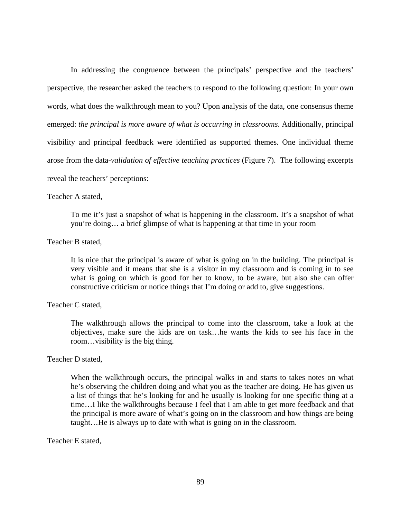In addressing the congruence between the principals' perspective and the teachers' perspective, the researcher asked the teachers to respond to the following question: In your own words, what does the walkthrough mean to you? Upon analysis of the data, one consensus theme emerged: *the principal is more aware of what is occurring in classrooms*. Additionally, principal visibility and principal feedback were identified as supported themes. One individual theme arose from the data-*validation of effective teaching practices* (Figure 7). The following excerpts reveal the teachers' perceptions:

#### Teacher A stated,

To me it's just a snapshot of what is happening in the classroom. It's a snapshot of what you're doing… a brief glimpse of what is happening at that time in your room

#### Teacher B stated,

It is nice that the principal is aware of what is going on in the building. The principal is very visible and it means that she is a visitor in my classroom and is coming in to see what is going on which is good for her to know, to be aware, but also she can offer constructive criticism or notice things that I'm doing or add to, give suggestions.

#### Teacher C stated,

The walkthrough allows the principal to come into the classroom, take a look at the objectives, make sure the kids are on task…he wants the kids to see his face in the room…visibility is the big thing.

#### Teacher D stated,

When the walkthrough occurs, the principal walks in and starts to takes notes on what he's observing the children doing and what you as the teacher are doing. He has given us a list of things that he's looking for and he usually is looking for one specific thing at a time…I like the walkthroughs because I feel that I am able to get more feedback and that the principal is more aware of what's going on in the classroom and how things are being taught…He is always up to date with what is going on in the classroom.

#### Teacher E stated,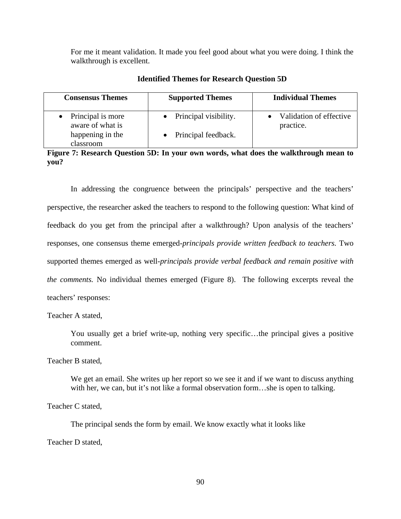For me it meant validation. It made you feel good about what you were doing. I think the walkthrough is excellent.

| <b>Consensus Themes</b>               | <b>Supported Themes</b> | <b>Individual Themes</b>             |
|---------------------------------------|-------------------------|--------------------------------------|
| Principal is more<br>aware of what is | Principal visibility.   | Validation of effective<br>practice. |
| happening in the<br>classroom         | Principal feedback.     |                                      |

**Identified Themes for Research Question 5D** 

**Figure 7: Research Question 5D: In your own words, what does the walkthrough mean to you?** 

In addressing the congruence between the principals' perspective and the teachers' perspective, the researcher asked the teachers to respond to the following question: What kind of feedback do you get from the principal after a walkthrough? Upon analysis of the teachers' responses, one consensus theme emerged-*principals provide written feedback to teachers.* Two supported themes emerged as well-*principals provide verbal feedback and remain positive with the comments.* No individual themes emerged (Figure 8). The following excerpts reveal the teachers' responses:

Teacher A stated,

You usually get a brief write-up, nothing very specific…the principal gives a positive comment.

Teacher B stated,

We get an email. She writes up her report so we see it and if we want to discuss anything with her, we can, but it's not like a formal observation form...she is open to talking.

Teacher C stated,

The principal sends the form by email. We know exactly what it looks like

Teacher D stated,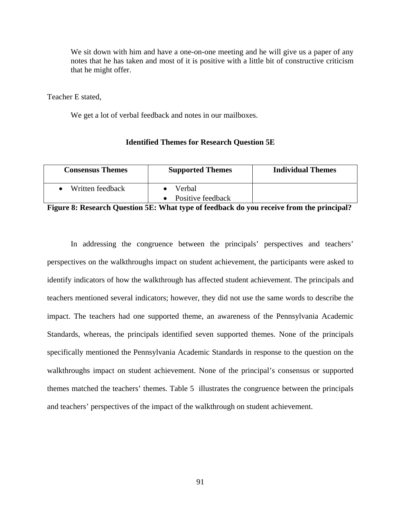We sit down with him and have a one-on-one meeting and he will give us a paper of any notes that he has taken and most of it is positive with a little bit of constructive criticism that he might offer.

Teacher E stated,

We get a lot of verbal feedback and notes in our mailboxes.

#### **Identified Themes for Research Question 5E**

| <b>Consensus Themes</b> | <b>Supported Themes</b>     | <b>Individual Themes</b> |
|-------------------------|-----------------------------|--------------------------|
| Written feedback        | Verbal<br>Positive feedback |                          |

**Figure 8: Research Question 5E: What type of feedback do you receive from the principal?** 

In addressing the congruence between the principals' perspectives and teachers' perspectives on the walkthroughs impact on student achievement, the participants were asked to identify indicators of how the walkthrough has affected student achievement. The principals and teachers mentioned several indicators; however, they did not use the same words to describe the impact. The teachers had one supported theme, an awareness of the Pennsylvania Academic Standards, whereas, the principals identified seven supported themes. None of the principals specifically mentioned the Pennsylvania Academic Standards in response to the question on the walkthroughs impact on student achievement. None of the principal's consensus or supported themes matched the teachers' themes. Table 5 illustrates the congruence between the principals and teachers' perspectives of the impact of the walkthrough on student achievement.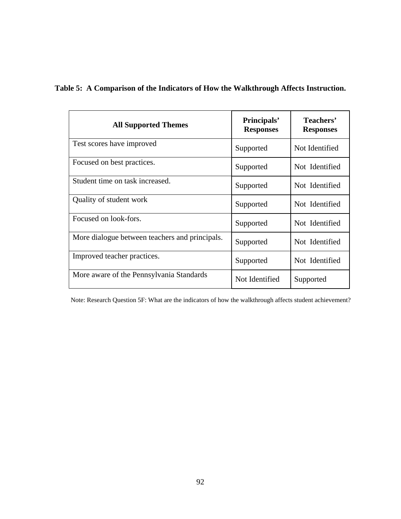| <b>All Supported Themes</b>                    | Principals'<br><b>Responses</b> | Teachers'<br><b>Responses</b> |
|------------------------------------------------|---------------------------------|-------------------------------|
| Test scores have improved                      | Supported                       | Not Identified                |
| Focused on best practices.                     | Supported                       | Not Identified                |
| Student time on task increased.                | Supported                       | Not Identified                |
| Quality of student work                        | Supported                       | Not Identified                |
| Focused on look-fors.                          | Supported                       | Not Identified                |
| More dialogue between teachers and principals. | Supported                       | Not Identified                |
| Improved teacher practices.                    | Supported                       | Not Identified                |
| More aware of the Pennsylvania Standards       | Not Identified                  | Supported                     |

## **Table 5: A Comparison of the Indicators of How the Walkthrough Affects Instruction.**

Note: Research Question 5F: What are the indicators of how the walkthrough affects student achievement?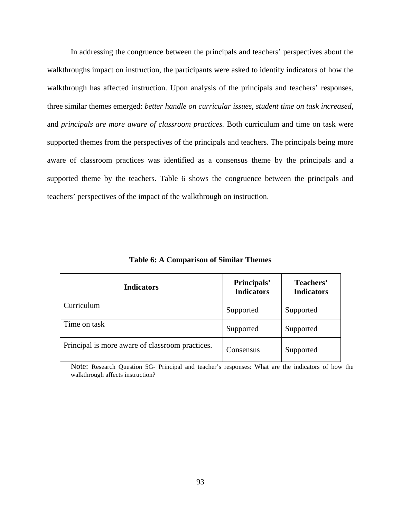In addressing the congruence between the principals and teachers' perspectives about the walkthroughs impact on instruction, the participants were asked to identify indicators of how the walkthrough has affected instruction. Upon analysis of the principals and teachers' responses, three similar themes emerged: *better handle on curricular issues, student time on task increased,*  and *principals are more aware of classroom practices.* Both curriculum and time on task were supported themes from the perspectives of the principals and teachers. The principals being more aware of classroom practices was identified as a consensus theme by the principals and a supported theme by the teachers. Table 6 shows the congruence between the principals and teachers' perspectives of the impact of the walkthrough on instruction.

| <b>Indicators</b>                               | Principals'<br><b>Indicators</b> | Teachers'<br><b>Indicators</b> |
|-------------------------------------------------|----------------------------------|--------------------------------|
| Curriculum                                      | Supported                        | Supported                      |
| Time on task                                    | Supported                        | Supported                      |
| Principal is more aware of classroom practices. | Consensus                        | Supported                      |

**Table 6: A Comparison of Similar Themes** 

Note: Research Question 5G- Principal and teacher's responses: What are the indicators of how the walkthrough affects instruction?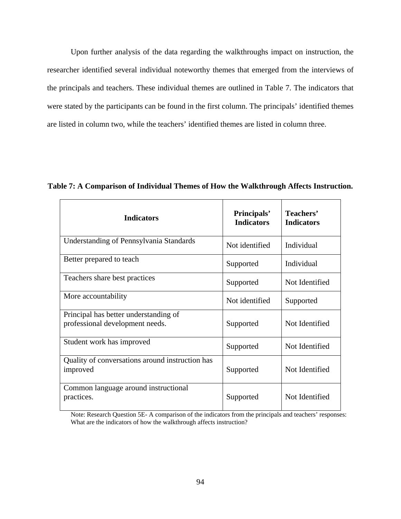Upon further analysis of the data regarding the walkthroughs impact on instruction, the researcher identified several individual noteworthy themes that emerged from the interviews of the principals and teachers. These individual themes are outlined in Table 7. The indicators that were stated by the participants can be found in the first column. The principals' identified themes are listed in column two, while the teachers' identified themes are listed in column three.

| <b>Indicators</b>                                                        | Principals'<br><b>Indicators</b> | Teachers'<br><b>Indicators</b> |
|--------------------------------------------------------------------------|----------------------------------|--------------------------------|
| Understanding of Pennsylvania Standards                                  | Not identified                   | Individual                     |
| Better prepared to teach                                                 | Supported                        | Individual                     |
| Teachers share best practices                                            | Supported                        | Not Identified                 |
| More accountability                                                      | Not identified                   | Supported                      |
| Principal has better understanding of<br>professional development needs. | Supported                        | Not Identified                 |
| Student work has improved                                                | Supported                        | Not Identified                 |
| Quality of conversations around instruction has<br>improved              | Supported                        | Not Identified                 |
| Common language around instructional<br>practices.                       | Supported                        | Not Identified                 |

**Table 7: A Comparison of Individual Themes of How the Walkthrough Affects Instruction.** 

Note: Research Question 5E- A comparison of the indicators from the principals and teachers' responses: What are the indicators of how the walkthrough affects instruction?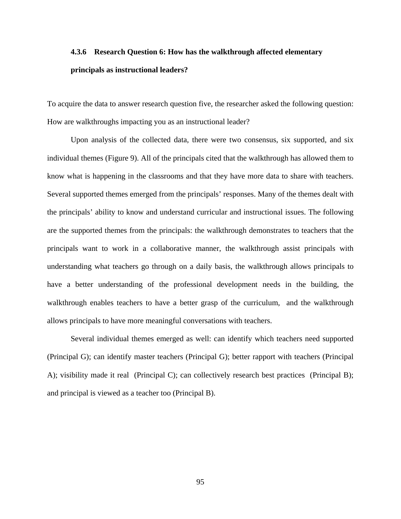## **4.3.6 Research Question 6: How has the walkthrough affected elementary principals as instructional leaders?**

To acquire the data to answer research question five, the researcher asked the following question: How are walkthroughs impacting you as an instructional leader?

Upon analysis of the collected data, there were two consensus, six supported, and six individual themes (Figure 9). All of the principals cited that the walkthrough has allowed them to know what is happening in the classrooms and that they have more data to share with teachers. Several supported themes emerged from the principals' responses. Many of the themes dealt with the principals' ability to know and understand curricular and instructional issues. The following are the supported themes from the principals: the walkthrough demonstrates to teachers that the principals want to work in a collaborative manner, the walkthrough assist principals with understanding what teachers go through on a daily basis, the walkthrough allows principals to have a better understanding of the professional development needs in the building, the walkthrough enables teachers to have a better grasp of the curriculum, and the walkthrough allows principals to have more meaningful conversations with teachers.

Several individual themes emerged as well: can identify which teachers need supported (Principal G); can identify master teachers (Principal G); better rapport with teachers (Principal A); visibility made it real (Principal C); can collectively research best practices (Principal B); and principal is viewed as a teacher too (Principal B).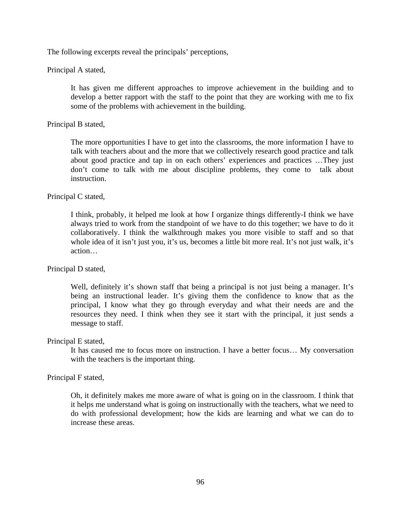The following excerpts reveal the principals' perceptions,

Principal A stated,

It has given me different approaches to improve achievement in the building and to develop a better rapport with the staff to the point that they are working with me to fix some of the problems with achievement in the building.

Principal B stated,

The more opportunities I have to get into the classrooms, the more information I have to talk with teachers about and the more that we collectively research good practice and talk about good practice and tap in on each others' experiences and practices …They just don't come to talk with me about discipline problems, they come to talk about instruction.

Principal C stated,

I think, probably, it helped me look at how I organize things differently-I think we have always tried to work from the standpoint of we have to do this together; we have to do it collaboratively. I think the walkthrough makes you more visible to staff and so that whole idea of it isn't just you, it's us, becomes a little bit more real. It's not just walk, it's action…

Principal D stated,

Well, definitely it's shown staff that being a principal is not just being a manager. It's being an instructional leader. It's giving them the confidence to know that as the principal, I know what they go through everyday and what their needs are and the resources they need. I think when they see it start with the principal, it just sends a message to staff.

Principal E stated,

It has caused me to focus more on instruction. I have a better focus… My conversation with the teachers is the important thing.

Principal F stated,

Oh, it definitely makes me more aware of what is going on in the classroom. I think that it helps me understand what is going on instructionally with the teachers, what we need to do with professional development; how the kids are learning and what we can do to increase these areas.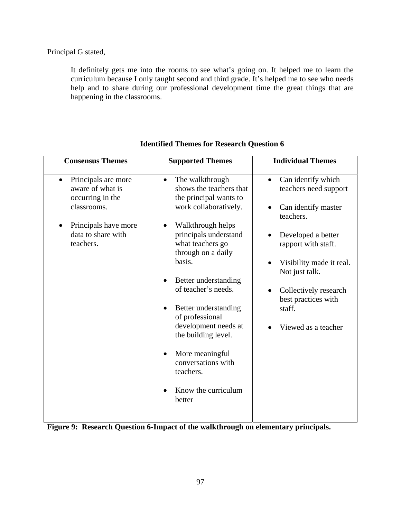Principal G stated,

It definitely gets me into the rooms to see what's going on. It helped me to learn the curriculum because I only taught second and third grade. It's helped me to see who needs help and to share during our professional development time the great things that are happening in the classrooms.

| <b>Consensus Themes</b>                                                                                                                            | <b>Supported Themes</b>                                                                                                                                                                                                                                                                                                                                                                                                                      | <b>Individual Themes</b>                                                                                                                                                                                                                                                 |
|----------------------------------------------------------------------------------------------------------------------------------------------------|----------------------------------------------------------------------------------------------------------------------------------------------------------------------------------------------------------------------------------------------------------------------------------------------------------------------------------------------------------------------------------------------------------------------------------------------|--------------------------------------------------------------------------------------------------------------------------------------------------------------------------------------------------------------------------------------------------------------------------|
| Principals are more<br>$\bullet$<br>aware of what is<br>occurring in the<br>classrooms.<br>Principals have more<br>data to share with<br>teachers. | The walkthrough<br>$\bullet$<br>shows the teachers that<br>the principal wants to<br>work collaboratively.<br>Walkthrough helps<br>principals understand<br>what teachers go<br>through on a daily<br>basis.<br>Better understanding<br>of teacher's needs.<br>Better understanding<br>of professional<br>development needs at<br>the building level.<br>More meaningful<br>conversations with<br>teachers.<br>Know the curriculum<br>better | Can identify which<br>$\bullet$<br>teachers need support<br>Can identify master<br>teachers.<br>Developed a better<br>rapport with staff.<br>Visibility made it real.<br>Not just talk.<br>Collectively research<br>best practices with<br>staff.<br>Viewed as a teacher |

## **Identified Themes for Research Question 6**

**Figure 9: Research Question 6-Impact of the walkthrough on elementary principals.**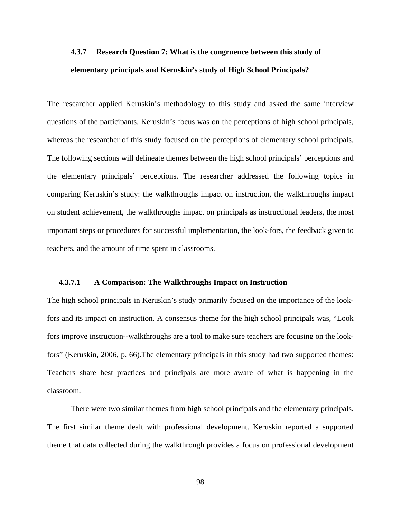## **4.3.7 Research Question 7: What is the congruence between this study of elementary principals and Keruskin's study of High School Principals?**

The researcher applied Keruskin's methodology to this study and asked the same interview questions of the participants. Keruskin's focus was on the perceptions of high school principals, whereas the researcher of this study focused on the perceptions of elementary school principals. The following sections will delineate themes between the high school principals' perceptions and the elementary principals' perceptions. The researcher addressed the following topics in comparing Keruskin's study: the walkthroughs impact on instruction, the walkthroughs impact on student achievement, the walkthroughs impact on principals as instructional leaders, the most important steps or procedures for successful implementation, the look-fors, the feedback given to teachers, and the amount of time spent in classrooms.

#### **4.3.7.1 A Comparison: The Walkthroughs Impact on Instruction**

The high school principals in Keruskin's study primarily focused on the importance of the lookfors and its impact on instruction. A consensus theme for the high school principals was, "Look fors improve instruction--walkthroughs are a tool to make sure teachers are focusing on the lookfors" (Keruskin, 2006, p. 66).The elementary principals in this study had two supported themes: Teachers share best practices and principals are more aware of what is happening in the classroom.

 There were two similar themes from high school principals and the elementary principals. The first similar theme dealt with professional development. Keruskin reported a supported theme that data collected during the walkthrough provides a focus on professional development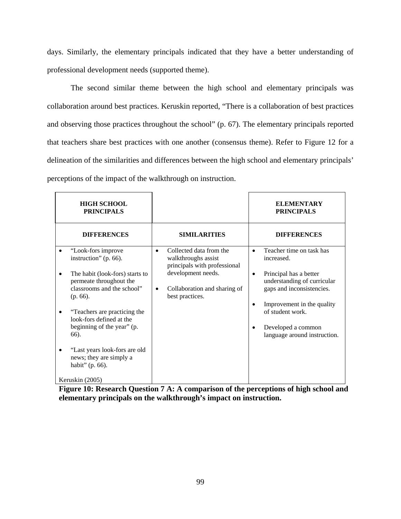days. Similarly, the elementary principals indicated that they have a better understanding of professional development needs (supported theme).

 The second similar theme between the high school and elementary principals was collaboration around best practices. Keruskin reported, "There is a collaboration of best practices and observing those practices throughout the school" (p. 67). The elementary principals reported that teachers share best practices with one another (consensus theme). Refer to Figure 12 for a delineation of the similarities and differences between the high school and elementary principals' perceptions of the impact of the walkthrough on instruction.

| <b>HIGH SCHOOL</b><br><b>PRINCIPALS</b>                                                                 |                                                                                             | <b>ELEMENTARY</b><br><b>PRINCIPALS</b>                                                               |
|---------------------------------------------------------------------------------------------------------|---------------------------------------------------------------------------------------------|------------------------------------------------------------------------------------------------------|
| <b>DIFFERENCES</b>                                                                                      | <b>SIMILARITIES</b>                                                                         | <b>DIFFERENCES</b>                                                                                   |
| "Look-fors improve"<br>instruction" (p. 66).                                                            | Collected data from the<br>$\bullet$<br>walkthroughs assist<br>principals with professional | Teacher time on task has<br>increased.                                                               |
| The habit (look-fors) starts to<br>permeate throughout the<br>classrooms and the school"<br>$(p. 66)$ . | development needs.<br>Collaboration and sharing of<br>٠<br>best practices.                  | Principal has a better<br>٠<br>understanding of curricular<br>gaps and inconsistencies.              |
| "Teachers are practicing the<br>look-fors defined at the<br>beginning of the year" (p.<br>66).          |                                                                                             | Improvement in the quality<br>of student work.<br>Developed a common<br>language around instruction. |
| "Last years look-fors are old<br>news; they are simply a<br>habit" (p. 66).<br>Keruskin (2005)          |                                                                                             |                                                                                                      |

**Figure 10: Research Question 7 A: A comparison of the perceptions of high school and elementary principals on the walkthrough's impact on instruction.**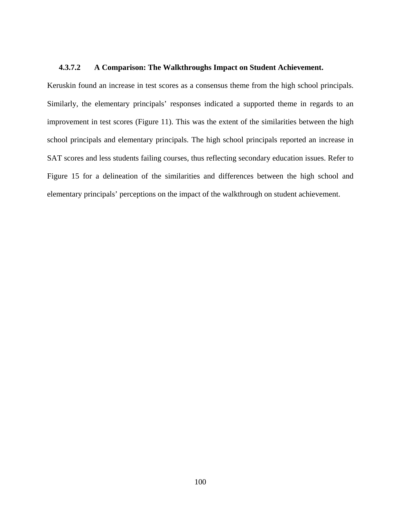## **4.3.7.2 A Comparison: The Walkthroughs Impact on Student Achievement.**

Keruskin found an increase in test scores as a consensus theme from the high school principals. Similarly, the elementary principals' responses indicated a supported theme in regards to an improvement in test scores (Figure 11). This was the extent of the similarities between the high school principals and elementary principals. The high school principals reported an increase in SAT scores and less students failing courses, thus reflecting secondary education issues. Refer to Figure 15 for a delineation of the similarities and differences between the high school and elementary principals' perceptions on the impact of the walkthrough on student achievement.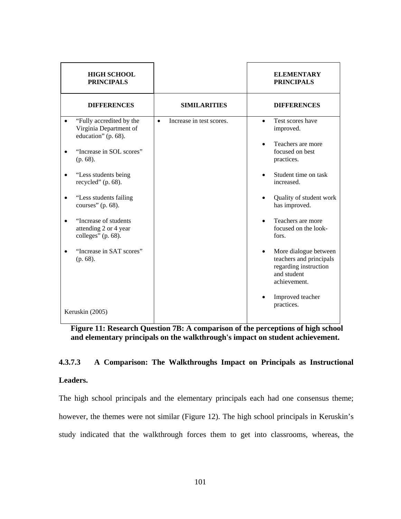| <b>HIGH SCHOOL</b><br><b>PRINCIPALS</b>                                   |                                       |           | <b>ELEMENTARY</b><br><b>PRINCIPALS</b>                                                                   |
|---------------------------------------------------------------------------|---------------------------------------|-----------|----------------------------------------------------------------------------------------------------------|
| <b>DIFFERENCES</b>                                                        | <b>SIMILARITIES</b>                   |           | <b>DIFFERENCES</b>                                                                                       |
| "Fully accredited by the<br>Virginia Department of<br>education" (p. 68). | Increase in test scores.<br>$\bullet$ | $\bullet$ | Test scores have<br>improved.                                                                            |
| "Increase in SOL scores"<br>$(p. 68)$ .                                   |                                       |           | Teachers are more<br>focused on best<br>practices.                                                       |
| "Less students being<br>recycled" $(p. 68)$ .                             |                                       |           | Student time on task<br>increased.                                                                       |
| "Less students failing<br>courses" (p. 68).                               |                                       |           | Quality of student work<br>has improved.                                                                 |
| "Increase of students"<br>attending 2 or 4 year<br>colleges" (p. 68).     |                                       |           | Teachers are more<br>focused on the look-<br>fors.                                                       |
| "Increase in SAT scores"<br>$(p. 68)$ .                                   |                                       | $\bullet$ | More dialogue between<br>teachers and principals<br>regarding instruction<br>and student<br>achievement. |
| Keruskin (2005)                                                           |                                       |           | Improved teacher<br>practices.                                                                           |

**Figure 11: Research Question 7B: A comparison of the perceptions of high school and elementary principals on the walkthrough's impact on student achievement.** 

### **4.3.7.3 A Comparison: The Walkthroughs Impact on Principals as Instructional**

### **Leaders.**

The high school principals and the elementary principals each had one consensus theme; however, the themes were not similar (Figure 12). The high school principals in Keruskin's study indicated that the walkthrough forces them to get into classrooms, whereas, the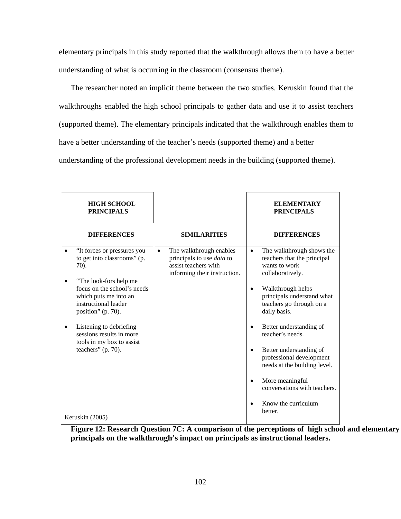elementary principals in this study reported that the walkthrough allows them to have a better understanding of what is occurring in the classroom (consensus theme).

 The researcher noted an implicit theme between the two studies. Keruskin found that the walkthroughs enabled the high school principals to gather data and use it to assist teachers (supported theme). The elementary principals indicated that the walkthrough enables them to have a better understanding of the teacher's needs (supported theme) and a better understanding of the professional development needs in the building (supported theme).

| <b>HIGH SCHOOL</b><br><b>PRINCIPALS</b>                                                                                                                                                                                                                                                                      |                                                                                                                           | <b>ELEMENTARY</b><br><b>PRINCIPALS</b>                                                                                                                                                                                                                                                                                                                                                                                       |
|--------------------------------------------------------------------------------------------------------------------------------------------------------------------------------------------------------------------------------------------------------------------------------------------------------------|---------------------------------------------------------------------------------------------------------------------------|------------------------------------------------------------------------------------------------------------------------------------------------------------------------------------------------------------------------------------------------------------------------------------------------------------------------------------------------------------------------------------------------------------------------------|
| <b>DIFFERENCES</b>                                                                                                                                                                                                                                                                                           | <b>SIMILARITIES</b>                                                                                                       | <b>DIFFERENCES</b>                                                                                                                                                                                                                                                                                                                                                                                                           |
| "It forces or pressures you<br>to get into classrooms" (p.<br>70).<br>"The look-fors help me<br>focus on the school's needs<br>which puts me into an<br>instructional leader<br>position" (p. 70).<br>Listening to debriefing<br>sessions results in more<br>tools in my box to assist<br>teachers" (p. 70). | The walkthrough enables<br>$\bullet$<br>principals to use data to<br>assist teachers with<br>informing their instruction. | The walkthrough shows the<br>$\bullet$<br>teachers that the principal<br>wants to work<br>collaboratively.<br>Walkthrough helps<br>$\bullet$<br>principals understand what<br>teachers go through on a<br>daily basis.<br>Better understanding of<br>teacher's needs.<br>Better understanding of<br>$\bullet$<br>professional development<br>needs at the building level.<br>More meaningful<br>conversations with teachers. |
| Keruskin (2005)                                                                                                                                                                                                                                                                                              |                                                                                                                           | Know the curriculum<br>better.                                                                                                                                                                                                                                                                                                                                                                                               |

**Figure 12: Research Question 7C: A comparison of the perceptions of high school and elementary principals on the walkthrough's impact on principals as instructional leaders.**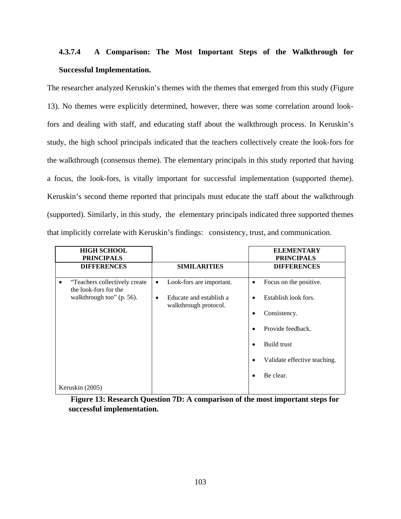## **4.3.7.4 A Comparison: The Most Important Steps of the Walkthrough for Successful Implementation.**

The researcher analyzed Keruskin's themes with the themes that emerged from this study (Figure 13). No themes were explicitly determined, however, there was some correlation around lookfors and dealing with staff, and educating staff about the walkthrough process. In Keruskin's study, the high school principals indicated that the teachers collectively create the look-fors for the walkthrough (consensus theme). The elementary principals in this study reported that having a focus, the look-fors, is vitally important for successful implementation (supported theme). Keruskin's second theme reported that principals must educate the staff about the walkthrough (supported). Similarly, in this study, the elementary principals indicated three supported themes that implicitly correlate with Keruskin's findings: consistency, trust, and communication.

| <b>HIGH SCHOOL</b><br><b>PRINCIPALS</b>                     |                                                       | <b>ELEMENTARY</b><br><b>PRINCIPALS</b> |
|-------------------------------------------------------------|-------------------------------------------------------|----------------------------------------|
| <b>DIFFERENCES</b>                                          | <b>SIMILARITIES</b>                                   | <b>DIFFERENCES</b>                     |
| "Teachers collectively create<br>٠<br>the look-fors for the | Look-fors are important.<br>$\bullet$                 | Focus on the positive.<br>٠            |
| walkthrough too" (p. 56).                                   | Educate and establish a<br>٠<br>walkthrough protocol. | Establish look fors.                   |
|                                                             |                                                       | Consistency.                           |
|                                                             |                                                       | Provide feedback.                      |
|                                                             |                                                       | Build trust                            |
|                                                             |                                                       | Validate effective teaching.           |
| Keruskin (2005)                                             |                                                       | Be clear.                              |

**Figure 13: Research Question 7D: A comparison of the most important steps for successful implementation.**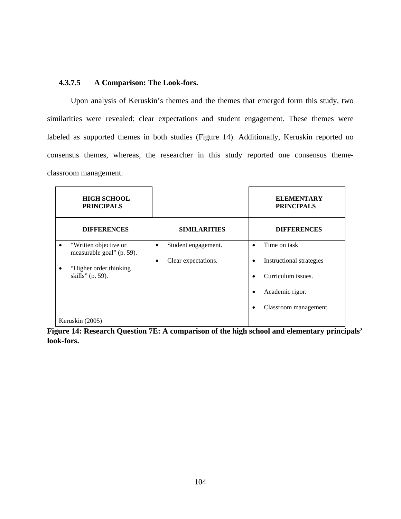## **4.3.7.5 A Comparison: The Look-fors.**

Upon analysis of Keruskin's themes and the themes that emerged form this study, two similarities were revealed: clear expectations and student engagement. These themes were labeled as supported themes in both studies (Figure 14). Additionally, Keruskin reported no consensus themes, whereas, the researcher in this study reported one consensus themeclassroom management.

| <b>HIGH SCHOOL</b><br><b>PRINCIPALS</b>                                                                             |                                                         | <b>ELEMENTARY</b><br><b>PRINCIPALS</b>                                                                     |
|---------------------------------------------------------------------------------------------------------------------|---------------------------------------------------------|------------------------------------------------------------------------------------------------------------|
| <b>DIFFERENCES</b>                                                                                                  | <b>SIMILARITIES</b>                                     | <b>DIFFERENCES</b>                                                                                         |
| "Written objective or<br>٠<br>measurable goal" (p. 59).<br>"Higher order thinking"<br>$\bullet$<br>skills" (p. 59). | Student engagement.<br>$\bullet$<br>Clear expectations. | Time on task<br>Instructional strategies<br>Curriculum issues.<br>Academic rigor.<br>Classroom management. |
| Keruskin (2005)                                                                                                     |                                                         |                                                                                                            |

**Figure 14: Research Question 7E: A comparison of the high school and elementary principals' look-fors.**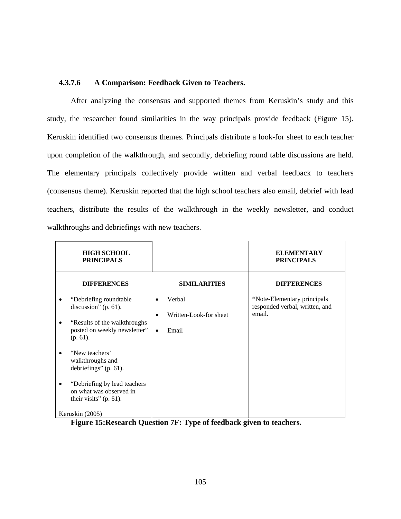### **4.3.7.6 A Comparison: Feedback Given to Teachers.**

After analyzing the consensus and supported themes from Keruskin's study and this study, the researcher found similarities in the way principals provide feedback (Figure 15). Keruskin identified two consensus themes. Principals distribute a look-for sheet to each teacher upon completion of the walkthrough, and secondly, debriefing round table discussions are held. The elementary principals collectively provide written and verbal feedback to teachers (consensus theme). Keruskin reported that the high school teachers also email, debrief with lead teachers, distribute the results of the walkthrough in the weekly newsletter, and conduct walkthroughs and debriefings with new teachers.

| <b>HIGH SCHOOL</b><br><b>PRINCIPALS</b>                                                                                                                 |                                                                                  | <b>ELEMENTARY</b><br><b>PRINCIPALS</b>                                  |
|---------------------------------------------------------------------------------------------------------------------------------------------------------|----------------------------------------------------------------------------------|-------------------------------------------------------------------------|
| <b>DIFFERENCES</b>                                                                                                                                      | <b>SIMILARITIES</b>                                                              | <b>DIFFERENCES</b>                                                      |
| "Debriefing roundtable"<br>discussion" $(p. 61)$ .<br>"Results of the walkthroughs"<br>posted on weekly newsletter"<br>$(p. 61)$ .<br>"New teachers"    | Verbal<br>$\bullet$<br>Written-Look-for sheet<br>$\bullet$<br>Email<br>$\bullet$ | *Note-Elementary principals<br>responded verbal, written, and<br>email. |
| walkthroughs and<br>debriefings" $(p. 61)$ .<br>"Debriefing by lead teachers<br>on what was observed in<br>their visits" $(p. 61)$ .<br>Keruskin (2005) |                                                                                  |                                                                         |

**Figure 15:Research Question 7F: Type of feedback given to teachers.**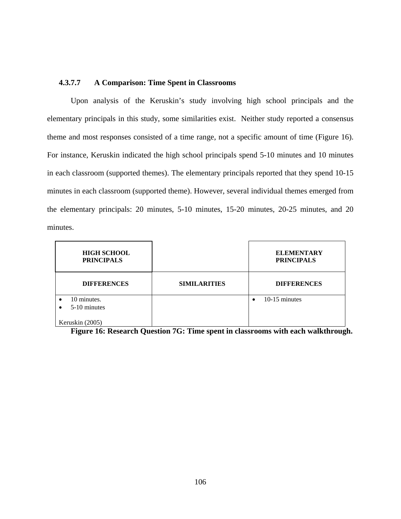### **4.3.7.7 A Comparison: Time Spent in Classrooms**

Upon analysis of the Keruskin's study involving high school principals and the elementary principals in this study, some similarities exist. Neither study reported a consensus theme and most responses consisted of a time range, not a specific amount of time (Figure 16). For instance, Keruskin indicated the high school principals spend 5-10 minutes and 10 minutes in each classroom (supported themes). The elementary principals reported that they spend 10-15 minutes in each classroom (supported theme). However, several individual themes emerged from the elementary principals: 20 minutes, 5-10 minutes, 15-20 minutes, 20-25 minutes, and 20 minutes.

| <b>HIGH SCHOOL</b><br><b>PRINCIPALS</b>               |                     | <b>ELEMENTARY</b><br><b>PRINCIPALS</b> |
|-------------------------------------------------------|---------------------|----------------------------------------|
| <b>DIFFERENCES</b>                                    | <b>SIMILARITIES</b> | <b>DIFFERENCES</b>                     |
| 10 minutes.<br>$\bullet$<br>5-10 minutes<br>$\bullet$ |                     | 10-15 minutes<br>$\bullet$             |
| Keruskin (2005)                                       |                     |                                        |

**Figure 16: Research Question 7G: Time spent in classrooms with each walkthrough.**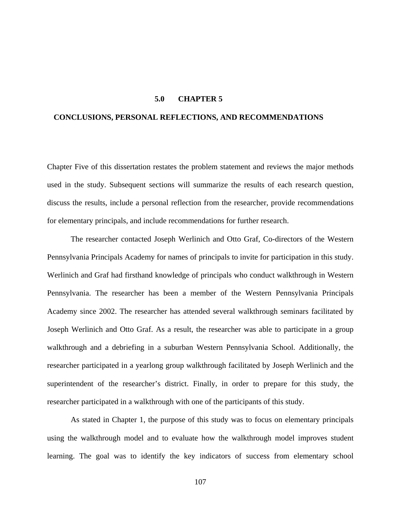#### **5.0 CHAPTER 5**

### **CONCLUSIONS, PERSONAL REFLECTIONS, AND RECOMMENDATIONS**

Chapter Five of this dissertation restates the problem statement and reviews the major methods used in the study. Subsequent sections will summarize the results of each research question, discuss the results, include a personal reflection from the researcher, provide recommendations for elementary principals, and include recommendations for further research.

The researcher contacted Joseph Werlinich and Otto Graf, Co-directors of the Western Pennsylvania Principals Academy for names of principals to invite for participation in this study. Werlinich and Graf had firsthand knowledge of principals who conduct walkthrough in Western Pennsylvania. The researcher has been a member of the Western Pennsylvania Principals Academy since 2002. The researcher has attended several walkthrough seminars facilitated by Joseph Werlinich and Otto Graf. As a result, the researcher was able to participate in a group walkthrough and a debriefing in a suburban Western Pennsylvania School. Additionally, the researcher participated in a yearlong group walkthrough facilitated by Joseph Werlinich and the superintendent of the researcher's district. Finally, in order to prepare for this study, the researcher participated in a walkthrough with one of the participants of this study.

As stated in Chapter 1, the purpose of this study was to focus on elementary principals using the walkthrough model and to evaluate how the walkthrough model improves student learning. The goal was to identify the key indicators of success from elementary school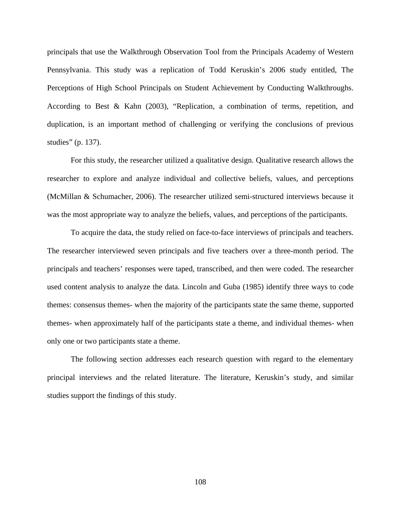principals that use the Walkthrough Observation Tool from the Principals Academy of Western Pennsylvania. This study was a replication of Todd Keruskin's 2006 study entitled, The Perceptions of High School Principals on Student Achievement by Conducting Walkthroughs. According to Best & Kahn (2003), "Replication, a combination of terms, repetition, and duplication, is an important method of challenging or verifying the conclusions of previous studies" (p. 137).

For this study, the researcher utilized a qualitative design. Qualitative research allows the researcher to explore and analyze individual and collective beliefs, values, and perceptions (McMillan & Schumacher, 2006). The researcher utilized semi-structured interviews because it was the most appropriate way to analyze the beliefs, values, and perceptions of the participants.

To acquire the data, the study relied on face-to-face interviews of principals and teachers. The researcher interviewed seven principals and five teachers over a three-month period. The principals and teachers' responses were taped, transcribed, and then were coded. The researcher used content analysis to analyze the data. Lincoln and Guba (1985) identify three ways to code themes: consensus themes- when the majority of the participants state the same theme, supported themes- when approximately half of the participants state a theme, and individual themes- when only one or two participants state a theme.

The following section addresses each research question with regard to the elementary principal interviews and the related literature. The literature, Keruskin's study, and similar studies support the findings of this study.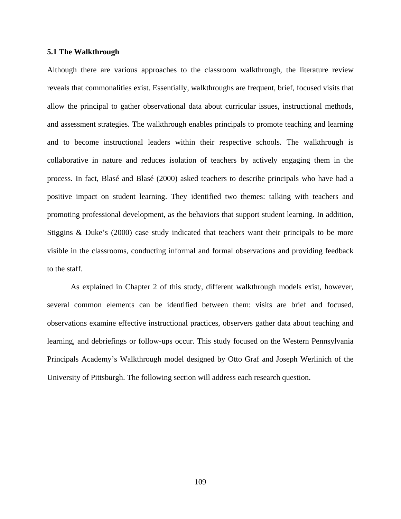#### **5.1 The Walkthrough**

Although there are various approaches to the classroom walkthrough, the literature review reveals that commonalities exist. Essentially, walkthroughs are frequent, brief, focused visits that allow the principal to gather observational data about curricular issues, instructional methods, and assessment strategies. The walkthrough enables principals to promote teaching and learning and to become instructional leaders within their respective schools. The walkthrough is collaborative in nature and reduces isolation of teachers by actively engaging them in the process. In fact, Blasé and Blasé (2000) asked teachers to describe principals who have had a positive impact on student learning. They identified two themes: talking with teachers and promoting professional development, as the behaviors that support student learning. In addition, Stiggins & Duke's (2000) case study indicated that teachers want their principals to be more visible in the classrooms, conducting informal and formal observations and providing feedback to the staff.

As explained in Chapter 2 of this study, different walkthrough models exist, however, several common elements can be identified between them: visits are brief and focused, observations examine effective instructional practices, observers gather data about teaching and learning, and debriefings or follow-ups occur. This study focused on the Western Pennsylvania Principals Academy's Walkthrough model designed by Otto Graf and Joseph Werlinich of the University of Pittsburgh. The following section will address each research question.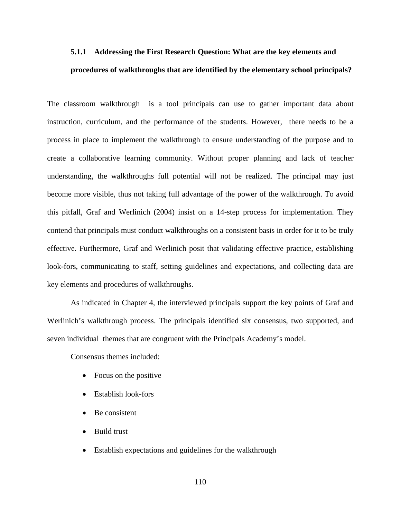## **5.1.1 Addressing the First Research Question: What are the key elements and procedures of walkthroughs that are identified by the elementary school principals?**

The classroom walkthrough is a tool principals can use to gather important data about instruction, curriculum, and the performance of the students. However, there needs to be a process in place to implement the walkthrough to ensure understanding of the purpose and to create a collaborative learning community. Without proper planning and lack of teacher understanding, the walkthroughs full potential will not be realized. The principal may just become more visible, thus not taking full advantage of the power of the walkthrough. To avoid this pitfall, Graf and Werlinich (2004) insist on a 14-step process for implementation. They contend that principals must conduct walkthroughs on a consistent basis in order for it to be truly effective. Furthermore, Graf and Werlinich posit that validating effective practice, establishing look-fors, communicating to staff, setting guidelines and expectations, and collecting data are key elements and procedures of walkthroughs.

 As indicated in Chapter 4, the interviewed principals support the key points of Graf and Werlinich's walkthrough process. The principals identified six consensus, two supported, and seven individual themes that are congruent with the Principals Academy's model.

Consensus themes included:

- Focus on the positive
- Establish look-fors
- Be consistent
- Build trust
- Establish expectations and guidelines for the walkthrough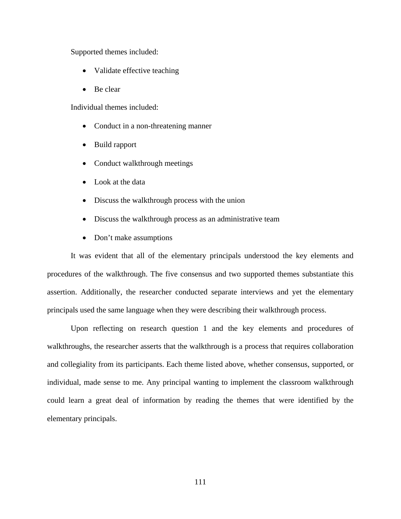Supported themes included:

- Validate effective teaching
- Be clear

Individual themes included:

- Conduct in a non-threatening manner
- Build rapport
- Conduct walkthrough meetings
- Look at the data
- Discuss the walkthrough process with the union
- Discuss the walkthrough process as an administrative team
- Don't make assumptions

It was evident that all of the elementary principals understood the key elements and procedures of the walkthrough. The five consensus and two supported themes substantiate this assertion. Additionally, the researcher conducted separate interviews and yet the elementary principals used the same language when they were describing their walkthrough process.

Upon reflecting on research question 1 and the key elements and procedures of walkthroughs, the researcher asserts that the walkthrough is a process that requires collaboration and collegiality from its participants. Each theme listed above, whether consensus, supported, or individual, made sense to me. Any principal wanting to implement the classroom walkthrough could learn a great deal of information by reading the themes that were identified by the elementary principals.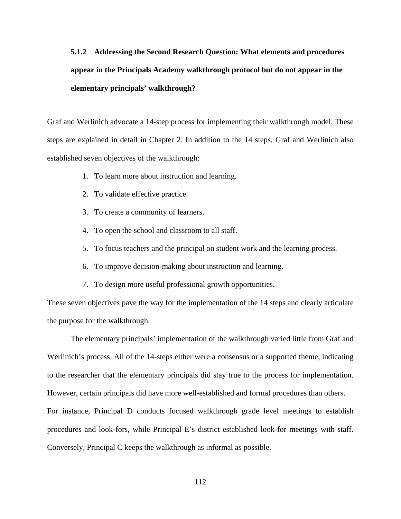# **5.1.2 Addressing the Second Research Question: What elements and procedures appear in the Principals Academy walkthrough protocol but do not appear in the elementary principals' walkthrough?**

Graf and Werlinich advocate a 14-step process for implementing their walkthrough model. These steps are explained in detail in Chapter 2. In addition to the 14 steps, Graf and Werlinich also established seven objectives of the walkthrough:

- 1. To learn more about instruction and learning.
- 2. To validate effective practice.
- 3. To create a community of learners.
- 4. To open the school and classroom to all staff.
- 5. To focus teachers and the principal on student work and the learning process.
- 6. To improve decision-making about instruction and learning.
- 7. To design more useful professional growth opportunities.

These seven objectives pave the way for the implementation of the 14 steps and clearly articulate the purpose for the walkthrough.

 The elementary principals' implementation of the walkthrough varied little from Graf and Werlinich's process. All of the 14-steps either were a consensus or a supported theme, indicating to the researcher that the elementary principals did stay true to the process for implementation. However, certain principals did have more well-established and formal procedures than others. For instance, Principal D conducts focused walkthrough grade level meetings to establish procedures and look-fors, while Principal E's district established look-for meetings with staff. Conversely, Principal C keeps the walkthrough as informal as possible.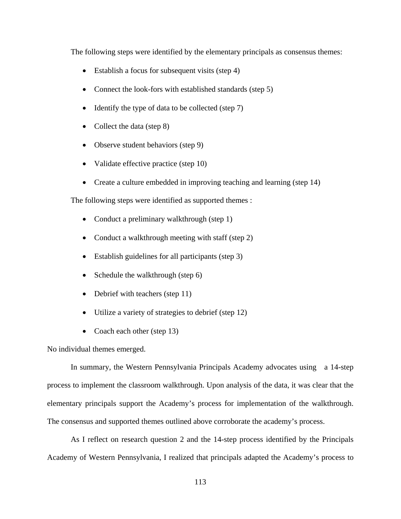The following steps were identified by the elementary principals as consensus themes:

- Establish a focus for subsequent visits (step 4)
- Connect the look-fors with established standards (step 5)
- Identify the type of data to be collected (step 7)
- Collect the data (step 8)
- Observe student behaviors (step 9)
- Validate effective practice (step 10)
- Create a culture embedded in improving teaching and learning (step 14)

The following steps were identified as supported themes :

- Conduct a preliminary walkthrough (step 1)
- Conduct a walkthrough meeting with staff (step 2)
- Establish guidelines for all participants (step 3)
- Schedule the walkthrough (step 6)
- Debrief with teachers (step 11)
- Utilize a variety of strategies to debrief (step 12)
- Coach each other (step 13)

No individual themes emerged.

In summary, the Western Pennsylvania Principals Academy advocates using a 14-step process to implement the classroom walkthrough. Upon analysis of the data, it was clear that the elementary principals support the Academy's process for implementation of the walkthrough. The consensus and supported themes outlined above corroborate the academy's process.

As I reflect on research question 2 and the 14-step process identified by the Principals Academy of Western Pennsylvania, I realized that principals adapted the Academy's process to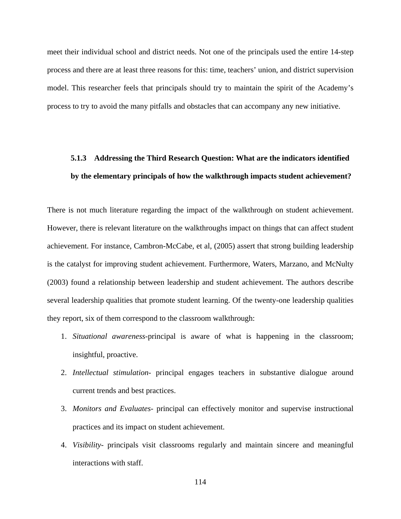meet their individual school and district needs. Not one of the principals used the entire 14-step process and there are at least three reasons for this: time, teachers' union, and district supervision model. This researcher feels that principals should try to maintain the spirit of the Academy's process to try to avoid the many pitfalls and obstacles that can accompany any new initiative.

## **5.1.3 Addressing the Third Research Question: What are the indicators identified by the elementary principals of how the walkthrough impacts student achievement?**

There is not much literature regarding the impact of the walkthrough on student achievement. However, there is relevant literature on the walkthroughs impact on things that can affect student achievement. For instance, Cambron-McCabe, et al, (2005) assert that strong building leadership is the catalyst for improving student achievement. Furthermore, Waters, Marzano, and McNulty (2003) found a relationship between leadership and student achievement. The authors describe several leadership qualities that promote student learning. Of the twenty-one leadership qualities they report, six of them correspond to the classroom walkthrough:

- 1. *Situational awareness*-principal is aware of what is happening in the classroom; insightful, proactive.
- 2. *Intellectual stimulation* principal engages teachers in substantive dialogue around current trends and best practices.
- 3. *Monitors and Evaluates* principal can effectively monitor and supervise instructional practices and its impact on student achievement.
- 4. *Visibility* principals visit classrooms regularly and maintain sincere and meaningful interactions with staff.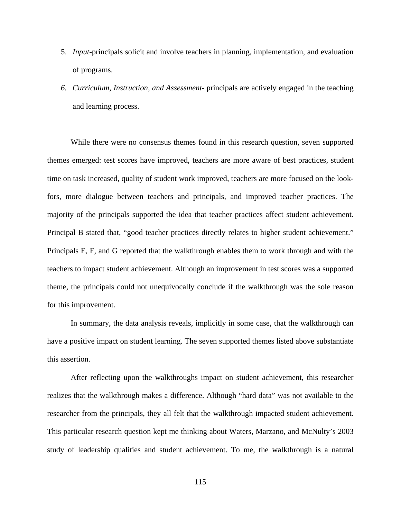- 5. *Input*-principals solicit and involve teachers in planning, implementation, and evaluation of programs.
- *6. Curriculum, Instruction, and Assessment* principals are actively engaged in the teaching and learning process.

While there were no consensus themes found in this research question, seven supported themes emerged: test scores have improved, teachers are more aware of best practices, student time on task increased, quality of student work improved, teachers are more focused on the lookfors, more dialogue between teachers and principals, and improved teacher practices. The majority of the principals supported the idea that teacher practices affect student achievement. Principal B stated that, "good teacher practices directly relates to higher student achievement." Principals E, F, and G reported that the walkthrough enables them to work through and with the teachers to impact student achievement. Although an improvement in test scores was a supported theme, the principals could not unequivocally conclude if the walkthrough was the sole reason for this improvement.

In summary, the data analysis reveals, implicitly in some case, that the walkthrough can have a positive impact on student learning. The seven supported themes listed above substantiate this assertion.

After reflecting upon the walkthroughs impact on student achievement, this researcher realizes that the walkthrough makes a difference. Although "hard data" was not available to the researcher from the principals, they all felt that the walkthrough impacted student achievement. This particular research question kept me thinking about Waters, Marzano, and McNulty's 2003 study of leadership qualities and student achievement. To me, the walkthrough is a natural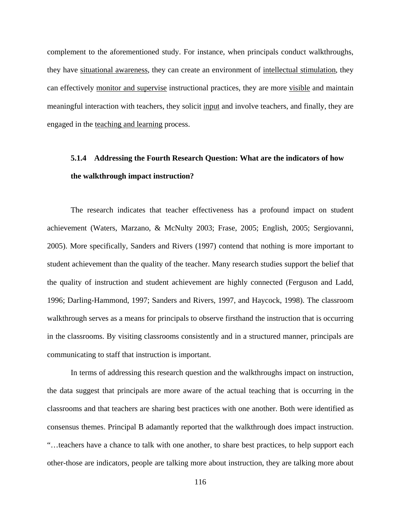complement to the aforementioned study. For instance, when principals conduct walkthroughs, they have situational awareness, they can create an environment of intellectual stimulation, they can effectively monitor and supervise instructional practices, they are more visible and maintain meaningful interaction with teachers, they solicit input and involve teachers, and finally, they are engaged in the teaching and learning process.

## **5.1.4 Addressing the Fourth Research Question: What are the indicators of how the walkthrough impact instruction?**

The research indicates that teacher effectiveness has a profound impact on student achievement (Waters, Marzano, & McNulty 2003; Frase, 2005; English, 2005; Sergiovanni, 2005). More specifically, Sanders and Rivers (1997) contend that nothing is more important to student achievement than the quality of the teacher. Many research studies support the belief that the quality of instruction and student achievement are highly connected (Ferguson and Ladd, 1996; Darling-Hammond, 1997; Sanders and Rivers, 1997, and Haycock, 1998). The classroom walkthrough serves as a means for principals to observe firsthand the instruction that is occurring in the classrooms. By visiting classrooms consistently and in a structured manner, principals are communicating to staff that instruction is important.

 In terms of addressing this research question and the walkthroughs impact on instruction, the data suggest that principals are more aware of the actual teaching that is occurring in the classrooms and that teachers are sharing best practices with one another. Both were identified as consensus themes. Principal B adamantly reported that the walkthrough does impact instruction. "…teachers have a chance to talk with one another, to share best practices, to help support each other-those are indicators, people are talking more about instruction, they are talking more about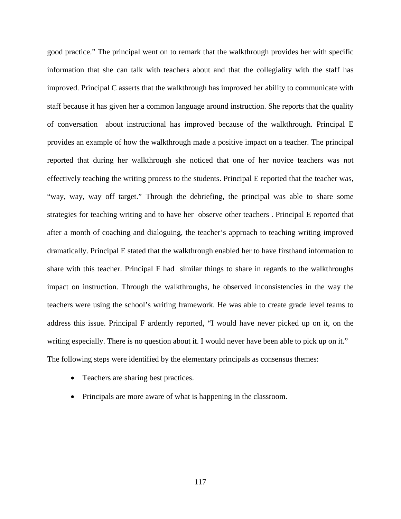good practice." The principal went on to remark that the walkthrough provides her with specific information that she can talk with teachers about and that the collegiality with the staff has improved. Principal C asserts that the walkthrough has improved her ability to communicate with staff because it has given her a common language around instruction. She reports that the quality of conversation about instructional has improved because of the walkthrough. Principal E provides an example of how the walkthrough made a positive impact on a teacher. The principal reported that during her walkthrough she noticed that one of her novice teachers was not effectively teaching the writing process to the students. Principal E reported that the teacher was, "way, way, way off target." Through the debriefing, the principal was able to share some strategies for teaching writing and to have her observe other teachers . Principal E reported that after a month of coaching and dialoguing, the teacher's approach to teaching writing improved dramatically. Principal E stated that the walkthrough enabled her to have firsthand information to share with this teacher. Principal F had similar things to share in regards to the walkthroughs impact on instruction. Through the walkthroughs, he observed inconsistencies in the way the teachers were using the school's writing framework. He was able to create grade level teams to address this issue. Principal F ardently reported, "I would have never picked up on it, on the writing especially. There is no question about it. I would never have been able to pick up on it." The following steps were identified by the elementary principals as consensus themes:

- Teachers are sharing best practices.
- Principals are more aware of what is happening in the classroom.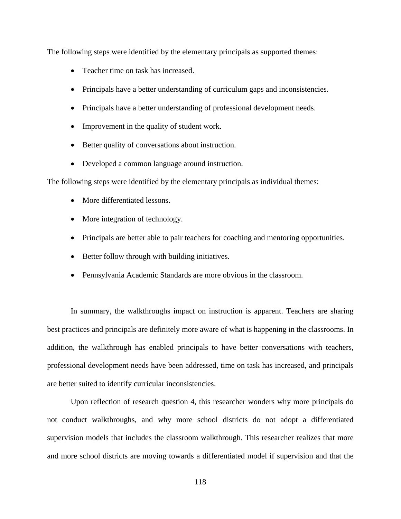The following steps were identified by the elementary principals as supported themes:

- Teacher time on task has increased.
- Principals have a better understanding of curriculum gaps and inconsistencies.
- Principals have a better understanding of professional development needs.
- Improvement in the quality of student work.
- Better quality of conversations about instruction.
- Developed a common language around instruction.

The following steps were identified by the elementary principals as individual themes:

- More differentiated lessons.
- More integration of technology.
- Principals are better able to pair teachers for coaching and mentoring opportunities.
- Better follow through with building initiatives.
- Pennsylvania Academic Standards are more obvious in the classroom.

In summary, the walkthroughs impact on instruction is apparent. Teachers are sharing best practices and principals are definitely more aware of what is happening in the classrooms. In addition, the walkthrough has enabled principals to have better conversations with teachers, professional development needs have been addressed, time on task has increased, and principals are better suited to identify curricular inconsistencies.

Upon reflection of research question 4, this researcher wonders why more principals do not conduct walkthroughs, and why more school districts do not adopt a differentiated supervision models that includes the classroom walkthrough. This researcher realizes that more and more school districts are moving towards a differentiated model if supervision and that the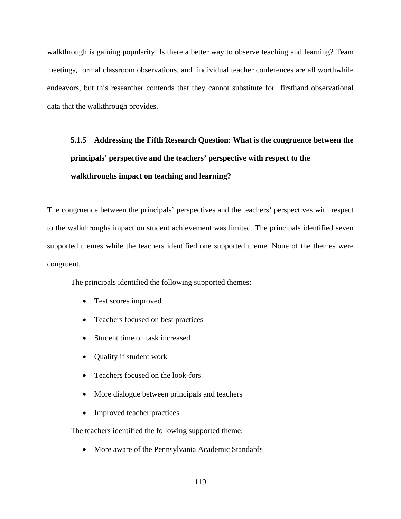walkthrough is gaining popularity. Is there a better way to observe teaching and learning? Team meetings, formal classroom observations, and individual teacher conferences are all worthwhile endeavors, but this researcher contends that they cannot substitute for firsthand observational data that the walkthrough provides.

# **5.1.5 Addressing the Fifth Research Question: What is the congruence between the principals' perspective and the teachers' perspective with respect to the walkthroughs impact on teaching and learning?**

The congruence between the principals' perspectives and the teachers' perspectives with respect to the walkthroughs impact on student achievement was limited. The principals identified seven supported themes while the teachers identified one supported theme. None of the themes were congruent.

The principals identified the following supported themes:

- Test scores improved
- Teachers focused on best practices
- Student time on task increased
- Quality if student work
- Teachers focused on the look-fors
- More dialogue between principals and teachers
- Improved teacher practices

The teachers identified the following supported theme:

• More aware of the Pennsylvania Academic Standards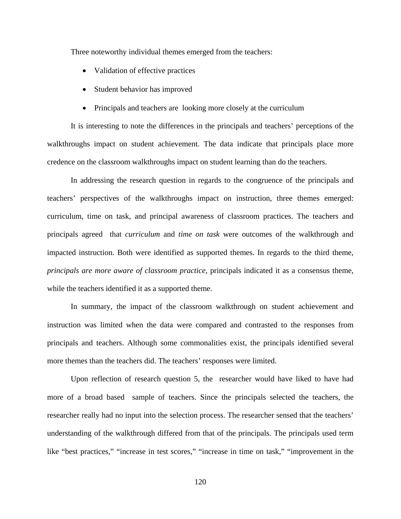Three noteworthy individual themes emerged from the teachers:

- Validation of effective practices
- Student behavior has improved
- Principals and teachers are looking more closely at the curriculum

It is interesting to note the differences in the principals and teachers' perceptions of the walkthroughs impact on student achievement. The data indicate that principals place more credence on the classroom walkthroughs impact on student learning than do the teachers.

In addressing the research question in regards to the congruence of the principals and teachers' perspectives of the walkthroughs impact on instruction, three themes emerged: curriculum, time on task, and principal awareness of classroom practices. The teachers and principals agreed that *curriculum* and *time on task* were outcomes of the walkthrough and impacted instruction. Both were identified as supported themes. In regards to the third theme, *principals are more aware of classroom practice,* principals indicated it as a consensus theme, while the teachers identified it as a supported theme.

In summary, the impact of the classroom walkthrough on student achievement and instruction was limited when the data were compared and contrasted to the responses from principals and teachers. Although some commonalities exist, the principals identified several more themes than the teachers did. The teachers' responses were limited.

Upon reflection of research question 5, the researcher would have liked to have had more of a broad based sample of teachers. Since the principals selected the teachers, the researcher really had no input into the selection process. The researcher sensed that the teachers' understanding of the walkthrough differed from that of the principals. The principals used term like "best practices," "increase in test scores," "increase in time on task," "improvement in the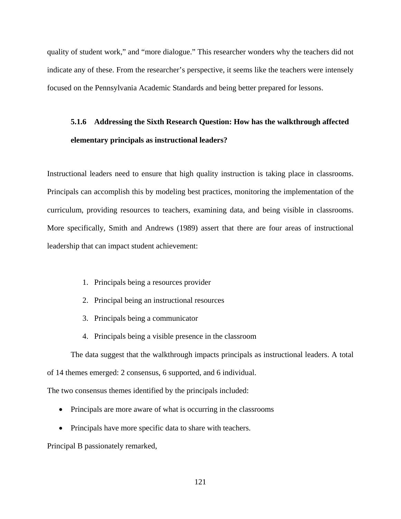quality of student work," and "more dialogue." This researcher wonders why the teachers did not indicate any of these. From the researcher's perspective, it seems like the teachers were intensely focused on the Pennsylvania Academic Standards and being better prepared for lessons.

## **5.1.6 Addressing the Sixth Research Question: How has the walkthrough affected elementary principals as instructional leaders?**

Instructional leaders need to ensure that high quality instruction is taking place in classrooms. Principals can accomplish this by modeling best practices, monitoring the implementation of the curriculum, providing resources to teachers, examining data, and being visible in classrooms. More specifically, Smith and Andrews (1989) assert that there are four areas of instructional leadership that can impact student achievement:

- 1. Principals being a resources provider
- 2. Principal being an instructional resources
- 3. Principals being a communicator
- 4. Principals being a visible presence in the classroom

The data suggest that the walkthrough impacts principals as instructional leaders. A total of 14 themes emerged: 2 consensus, 6 supported, and 6 individual.

The two consensus themes identified by the principals included:

- Principals are more aware of what is occurring in the classrooms
- Principals have more specific data to share with teachers.

Principal B passionately remarked,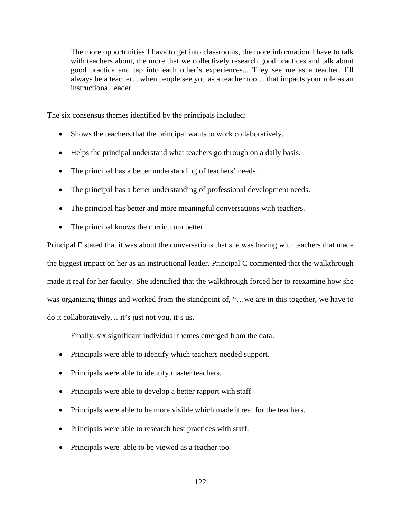The more opportunities I have to get into classrooms, the more information I have to talk with teachers about, the more that we collectively research good practices and talk about good practice and tap into each other's experiences... They see me as a teacher. I'll always be a teacher…when people see you as a teacher too… that impacts your role as an instructional leader.

The six consensus themes identified by the principals included:

- Shows the teachers that the principal wants to work collaboratively.
- Helps the principal understand what teachers go through on a daily basis.
- The principal has a better understanding of teachers' needs.
- The principal has a better understanding of professional development needs.
- The principal has better and more meaningful conversations with teachers.
- The principal knows the curriculum better.

Principal E stated that it was about the conversations that she was having with teachers that made the biggest impact on her as an instructional leader. Principal C commented that the walkthrough made it real for her faculty. She identified that the walkthrough forced her to reexamine how she was organizing things and worked from the standpoint of, "...we are in this together, we have to do it collaboratively… it's just not you, it's us.

Finally, six significant individual themes emerged from the data:

- Principals were able to identify which teachers needed support.
- Principals were able to identify master teachers.
- Principals were able to develop a better rapport with staff
- Principals were able to be more visible which made it real for the teachers.
- Principals were able to research best practices with staff.
- Principals were able to be viewed as a teacher too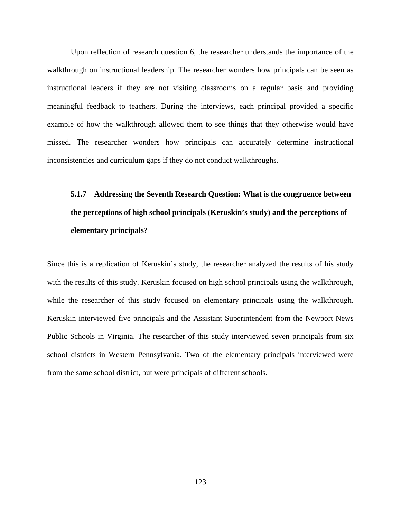Upon reflection of research question 6, the researcher understands the importance of the walkthrough on instructional leadership. The researcher wonders how principals can be seen as instructional leaders if they are not visiting classrooms on a regular basis and providing meaningful feedback to teachers. During the interviews, each principal provided a specific example of how the walkthrough allowed them to see things that they otherwise would have missed. The researcher wonders how principals can accurately determine instructional inconsistencies and curriculum gaps if they do not conduct walkthroughs.

# **5.1.7 Addressing the Seventh Research Question: What is the congruence between the perceptions of high school principals (Keruskin's study) and the perceptions of elementary principals?**

Since this is a replication of Keruskin's study, the researcher analyzed the results of his study with the results of this study. Keruskin focused on high school principals using the walkthrough, while the researcher of this study focused on elementary principals using the walkthrough. Keruskin interviewed five principals and the Assistant Superintendent from the Newport News Public Schools in Virginia. The researcher of this study interviewed seven principals from six school districts in Western Pennsylvania. Two of the elementary principals interviewed were from the same school district, but were principals of different schools.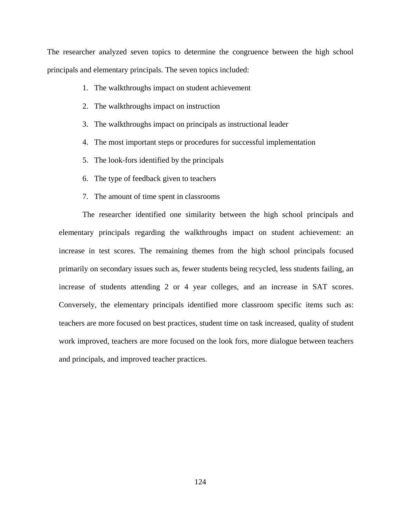The researcher analyzed seven topics to determine the congruence between the high school principals and elementary principals. The seven topics included:

- 1. The walkthroughs impact on student achievement
- 2. The walkthroughs impact on instruction
- 3. The walkthroughs impact on principals as instructional leader
- 4. The most important steps or procedures for successful implementation
- 5. The look-fors identified by the principals
- 6. The type of feedback given to teachers
- 7. The amount of time spent in classrooms

The researcher identified one similarity between the high school principals and elementary principals regarding the walkthroughs impact on student achievement: an increase in test scores. The remaining themes from the high school principals focused primarily on secondary issues such as, fewer students being recycled, less students failing, an increase of students attending 2 or 4 year colleges, and an increase in SAT scores. Conversely, the elementary principals identified more classroom specific items such as: teachers are more focused on best practices, student time on task increased, quality of student work improved, teachers are more focused on the look fors, more dialogue between teachers and principals, and improved teacher practices.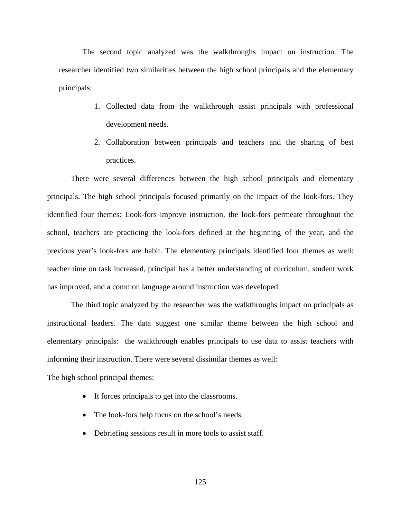The second topic analyzed was the walkthroughs impact on instruction. The researcher identified two similarities between the high school principals and the elementary principals:

- 1. Collected data from the walkthrough assist principals with professional development needs.
- 2. Collaboration between principals and teachers and the sharing of best practices.

There were several differences between the high school principals and elementary principals. The high school principals focused primarily on the impact of the look-fors. They identified four themes: Look-fors improve instruction, the look-fors permeate throughout the school, teachers are practicing the look-fors defined at the beginning of the year, and the previous year's look-fors are habit. The elementary principals identified four themes as well: teacher time on task increased, principal has a better understanding of curriculum, student work has improved, and a common language around instruction was developed.

The third topic analyzed by the researcher was the walkthroughs impact on principals as instructional leaders. The data suggest one similar theme between the high school and elementary principals: the walkthrough enables principals to use data to assist teachers with informing their instruction. There were several dissimilar themes as well:

The high school principal themes:

- It forces principals to get into the classrooms.
- The look-fors help focus on the school's needs.
- Debriefing sessions result in more tools to assist staff.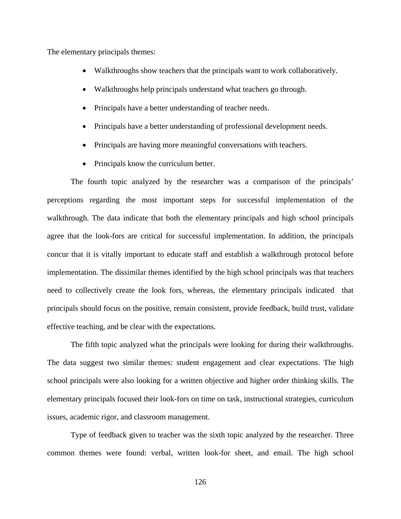The elementary principals themes:

- Walkthroughs show teachers that the principals want to work collaboratively.
- Walkthroughs help principals understand what teachers go through.
- Principals have a better understanding of teacher needs.
- Principals have a better understanding of professional development needs.
- Principals are having more meaningful conversations with teachers.
- Principals know the curriculum better.

The fourth topic analyzed by the researcher was a comparison of the principals' perceptions regarding the most important steps for successful implementation of the walkthrough. The data indicate that both the elementary principals and high school principals agree that the look-fors are critical for successful implementation. In addition, the principals concur that it is vitally important to educate staff and establish a walkthrough protocol before implementation. The dissimilar themes identified by the high school principals was that teachers need to collectively create the look fors, whereas, the elementary principals indicated that principals should focus on the positive, remain consistent, provide feedback, build trust, validate effective teaching, and be clear with the expectations.

The fifth topic analyzed what the principals were looking for during their walkthroughs. The data suggest two similar themes: student engagement and clear expectations. The high school principals were also looking for a written objective and higher order thinking skills. The elementary principals focused their look-fors on time on task, instructional strategies, curriculum issues, academic rigor, and classroom management.

Type of feedback given to teacher was the sixth topic analyzed by the researcher. Three common themes were found: verbal, written look-for sheet, and email. The high school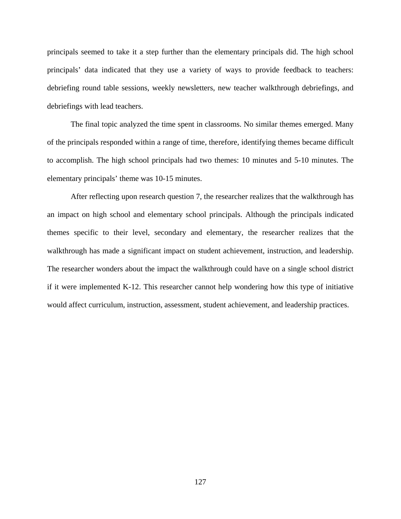principals seemed to take it a step further than the elementary principals did. The high school principals' data indicated that they use a variety of ways to provide feedback to teachers: debriefing round table sessions, weekly newsletters, new teacher walkthrough debriefings, and debriefings with lead teachers.

The final topic analyzed the time spent in classrooms. No similar themes emerged. Many of the principals responded within a range of time, therefore, identifying themes became difficult to accomplish. The high school principals had two themes: 10 minutes and 5-10 minutes. The elementary principals' theme was 10-15 minutes.

After reflecting upon research question 7, the researcher realizes that the walkthrough has an impact on high school and elementary school principals. Although the principals indicated themes specific to their level, secondary and elementary, the researcher realizes that the walkthrough has made a significant impact on student achievement, instruction, and leadership. The researcher wonders about the impact the walkthrough could have on a single school district if it were implemented K-12. This researcher cannot help wondering how this type of initiative would affect curriculum, instruction, assessment, student achievement, and leadership practices.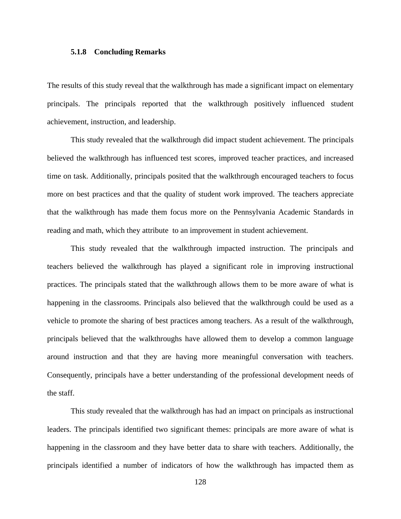#### **5.1.8 Concluding Remarks**

The results of this study reveal that the walkthrough has made a significant impact on elementary principals. The principals reported that the walkthrough positively influenced student achievement, instruction, and leadership.

This study revealed that the walkthrough did impact student achievement. The principals believed the walkthrough has influenced test scores, improved teacher practices, and increased time on task. Additionally, principals posited that the walkthrough encouraged teachers to focus more on best practices and that the quality of student work improved. The teachers appreciate that the walkthrough has made them focus more on the Pennsylvania Academic Standards in reading and math, which they attribute to an improvement in student achievement.

This study revealed that the walkthrough impacted instruction. The principals and teachers believed the walkthrough has played a significant role in improving instructional practices. The principals stated that the walkthrough allows them to be more aware of what is happening in the classrooms. Principals also believed that the walkthrough could be used as a vehicle to promote the sharing of best practices among teachers. As a result of the walkthrough, principals believed that the walkthroughs have allowed them to develop a common language around instruction and that they are having more meaningful conversation with teachers. Consequently, principals have a better understanding of the professional development needs of the staff.

This study revealed that the walkthrough has had an impact on principals as instructional leaders. The principals identified two significant themes: principals are more aware of what is happening in the classroom and they have better data to share with teachers. Additionally, the principals identified a number of indicators of how the walkthrough has impacted them as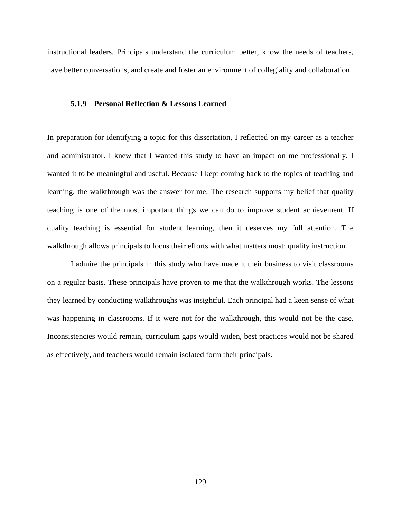instructional leaders. Principals understand the curriculum better, know the needs of teachers, have better conversations, and create and foster an environment of collegiality and collaboration.

#### **5.1.9 Personal Reflection & Lessons Learned**

In preparation for identifying a topic for this dissertation, I reflected on my career as a teacher and administrator. I knew that I wanted this study to have an impact on me professionally. I wanted it to be meaningful and useful. Because I kept coming back to the topics of teaching and learning, the walkthrough was the answer for me. The research supports my belief that quality teaching is one of the most important things we can do to improve student achievement. If quality teaching is essential for student learning, then it deserves my full attention. The walkthrough allows principals to focus their efforts with what matters most: quality instruction.

I admire the principals in this study who have made it their business to visit classrooms on a regular basis. These principals have proven to me that the walkthrough works. The lessons they learned by conducting walkthroughs was insightful. Each principal had a keen sense of what was happening in classrooms. If it were not for the walkthrough, this would not be the case. Inconsistencies would remain, curriculum gaps would widen, best practices would not be shared as effectively, and teachers would remain isolated form their principals.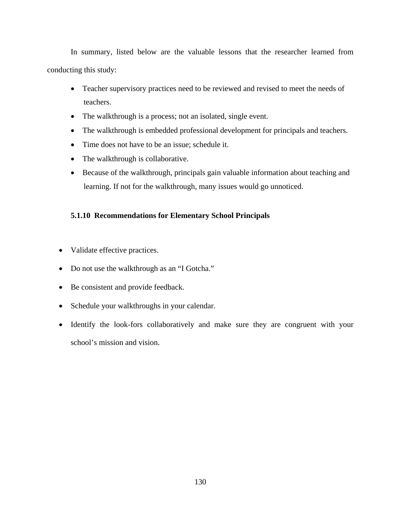In summary, listed below are the valuable lessons that the researcher learned from conducting this study:

- Teacher supervisory practices need to be reviewed and revised to meet the needs of teachers.
- The walkthrough is a process; not an isolated, single event.
- The walkthrough is embedded professional development for principals and teachers.
- Time does not have to be an issue; schedule it.
- The walkthrough is collaborative.
- Because of the walkthrough, principals gain valuable information about teaching and learning. If not for the walkthrough, many issues would go unnoticed.

### **5.1.10 Recommendations for Elementary School Principals**

- Validate effective practices.
- Do not use the walkthrough as an "I Gotcha."
- Be consistent and provide feedback.
- Schedule your walkthroughs in your calendar.
- Identify the look-fors collaboratively and make sure they are congruent with your school's mission and vision.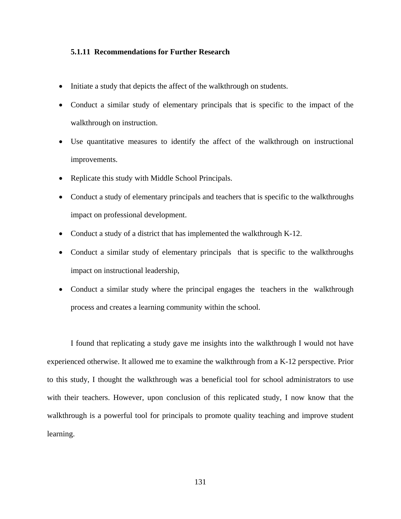### **5.1.11 Recommendations for Further Research**

- Initiate a study that depicts the affect of the walkthrough on students.
- Conduct a similar study of elementary principals that is specific to the impact of the walkthrough on instruction.
- Use quantitative measures to identify the affect of the walkthrough on instructional improvements.
- Replicate this study with Middle School Principals.
- Conduct a study of elementary principals and teachers that is specific to the walkthroughs impact on professional development.
- Conduct a study of a district that has implemented the walkthrough K-12.
- Conduct a similar study of elementary principals that is specific to the walkthroughs impact on instructional leadership,
- Conduct a similar study where the principal engages the teachers in the walkthrough process and creates a learning community within the school.

I found that replicating a study gave me insights into the walkthrough I would not have experienced otherwise. It allowed me to examine the walkthrough from a K-12 perspective. Prior to this study, I thought the walkthrough was a beneficial tool for school administrators to use with their teachers. However, upon conclusion of this replicated study, I now know that the walkthrough is a powerful tool for principals to promote quality teaching and improve student learning.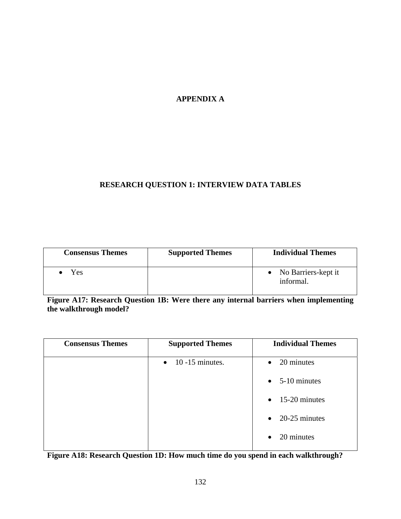## **APPENDIX A**

### **RESEARCH QUESTION 1: INTERVIEW DATA TABLES**

| <b>Consensus Themes</b> | <b>Supported Themes</b> | <b>Individual Themes</b>           |
|-------------------------|-------------------------|------------------------------------|
| Yes                     |                         | • No Barriers-kept it<br>informal. |

**Figure A17: Research Question 1B: Were there any internal barriers when implementing the walkthrough model?** 

| <b>Consensus Themes</b> | <b>Supported Themes</b>   | <b>Individual Themes</b> |
|-------------------------|---------------------------|--------------------------|
|                         | $\bullet$ 10 -15 minutes. | $\bullet$ 20 minutes     |
|                         |                           | $\bullet$ 5-10 minutes   |
|                         |                           | $\bullet$ 15-20 minutes  |
|                         |                           | $\bullet$ 20-25 minutes  |
|                         |                           | 20 minutes<br>$\bullet$  |

**Figure A18: Research Question 1D: How much time do you spend in each walkthrough?**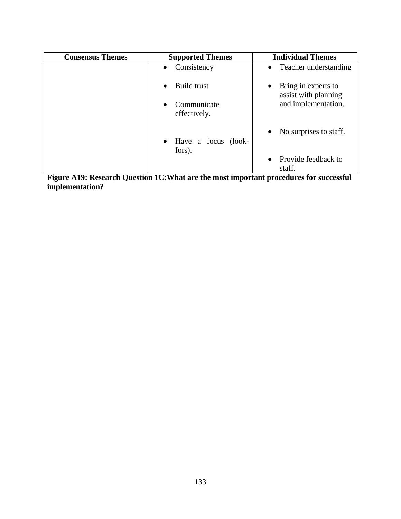| <b>Consensus Themes</b> | <b>Supported Themes</b>     | <b>Individual Themes</b>                                 |
|-------------------------|-----------------------------|----------------------------------------------------------|
|                         | Consistency                 | Teacher understanding<br>$\bullet$                       |
|                         | Build trust                 | Bring in experts to<br>$\bullet$<br>assist with planning |
|                         | Communicate<br>effectively. | and implementation.                                      |
|                         | • Have a focus (look-       | No surprises to staff.<br>$\bullet$                      |
|                         | fors).                      | Provide feedback to<br>staff.                            |

**Figure A19: Research Question 1C:What are the most important procedures for successful implementation?**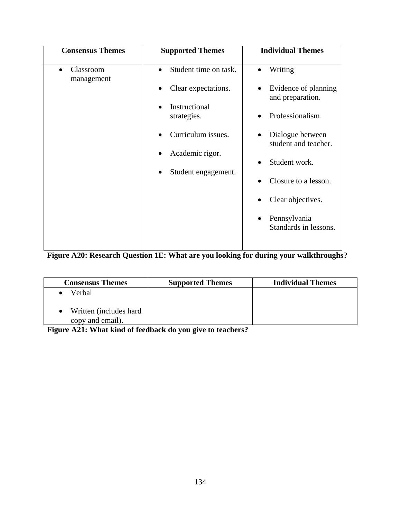| <b>Consensus Themes</b> | <b>Supported Themes</b>                                                                                                                      | <b>Individual Themes</b>                                                                                                                                                                                                                                         |
|-------------------------|----------------------------------------------------------------------------------------------------------------------------------------------|------------------------------------------------------------------------------------------------------------------------------------------------------------------------------------------------------------------------------------------------------------------|
| Classroom<br>management | Student time on task.<br>Clear expectations.<br>Instructional<br>strategies.<br>Curriculum issues.<br>Academic rigor.<br>Student engagement. | Writing<br>$\bullet$<br>Evidence of planning<br>and preparation.<br>Professionalism<br>Dialogue between<br>$\bullet$<br>student and teacher.<br>Student work.<br>Closure to a lesson.<br>Clear objectives.<br>Pennsylvania<br>$\bullet$<br>Standards in lessons. |

# **Figure A20: Research Question 1E: What are you looking for during your walkthroughs?**

| <b>Consensus Themes</b>                     | <b>Supported Themes</b> | <b>Individual Themes</b> |
|---------------------------------------------|-------------------------|--------------------------|
| Verbal                                      |                         |                          |
| Written (includes hard)<br>copy and email). |                         |                          |

**Figure A21: What kind of feedback do you give to teachers?**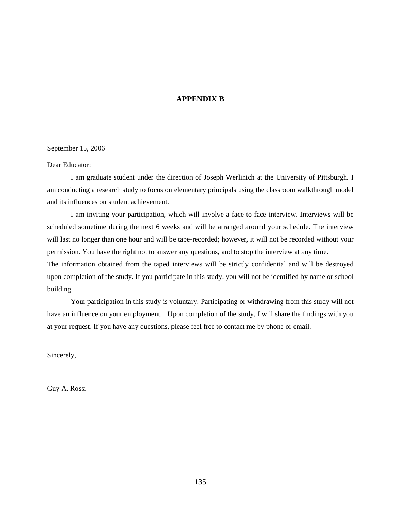### **APPENDIX B**

September 15, 2006

Dear Educator:

I am graduate student under the direction of Joseph Werlinich at the University of Pittsburgh. I am conducting a research study to focus on elementary principals using the classroom walkthrough model and its influences on student achievement.

I am inviting your participation, which will involve a face-to-face interview. Interviews will be scheduled sometime during the next 6 weeks and will be arranged around your schedule. The interview will last no longer than one hour and will be tape-recorded; however, it will not be recorded without your permission. You have the right not to answer any questions, and to stop the interview at any time.

The information obtained from the taped interviews will be strictly confidential and will be destroyed upon completion of the study. If you participate in this study, you will not be identified by name or school building.

Your participation in this study is voluntary. Participating or withdrawing from this study will not have an influence on your employment. Upon completion of the study, I will share the findings with you at your request. If you have any questions, please feel free to contact me by phone or email.

Sincerely,

Guy A. Rossi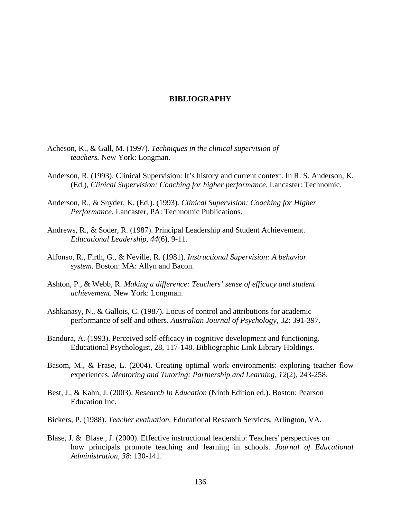### **BIBLIOGRAPHY**

- Acheson, K., & Gall, M. (1997). *Techniques in the clinical supervision of teachers.* New York: Longman.
- Anderson, R. (1993). Clinical Supervision: It's history and current context. In R. S. Anderson, K. (Ed.), *Clinical Supervision: Coaching for higher performance*. Lancaster: Technomic.
- Anderson, R., & Snyder, K. (Ed.). (1993). *Clinical Supervision: Coaching for Higher Performance*. Lancaster, PA: Technomic Publications.
- Andrews, R., & Soder, R. (1987). Principal Leadership and Student Achievement. *Educational Leadership, 44*(6), 9-11.
- Alfonso, R., Firth, G., & Neville, R. (1981). *Instructional Supervision: A behavior system*. Boston: MA: Allyn and Bacon.
- Ashton, P., & Webb, R. *Making a difference: Teachers' sense of efficacy and student achievement.* New York: Longman.
- Ashkanasy, N., & Gallois, C. (1987). Locus of control and attributions for academic performance of self and others. *Australian Journal of Psychology,* 32: 391-397.
- Bandura, A. (1993). Perceived self-efficacy in cognitive development and functioning. Educational Psychologist, 28, 117-148. Bibliographic Link Library Holdings.
- Basom, M., & Frase, L. (2004). Creating optimal work environments: exploring teacher flow experiences. *Mentoring and Tutoring: Partnership and Learning, 12*(2), 243-258.
- Best, J., & Kahn, J. (2003). *Research In Education* (Ninth Edition ed.). Boston: Pearson Education Inc.
- Bickers, P. (1988). *Teacher evaluation.* Educational Research Services, Arlington, VA.
- Blase, J. & Blase., J. (2000). Effective instructional leadership: Teachers' perspectives on how principals promote teaching and learning in schools. *Journal of Educational Administration, 38*: 130-141.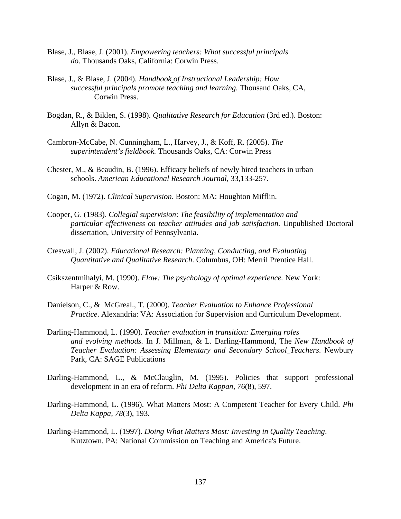- Blase, J., Blase, J. (2001). *Empowering teachers: What successful principals do*. Thousands Oaks, California: Corwin Press.
- Blase, J., & Blase, J. (2004). *Handbook of Instructional Leadership: How successful principals promote teaching and learning.* Thousand Oaks, CA, Corwin Press.
- Bogdan, R., & Biklen, S. (1998). *Qualitative Research for Education* (3rd ed.). Boston: Allyn & Bacon.
- Cambron-McCabe, N. Cunningham, L., Harvey, J., & Koff, R. (2005). *The superintendent's fieldbook.* Thousands Oaks, CA: Corwin Press
- Chester, M., & Beaudin, B. (1996). Efficacy beliefs of newly hired teachers in urban schools. *American Educational Research Journal,* 33,133-257.
- Cogan, M. (1972). *Clinical Supervision*. Boston: MA: Houghton Mifflin.
- Cooper, G. (1983). *Collegial supervision*: *The feasibility of implementation and particular effectiveness on teacher attitudes and job satisfaction.* Unpublished Doctoral dissertation, University of Pennsylvania.
- Creswall, J. (2002). *Educational Research: Planning, Conducting, and Evaluating Quantitative and Qualitative Research*. Columbus, OH: Merril Prentice Hall.
- Csikszentmihalyi, M. (1990). *Flow: The psychology of optimal experience.* New York: Harper & Row.
- Danielson, C., & McGreal., T. (2000). *Teacher Evaluation to Enhance Professional Practice*. Alexandria: VA: Association for Supervision and Curriculum Development.
- Darling-Hammond, L. (1990). *Teacher evaluation in transition: Emerging roles and evolving methods.* In J. Millman, & L. Darling-Hammond, The *New Handbook of Teacher Evaluation: Assessing Elementary and Secondary School Teachers*. Newbury Park, CA: SAGE Publications
- Darling-Hammond, L., & McClauglin, M. (1995). Policies that support professional development in an era of reform. *Phi Delta Kappan, 76*(8), 597.
- Darling-Hammond, L. (1996). What Matters Most: A Competent Teacher for Every Child. *Phi Delta Kappa, 78*(3), 193.
- Darling-Hammond, L. (1997). *Doing What Matters Most: Investing in Quality Teaching*. Kutztown, PA: National Commission on Teaching and America's Future.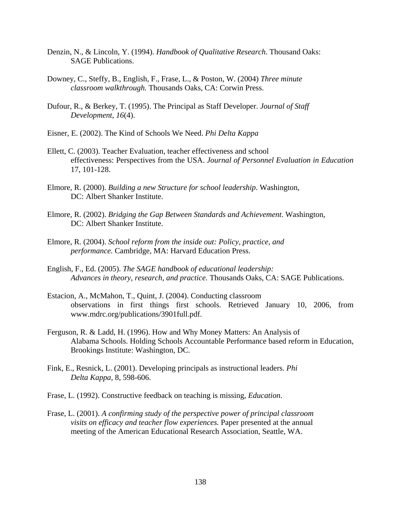- Denzin, N., & Lincoln, Y. (1994). *Handbook of Qualitative Research*. Thousand Oaks: SAGE Publications.
- Downey, C., Steffy, B., English, F., Frase, L., & Poston, W. (2004) *Three minute classroom walkthrough.* Thousands Oaks, CA: Corwin Press.
- Dufour, R., & Berkey, T. (1995). The Principal as Staff Developer. *Journal of Staff Development, 16*(4).
- Eisner, E. (2002). The Kind of Schools We Need. *Phi Delta Kappa*
- Ellett, C. (2003). Teacher Evaluation, teacher effectiveness and school effectiveness: Perspectives from the USA. *Journal of Personnel Evaluation in Education* 17, 101-128.
- Elmore, R. (2000). *Building a new Structure for school leadership*. Washington, DC: Albert Shanker Institute.
- Elmore, R. (2002). *Bridging the Gap Between Standards and Achievement*. Washington, DC: Albert Shanker Institute.
- Elmore, R. (2004). *School reform from the inside out: Policy, practice, and performance.* Cambridge, MA: Harvard Education Press.
- English, F., Ed. (2005). *The SAGE handbook of educational leadership: Advances in theory, research, and practice.* Thousands Oaks, CA: SAGE Publications.
- Estacion, A., McMahon, T., Quint, J. (2004). Conducting classroom observations in first things first schools. Retrieved January 10, 2006, from www.mdrc.org/publications/3901full.pdf.
- Ferguson, R. & Ladd, H. (1996). How and Why Money Matters: An Analysis of Alabama Schools. Holding Schools Accountable Performance based reform in Education, Brookings Institute: Washington, DC.
- Fink, E., Resnick, L. (2001). Developing principals as instructional leaders. *Phi Delta Kappa*, 8, 598-606.
- Frase, L. (1992). Constructive feedback on teaching is missing, *Education*.
- Frase, L. (2001). *A confirming study of the perspective power of principal classroom visits on efficacy and teacher flow experiences.* Paper presented at the annual meeting of the American Educational Research Association, Seattle, WA.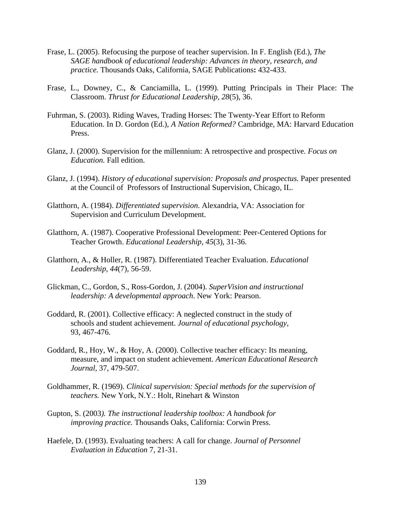- Frase, L. (2005). Refocusing the purpose of teacher supervision. In F. English (Ed.), *The SAGE handbook of educational leadership: Advances in theory, research, and practice.* Thousands Oaks, California, SAGE Publications**:** 432-433.
- Frase, L., Downey, C., & Canciamilla, L. (1999). Putting Principals in Their Place: The Classroom. *Thrust for Educational Leadership, 28*(5), 36.
- Fuhrman, S. (2003). Riding Waves, Trading Horses: The Twenty-Year Effort to Reform Education. In D. Gordon (Ed.), *A Nation Reformed?* Cambridge, MA: Harvard Education Press.
- Glanz, J. (2000). Supervision for the millennium: A retrospective and prospective*. Focus on Education.* Fall edition.
- Glanz, J. (1994). *History of educational supervision: Proposals and prospectus*. Paper presented at the Council of Professors of Instructional Supervision, Chicago, IL.
- Glatthorn, A. (1984). *Differentiated supervision*. Alexandria, VA: Association for Supervision and Curriculum Development.
- Glatthorn, A. (1987). Cooperative Professional Development: Peer-Centered Options for Teacher Growth. *Educational Leadership, 45*(3), 31-36.
- Glatthorn, A., & Holler, R. (1987). Differentiated Teacher Evaluation. *Educational Leadership, 44*(7), 56-59.
- Glickman, C., Gordon, S., Ross-Gordon, J. (2004). *SuperVision and instructional leadership: A developmental approach*. New York: Pearson.
- Goddard, R. (2001). Collective efficacy: A neglected construct in the study of schools and student achievement. *Journal of educational psychology,*  93, 467-476.
- Goddard, R., Hoy, W., & Hoy, A. (2000). Collective teacher efficacy: Its meaning, measure, and impact on student achievement. *American Educational Research Journal,* 37, 479-507.
- Goldhammer, R. (1969). *Clinical supervision: Special methods for the supervision of teachers.* New York, N.Y.: Holt, Rinehart & Winston
- Gupton, S. (2003*). The instructional leadership toolbox: A handbook for improving practice.* Thousands Oaks, California: Corwin Press.
- Haefele, D. (1993). Evaluating teachers: A call for change. *Journal of Personnel Evaluation in Education* 7, 21-31.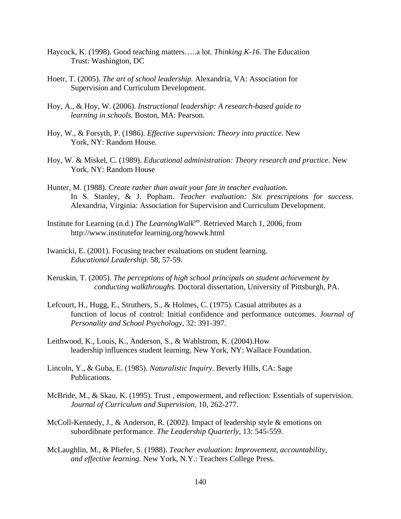- Haycock, K. (1998). Good teaching matters…..a lot. *Thinking K-16*. The Education Trust: Washington, DC
- Hoetr, T. (2005). *The art of school leadership.* Alexandria, VA: Association for Supervision and Curriculum Development.
- Hoy, A., & Hoy, W. (2006). *Instructional leadership: A research-based guide to learning in schools.* Boston, MA: Pearson.
- Hoy, W., & Forsyth, P. (1986). *Effective supervision: Theory into practice*. New York, NY: Random House.
- Hoy, W. & Miskel, C. (1989). *Educational administration: Theory research and practice*. New York, NY: Random House
- Hunter, M. (1988). *Create rather than await your fate in teacher evaluation*. In S. Stanley, & J. Popham. *Teacher evaluation: Six prescriptions for success*. Alexandria, Virginia: Association for Supervision and Curriculum Development.
- Institute for Learning (n.d.) *The LearningWalksm*. Retrieved March 1, 2006, from http://www.institutefor learning.org/howwk.html
- Iwanicki, E. (2001). Focusing teacher evaluations on student learning. *Educational Leadership.* 58, 57-59.
- Keruskin, T. (2005). *The perceptions of high school principals on student achievement by conducting walkthroughs.* Doctoral dissertation, University of Pittsburgh, PA.
- Lefcourt, H., Hugg, E., Struthers, S., & Holmes, C. (1975). Casual attributes as a function of locus of control: Initial confidence and performance outcomes. *Journal of Personality and School Psychology,* 32: 391-397.
- Leithwood, K., Louis, K., Anderson, S., & Wahlstrom, K. (2004).How leadership influences student learning. New York, NY: Wallace Foundation.
- Lincoln, Y., & Guba, E. (1985). *Naturalistic Inquiry.* Beverly Hills, CA: Sage Publications.
- McBride, M., & Skau, K. (1995). Trust , empowerment, and reflection: Essentials of supervision. *Journal of Curriculum and Supervision,* 10, 262-277.
- McColl-Kennedy, J., & Anderson, R. (2002). Impact of leadership style & emotions on subordibnate performance. *The Leadership Quarterly,* 13: 545-559.
- McLaughlin, M., & Pfiefer, S. (1988). *Teacher evaluation: Improvement, accountability, and effective learning.* New York, N.Y.: Teachers College Press.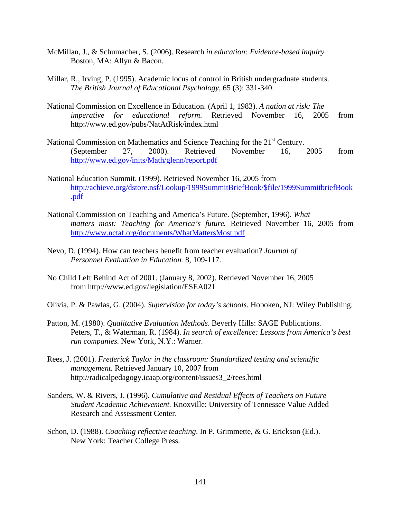- McMillan, J., & Schumacher, S. (2006). Research *in education: Evidence-based inquiry.* Boston, MA: Allyn & Bacon.
- Millar, R., Irving, P. (1995). Academic locus of control in British undergraduate students. *The British Journal of Educational Psychology,* 65 (3): 331-340.
- National Commission on Excellence in Education. (April 1, 1983). *A nation at risk: The imperative for educational reform*. Retrieved November 16, 2005 from http://www.ed.gov/pubs/NatAtRisk/index.html
- National Commission on Mathematics and Science Teaching for the 21<sup>st</sup> Century. (September 27, 2000). Retrieved November 16, 2005 from <http://www.ed.gov/inits/Math/glenn/report.pdf>
- National Education Summit. (1999). Retrieved November 16, 2005 from [http://achieve.org/dstore.nsf/Lookup/1999SummitBriefBook/\\$file/1999SummitbriefBook](http://achieve.org/dstore.nsf/Lookup/1999SummitBriefBook/$file/1999SummitbriefBook.pdf) [.pdf](http://achieve.org/dstore.nsf/Lookup/1999SummitBriefBook/$file/1999SummitbriefBook.pdf)
- National Commission on Teaching and America's Future. (September, 1996). *What matters most: Teaching for America's future.* Retrieved November 16, 2005 from <http://www.nctaf.org/documents/WhatMattersMost.pdf>
- Nevo, D. (1994). How can teachers benefit from teacher evaluation? *Journal of Personnel Evaluation in Education.* 8, 109-117.
- No Child Left Behind Act of 2001. (January 8, 2002). Retrieved November 16, 2005 from http://www.ed.gov/legislation/ESEA021
- Olivia, P. & Pawlas, G. (2004). *Supervision for today's schools.* Hoboken, NJ: Wiley Publishing.
- Patton, M. (1980). *Qualitative Evaluation Methods*. Beverly Hills: SAGE Publications. Peters, T., & Waterman, R. (1984). *In search of excellence: Lessons from America's best run companies.* New York, N.Y.: Warner.
- Rees, J. (2001). *Frederick Taylor in the classroom: Standardized testing and scientific management.* Retrieved January 10, 2007 from http://radicalpedagogy.icaap.org/content/issues3\_2/rees.html
- Sanders, W. & Rivers, J. (1996). *Cumulative and Residual Effects of Teachers on Future Student Academic Achievement.* Knoxville: University of Tennessee Value Added Research and Assessment Center.
- Schon, D. (1988). *Coaching reflective teaching*. In P. Grimmette, & G. Erickson (Ed.). New York: Teacher College Press.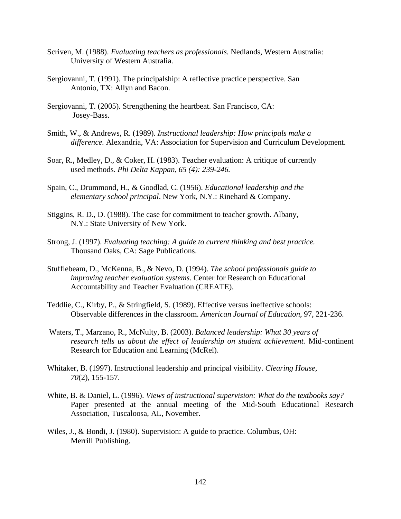- Scriven, M. (1988). *Evaluating teachers as professionals.* Nedlands, Western Australia: University of Western Australia.
- Sergiovanni, T. (1991). The principalship: A reflective practice perspective. San Antonio, TX: Allyn and Bacon.
- Sergiovanni, T. (2005). Strengthening the heartbeat. San Francisco, CA: Josey-Bass.
- Smith, W., & Andrews, R. (1989). *Instructional leadership: How principals make a difference.* Alexandria, VA: Association for Supervision and Curriculum Development.
- Soar, R., Medley, D., & Coker, H. (1983). Teacher evaluation: A critique of currently used methods. *Phi Delta Kappan, 65 (4): 239-246.*
- Spain, C., Drummond, H., & Goodlad, C. (1956). *Educational leadership and the elementary school principal*. New York, N.Y.: Rinehard & Company.
- Stiggins, R. D., D. (1988). The case for commitment to teacher growth. Albany, N.Y.: State University of New York.
- Strong, J. (1997). *Evaluating teaching: A guide to current thinking and best practice.*  Thousand Oaks, CA: Sage Publications.
- Stufflebeam, D., McKenna, B., & Nevo, D. (1994). *The school professionals guide to improving teacher evaluation systems.* Center for Research on Educational Accountability and Teacher Evaluation (CREATE).
- Teddlie, C., Kirby, P., & Stringfield, S. (1989). Effective versus ineffective schools: Observable differences in the classroom. *American Journal of Education*, 97, 221-236.
- Waters, T., Marzano, R., McNulty, B. (2003). *Balanced leadership: What 30 years of research tells us about the effect of leadership on student achievement.* Mid-continent Research for Education and Learning (McRel).
- Whitaker, B. (1997). Instructional leadership and principal visibility. *Clearing House, 70*(2), 155-157.
- White, B. & Daniel, L. (1996). *Views of instructional supervision: What do the textbooks say?* Paper presented at the annual meeting of the Mid-South Educational Research Association, Tuscaloosa, AL, November.
- Wiles, J., & Bondi, J. (1980). Supervision: A guide to practice. Columbus, OH: Merrill Publishing.